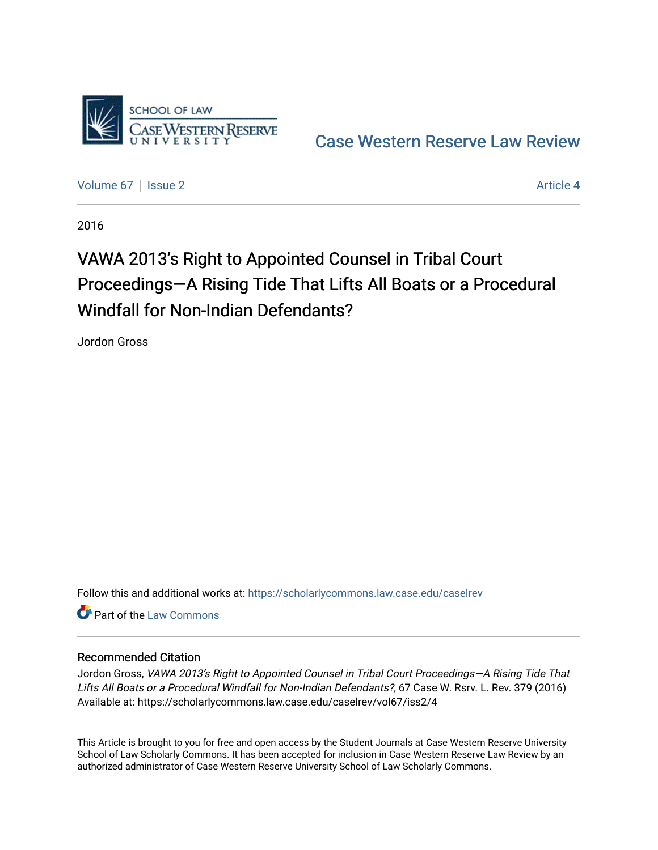

[Case Western Reserve Law Review](https://scholarlycommons.law.case.edu/caselrev) 

[Volume 67](https://scholarlycommons.law.case.edu/caselrev/vol67) | [Issue 2](https://scholarlycommons.law.case.edu/caselrev/vol67/iss2) Article 4

2016

# VAWA 2013's Right to Appointed Counsel in Tribal Court Proceedings—A Rising Tide That Lifts All Boats or a Procedural Windfall for Non-Indian Defendants?

Jordon Gross

Follow this and additional works at: [https://scholarlycommons.law.case.edu/caselrev](https://scholarlycommons.law.case.edu/caselrev?utm_source=scholarlycommons.law.case.edu%2Fcaselrev%2Fvol67%2Fiss2%2F4&utm_medium=PDF&utm_campaign=PDFCoverPages)

**C** Part of the [Law Commons](http://network.bepress.com/hgg/discipline/578?utm_source=scholarlycommons.law.case.edu%2Fcaselrev%2Fvol67%2Fiss2%2F4&utm_medium=PDF&utm_campaign=PDFCoverPages)

## Recommended Citation

Jordon Gross, VAWA 2013's Right to Appointed Counsel in Tribal Court Proceedings—A Rising Tide That Lifts All Boats or a Procedural Windfall for Non-Indian Defendants?, 67 Case W. Rsrv. L. Rev. 379 (2016) Available at: https://scholarlycommons.law.case.edu/caselrev/vol67/iss2/4

This Article is brought to you for free and open access by the Student Journals at Case Western Reserve University School of Law Scholarly Commons. It has been accepted for inclusion in Case Western Reserve Law Review by an authorized administrator of Case Western Reserve University School of Law Scholarly Commons.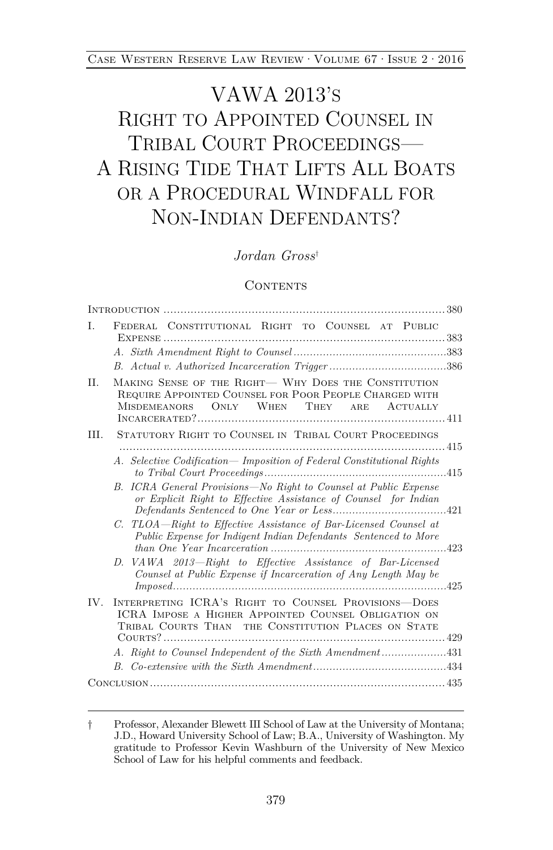CASE WESTERN RESERVE LAW REVIEW  $\cdot$  VOLUME 67  $\cdot$  ISSUE  $2\cdot 2016$ 

## VAWA 2013'S RIGHT TO APPOINTED COUNSEL IN TRIBAL COURT PROCEEDINGS— A RISING TIDE THAT LIFTS ALL BOATS OR A PROCEDURAL WINDFALL FOR NON-INDIAN DEFENDANTS?

## *Jordan Gross*[†](#page-1-0)

#### CONTENTS

<span id="page-1-0"></span><sup>†</sup> Professor, Alexander Blewett III School of Law at the University of Montana; J.D., Howard University School of Law; B.A., University of Washington. My gratitude to Professor Kevin Washburn of the University of New Mexico School of Law for his helpful comments and feedback.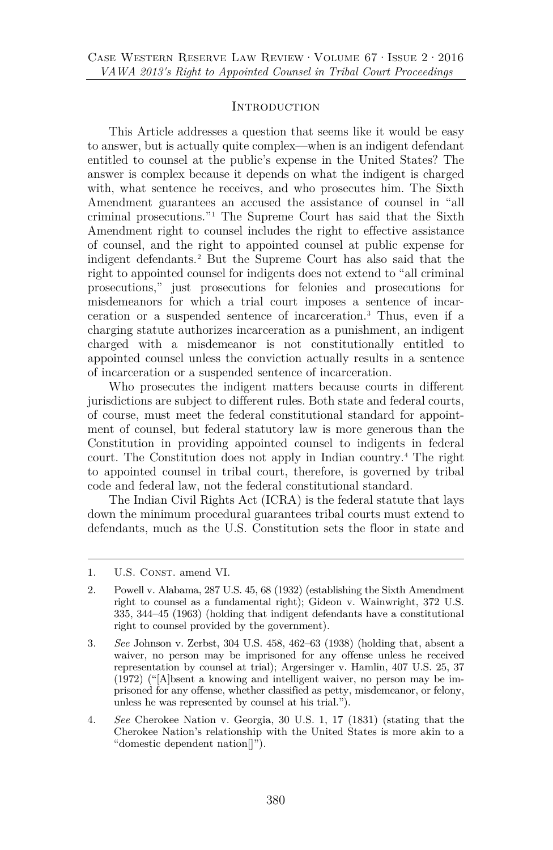#### <span id="page-2-5"></span><span id="page-2-4"></span>**INTRODUCTION**

This Article addresses a question that seems like it would be easy to answer, but is actually quite complex—when is an indigent defendant entitled to counsel at the public's expense in the United States? The answer is complex because it depends on what the indigent is charged with, what sentence he receives, and who prosecutes him. The Sixth Amendment guarantees an accused the assistance of counsel in "all criminal prosecutions."[1](#page-2-0) The Supreme Court has said that the Sixth Amendment right to counsel includes the right to effective assistance of counsel, and the right to appointed counsel at public expense for indigent defendants.[2](#page-2-1) But the Supreme Court has also said that the right to appointed counsel for indigents does not extend to "all criminal prosecutions," just prosecutions for felonies and prosecutions for misdemeanors for which a trial court imposes a sentence of incarceration or a suspended sentence of incarceration.[3](#page-2-2) Thus, even if a charging statute authorizes incarceration as a punishment, an indigent charged with a misdemeanor is not constitutionally entitled to appointed counsel unless the conviction actually results in a sentence of incarceration or a suspended sentence of incarceration.

Who prosecutes the indigent matters because courts in different jurisdictions are subject to different rules. Both state and federal courts, of course, must meet the federal constitutional standard for appointment of counsel, but federal statutory law is more generous than the Constitution in providing appointed counsel to indigents in federal court. The Constitution does not apply in Indian country.[4](#page-2-3) The right to appointed counsel in tribal court, therefore, is governed by tribal code and federal law, not the federal constitutional standard.

The Indian Civil Rights Act (ICRA) is the federal statute that lays down the minimum procedural guarantees tribal courts must extend to defendants, much as the U.S. Constitution sets the floor in state and

<span id="page-2-0"></span><sup>1.</sup> U.S. CONST. amend VI.

<span id="page-2-1"></span><sup>2.</sup> Powell v. Alabama, 287 U.S. 45, 68 (1932) (establishing the Sixth Amendment right to counsel as a fundamental right); Gideon v. Wainwright, 372 U.S. 335, 344–45 (1963) (holding that indigent defendants have a constitutional right to counsel provided by the government).

<span id="page-2-2"></span><sup>3.</sup> *See* Johnson v. Zerbst, 304 U.S. 458, 462–63 (1938) (holding that, absent a waiver, no person may be imprisoned for any offense unless he received representation by counsel at trial); Argersinger v. Hamlin, 407 U.S. 25, 37 (1972) ("[A]bsent a knowing and intelligent waiver, no person may be imprisoned for any offense, whether classified as petty, misdemeanor, or felony, unless he was represented by counsel at his trial.").

<span id="page-2-3"></span><sup>4.</sup> *See* Cherokee Nation v. Georgia, 30 U.S. 1, 17 (1831) (stating that the Cherokee Nation's relationship with the United States is more akin to a "domestic dependent nation[]").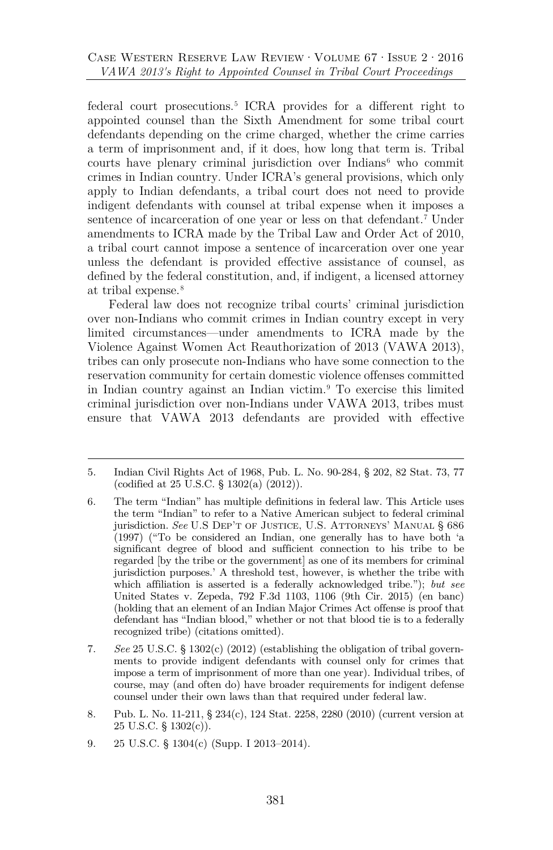federal court prosecutions[.5](#page-3-0) ICRA provides for a different right to appointed counsel than the Sixth Amendment for some tribal court defendants depending on the crime charged, whether the crime carries a term of imprisonment and, if it does, how long that term is. Tribal  $counts$  have plenary criminal jurisdiction over Indians<sup> $6$ </sup> who commit crimes in Indian country. Under ICRA's general provisions, which only apply to Indian defendants, a tribal court does not need to provide indigent defendants with counsel at tribal expense when it imposes a sentence of incarceration of one year or less on that defendant.[7](#page-3-2) Under amendments to ICRA made by the Tribal Law and Order Act of 2010, a tribal court cannot impose a sentence of incarceration over one year unless the defendant is provided effective assistance of counsel, as defined by the federal constitution, and, if indigent, a licensed attorney at tribal expense.[8](#page-3-3)

Federal law does not recognize tribal courts' criminal jurisdiction over non-Indians who commit crimes in Indian country except in very limited circumstances—under amendments to ICRA made by the Violence Against Women Act Reauthorization of 2013 (VAWA 2013), tribes can only prosecute non-Indians who have some connection to the reservation community for certain domestic violence offenses committed in Indian country against an Indian victim.[9](#page-4-0) To exercise this limited criminal jurisdiction over non-Indians under VAWA 2013, tribes must ensure that VAWA 2013 defendants are provided with effective

<span id="page-3-3"></span>8. Pub. L. No. 11-211, § 234(c), 124 Stat. 2258, 2280 (2010) (current version at 25 U.S.C. § 1302(c)).

<span id="page-3-0"></span><sup>5.</sup> Indian Civil Rights Act of 1968, Pub. L. No. 90-284, § 202, 82 Stat. 73, 77 (codified at 25 U.S.C. § 1302(a) (2012)).

<span id="page-3-1"></span><sup>6.</sup> The term "Indian" has multiple definitions in federal law. This Article uses the term "Indian" to refer to a Native American subject to federal criminal jurisdiction. *See* U.S DEP'T OF JUSTICE, U.S. ATTORNEYS' MANUAL § 686 (1997) ("To be considered an Indian, one generally has to have both 'a significant degree of blood and sufficient connection to his tribe to be regarded [by the tribe or the government] as one of its members for criminal jurisdiction purposes.' A threshold test, however, is whether the tribe with which affiliation is asserted is a federally acknowledged tribe."); *but see* United States v. Zepeda, 792 F.3d 1103, 1106 (9th Cir. 2015) (en banc) (holding that an element of an Indian Major Crimes Act offense is proof that defendant has "Indian blood," whether or not that blood tie is to a federally recognized tribe) (citations omitted).

<span id="page-3-2"></span><sup>7.</sup> *See* 25 U.S.C. § 1302(c) (2012) (establishing the obligation of tribal governments to provide indigent defendants with counsel only for crimes that impose a term of imprisonment of more than one year). Individual tribes, of course, may (and often do) have broader requirements for indigent defense counsel under their own laws than that required under federal law.

<sup>9. 25</sup> U.S.C. § 1304(c) (Supp. I 2013–2014).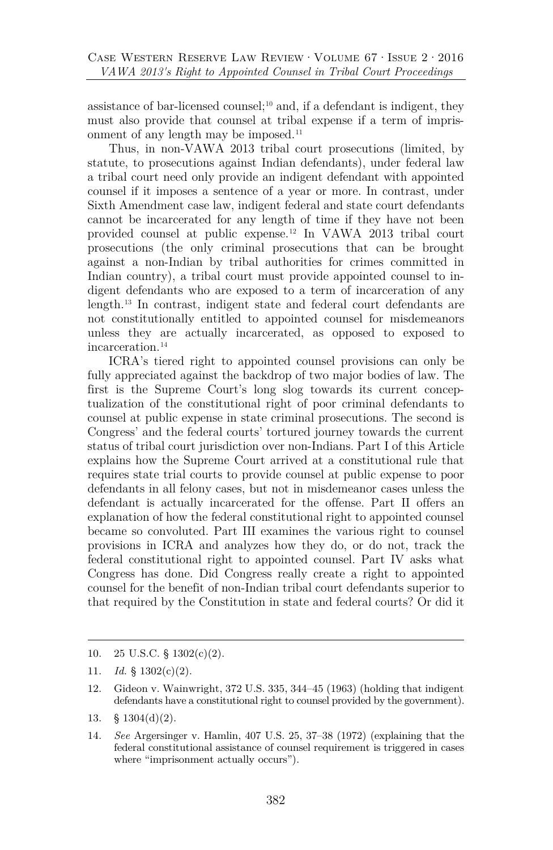assistance of bar-licensed counsel;<sup>[10](#page-4-1)</sup> and, if a defendant is indigent, they must also provide that counsel at tribal expense if a term of impris-onment of any length may be imposed.<sup>[11](#page-4-2)</sup>

<span id="page-4-6"></span>Thus, in non-VAWA 2013 tribal court prosecutions (limited, by statute, to prosecutions against Indian defendants), under federal law a tribal court need only provide an indigent defendant with appointed counsel if it imposes a sentence of a year or more. In contrast, under Sixth Amendment case law, indigent federal and state court defendants cannot be incarcerated for any length of time if they have not been provided counsel at public expense.[12](#page-4-3) In VAWA 2013 tribal court prosecutions (the only criminal prosecutions that can be brought against a non-Indian by tribal authorities for crimes committed in Indian country), a tribal court must provide appointed counsel to indigent defendants who are exposed to a term of incarceration of any length[.13](#page-4-4) In contrast, indigent state and federal court defendants are not constitutionally entitled to appointed counsel for misdemeanors unless they are actually incarcerated, as opposed to exposed to incarceration. [14](#page-4-5)

ICRA's tiered right to appointed counsel provisions can only be fully appreciated against the backdrop of two major bodies of law. The first is the Supreme Court's long slog towards its current conceptualization of the constitutional right of poor criminal defendants to counsel at public expense in state criminal prosecutions. The second is Congress' and the federal courts' tortured journey towards the current status of tribal court jurisdiction over non-Indians. Part I of this Article explains how the Supreme Court arrived at a constitutional rule that requires state trial courts to provide counsel at public expense to poor defendants in all felony cases, but not in misdemeanor cases unless the defendant is actually incarcerated for the offense. Part II offers an explanation of how the federal constitutional right to appointed counsel became so convoluted. Part III examines the various right to counsel provisions in ICRA and analyzes how they do, or do not, track the federal constitutional right to appointed counsel. Part IV asks what Congress has done. Did Congress really create a right to appointed counsel for the benefit of non-Indian tribal court defendants superior to that required by the Constitution in state and federal courts? Or did it

<span id="page-4-1"></span><span id="page-4-0"></span><sup>10. 25</sup> U.S.C. § 1302(c)(2).

<span id="page-4-2"></span><sup>11.</sup> *Id.* § 1302(c)(2).

<span id="page-4-3"></span><sup>12.</sup> Gideon v. Wainwright, 372 U.S. 335, 344–45 (1963) (holding that indigent defendants have a constitutional right to counsel provided by the government).

<span id="page-4-4"></span><sup>13. § 1304(</sup>d)(2).

<span id="page-4-5"></span><sup>14.</sup> *See* Argersinger v. Hamlin, 407 U.S. 25, 37–38 (1972) (explaining that the federal constitutional assistance of counsel requirement is triggered in cases where "imprisonment actually occurs").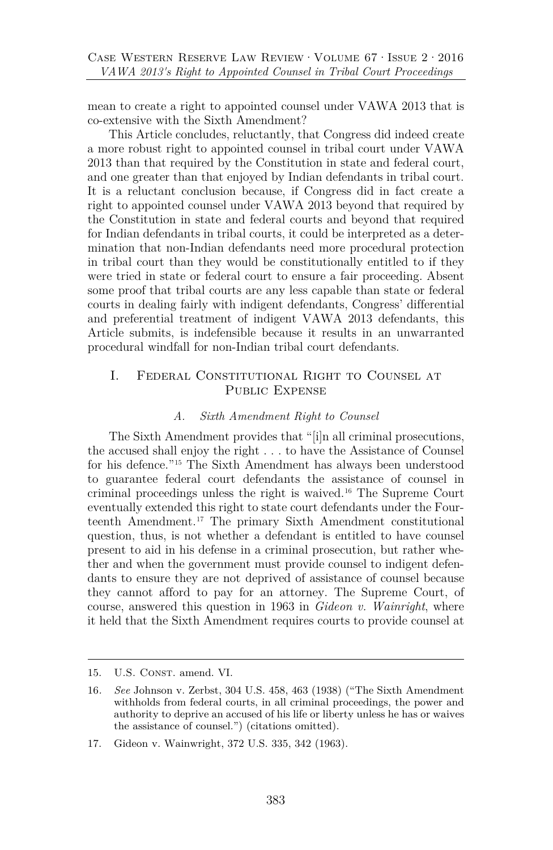mean to create a right to appointed counsel under VAWA 2013 that is co-extensive with the Sixth Amendment?

This Article concludes, reluctantly, that Congress did indeed create a more robust right to appointed counsel in tribal court under VAWA 2013 than that required by the Constitution in state and federal court, and one greater than that enjoyed by Indian defendants in tribal court. It is a reluctant conclusion because, if Congress did in fact create a right to appointed counsel under VAWA 2013 beyond that required by the Constitution in state and federal courts and beyond that required for Indian defendants in tribal courts, it could be interpreted as a determination that non-Indian defendants need more procedural protection in tribal court than they would be constitutionally entitled to if they were tried in state or federal court to ensure a fair proceeding. Absent some proof that tribal courts are any less capable than state or federal courts in dealing fairly with indigent defendants, Congress' differential and preferential treatment of indigent VAWA 2013 defendants, this Article submits, is indefensible because it results in an unwarranted procedural windfall for non-Indian tribal court defendants.

## I. Federal Constitutional Right to Counsel at Public Expense

#### *A. Sixth Amendment Right to Counsel*

The Sixth Amendment provides that "[i]n all criminal prosecutions, the accused shall enjoy the right . . . to have the Assistance of Counsel for his defence."[15](#page-5-0) The Sixth Amendment has always been understood to guarantee federal court defendants the assistance of counsel in criminal proceedings unless the right is waived.[16](#page-5-1) The Supreme Court eventually extended this right to state court defendants under the Fourteenth Amendment.[17](#page-5-2) The primary Sixth Amendment constitutional question, thus, is not whether a defendant is entitled to have counsel present to aid in his defense in a criminal prosecution, but rather whether and when the government must provide counsel to indigent defendants to ensure they are not deprived of assistance of counsel because they cannot afford to pay for an attorney. The Supreme Court, of course, answered this question in 1963 in *Gideon v. Wainright*, where it held that the Sixth Amendment requires courts to provide counsel at

<span id="page-5-0"></span><sup>15.</sup> U.S. CONST. amend. VI.

<span id="page-5-1"></span><sup>16</sup>*. See* Johnson v. Zerbst, 304 U.S. 458, 463 (1938) ("The Sixth Amendment withholds from federal courts, in all criminal proceedings, the power and authority to deprive an accused of his life or liberty unless he has or waives the assistance of counsel.") (citations omitted).

<span id="page-5-2"></span><sup>17.</sup> Gideon v. Wainwright, 372 U.S. 335, 342 (1963).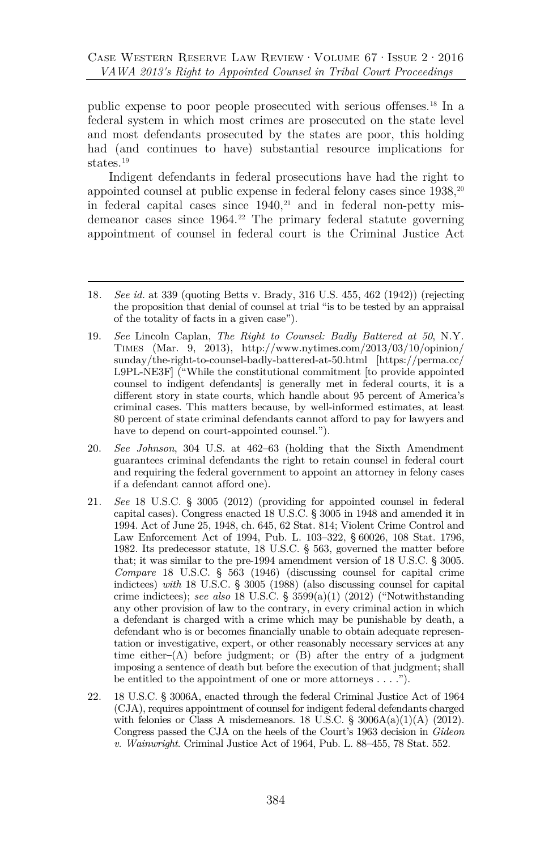public expense to poor people prosecuted with serious offenses.[18](#page-6-0) In a federal system in which most crimes are prosecuted on the state level and most defendants prosecuted by the states are poor, this holding had (and continues to have) substantial resource implications for states.[19](#page-6-1)

<span id="page-6-6"></span><span id="page-6-5"></span>Indigent defendants in federal prosecutions have had the right to appointed counsel at public expense in federal felony cases since 1938,  $20$ in federal capital cases since  $1940$ ,<sup>21</sup> and in federal non-petty misdemeanor cases since 1964.[22](#page-6-4) The primary federal statute governing appointment of counsel in federal court is the Criminal Justice Act

- <span id="page-6-1"></span><span id="page-6-0"></span>19. *See* Lincoln Caplan, *The Right to Counsel: Badly Battered at 50*, N.Y. Times (Mar. 9, 2013), http://www.nytimes.com/2013/03/10/opinion/ sunday/the-right-to-counsel-badly-battered-at-50.html [https://perma.cc/ L9PL-NE3F] ("While the constitutional commitment [to provide appointed counsel to indigent defendants] is generally met in federal courts, it is a different story in state courts, which handle about 95 percent of America's criminal cases. This matters because, by well-informed estimates, at least 80 percent of state criminal defendants cannot afford to pay for lawyers and have to depend on court-appointed counsel.").
- 20. *See Johnson*, 304 U.S. at 462–63 (holding that the Sixth Amendment guarantees criminal defendants the right to retain counsel in federal court and requiring the federal government to appoint an attorney in felony cases if a defendant cannot afford one).
- <span id="page-6-3"></span><span id="page-6-2"></span>21*. See* 18 U.S.C. § 3005 (2012) (providing for appointed counsel in federal capital cases). Congress enacted 18 U.S.C. § 3005 in 1948 and amended it in 1994. Act of June 25, 1948, ch. 645, 62 Stat. 814; Violent Crime Control and Law Enforcement Act of 1994, Pub. L. 103–322, § 60026, 108 Stat. 1796, 1982. Its predecessor statute, 18 U.S.C. § 563, governed the matter before that; it was similar to the pre-1994 amendment version of 18 U.S.C. § 3005. *Compare* 18 U.S.C. § 563 (1946) (discussing counsel for capital crime indictees) *with* 18 U.S.C. § 3005 (1988) (also discussing counsel for capital crime indictees); *see also* 18 U.S.C. § 3599(a)(1) (2012) ("Notwithstanding any other provision of law to the contrary, in every criminal action in which a defendant is charged with a crime which may be punishable by death, a defendant who is or becomes financially unable to obtain adequate representation or investigative, expert, or other reasonably necessary services at any time either– $(A)$  before judgment; or  $(B)$  after the entry of a judgment imposing a sentence of death but before the execution of that judgment; shall be entitled to the appointment of one or more attorneys . . . .").
- <span id="page-6-4"></span>22. 18 U.S.C. § 3006A, enacted through the federal Criminal Justice Act of 1964 (CJA), requires appointment of counsel for indigent federal defendants charged with felonies or Class A misdemeanors. 18 U.S.C.  $\S$  3006A(a)(1)(A) (2012). Congress passed the CJA on the heels of the Court's 1963 decision in *Gideon v. Wainwright*. Criminal Justice Act of 1964, Pub. L. 88–455, 78 Stat. 552.

<sup>18</sup>*. See id.* at 339 (quoting Betts v. Brady, 316 U.S. 455, 462 (1942)) (rejecting the proposition that denial of counsel at trial "is to be tested by an appraisal of the totality of facts in a given case").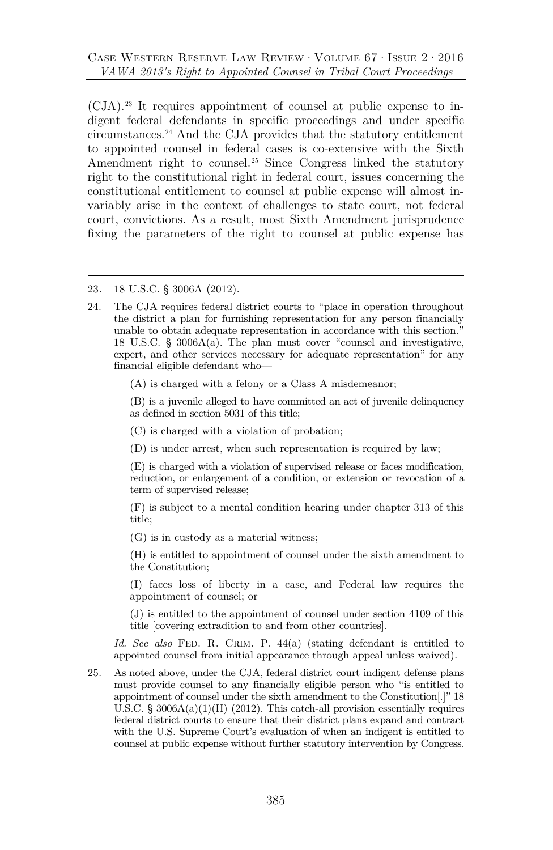(CJA).[23](#page-7-0) It requires appointment of counsel at public expense to indigent federal defendants in specific proceedings and under specific circumstances.[24](#page-7-1) And the CJA provides that the statutory entitlement to appointed counsel in federal cases is co-extensive with the Sixth Amendment right to counsel.<sup>[25](#page-7-2)</sup> Since Congress linked the statutory right to the constitutional right in federal court, issues concerning the constitutional entitlement to counsel at public expense will almost invariably arise in the context of challenges to state court, not federal court, convictions. As a result, most Sixth Amendment jurisprudence fixing the parameters of the right to counsel at public expense has

#### <span id="page-7-0"></span>23*.* 18 U.S.C. § 3006A (2012).

<span id="page-7-1"></span>24. The CJA requires federal district courts to "place in operation throughout the district a plan for furnishing representation for any person financially unable to obtain adequate representation in accordance with this section." 18 U.S.C. § 3006A(a). The plan must cover "counsel and investigative, expert, and other services necessary for adequate representation" for any financial eligible defendant who—

(A) is charged with a felony or a Class A misdemeanor;

(B) is a juvenile alleged to have committed an act of juvenile delinquency as defined in section 5031 of this title;

(C) is charged with a violation of probation;

(D) is under arrest, when such representation is required by law;

(E) is charged with a violation of supervised release or faces modification, reduction, or enlargement of a condition, or extension or revocation of a term of supervised release;

(F) is subject to a mental condition hearing under chapter 313 of this title;

(G) is in custody as a material witness;

(H) is entitled to appointment of counsel under the sixth amendment to the Constitution;

(I) faces loss of liberty in a case, and Federal law requires the appointment of counsel; or

(J) is entitled to the appointment of counsel under section 4109 of this title [covering extradition to and from other countries].

Id. See also FED. R. CRIM. P. 44(a) (stating defendant is entitled to appointed counsel from initial appearance through appeal unless waived).

<span id="page-7-2"></span>25. As noted above, under the CJA, federal district court indigent defense plans must provide counsel to any financially eligible person who "is entitled to appointment of counsel under the sixth amendment to the Constitution[.]" 18 U.S.C. § 3006A(a)(1)(H) (2012). This catch-all provision essentially requires federal district courts to ensure that their district plans expand and contract with the U.S. Supreme Court's evaluation of when an indigent is entitled to counsel at public expense without further statutory intervention by Congress.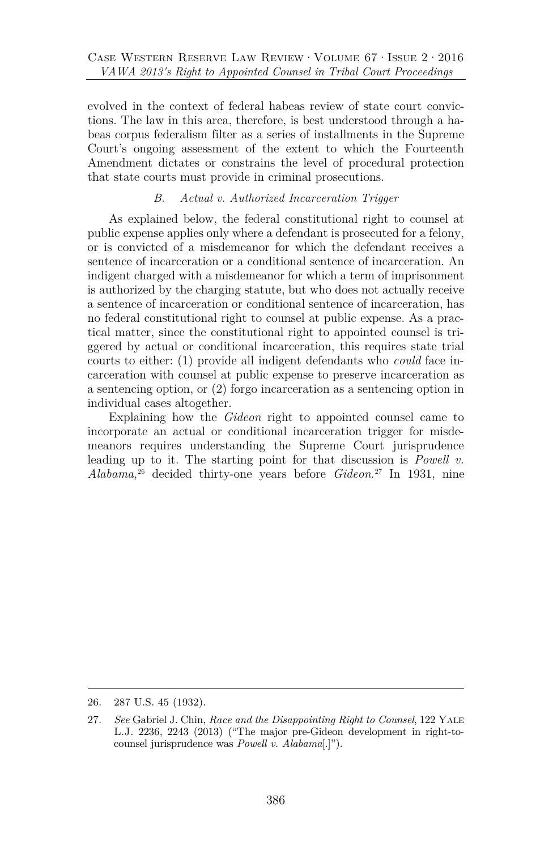evolved in the context of federal habeas review of state court convictions. The law in this area, therefore, is best understood through a habeas corpus federalism filter as a series of installments in the Supreme Court's ongoing assessment of the extent to which the Fourteenth Amendment dictates or constrains the level of procedural protection that state courts must provide in criminal prosecutions.

## *B. Actual v. Authorized Incarceration Trigger*

As explained below, the federal constitutional right to counsel at public expense applies only where a defendant is prosecuted for a felony, or is convicted of a misdemeanor for which the defendant receives a sentence of incarceration or a conditional sentence of incarceration. An indigent charged with a misdemeanor for which a term of imprisonment is authorized by the charging statute, but who does not actually receive a sentence of incarceration or conditional sentence of incarceration, has no federal constitutional right to counsel at public expense. As a practical matter, since the constitutional right to appointed counsel is triggered by actual or conditional incarceration, this requires state trial courts to either: (1) provide all indigent defendants who *could* face incarceration with counsel at public expense to preserve incarceration as a sentencing option, or (2) forgo incarceration as a sentencing option in individual cases altogether.

Explaining how the *Gideon* right to appointed counsel came to incorporate an actual or conditional incarceration trigger for misdemeanors requires understanding the Supreme Court jurisprudence leading up to it. The starting point for that discussion is *Powell v. Alabama*, [26](#page-8-0) decided thirty-one years before *Gideon*. [27](#page-8-1) In 1931, nine

<span id="page-8-0"></span><sup>26.</sup> 287 U.S. 45 (1932).

<span id="page-8-1"></span><sup>27.</sup> *See* Gabriel J. Chin, *Race and the Disappointing Right to Counsel*, 122 Yale L.J. 2236, 2243 (2013) ("The major pre-Gideon development in right-tocounsel jurisprudence was *Powell v. Alabama*[.]").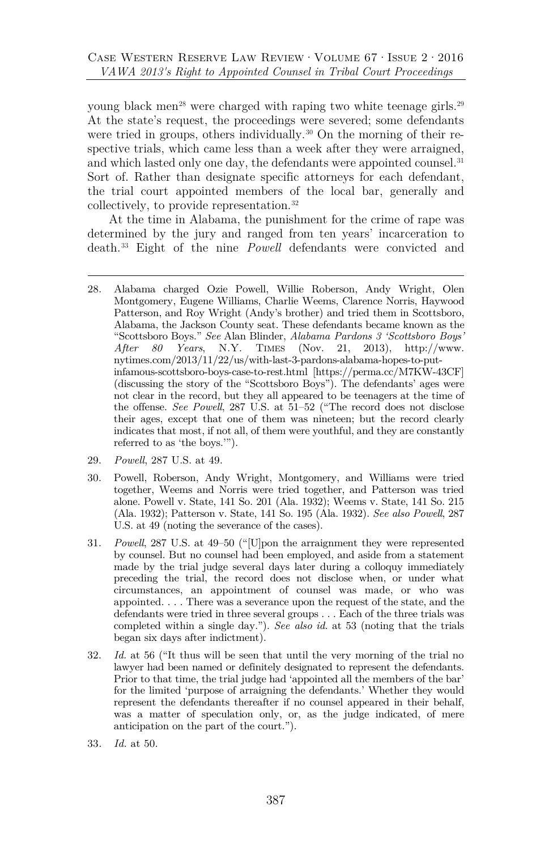young black men<sup>[28](#page-9-0)</sup> were charged with raping two white teenage girls.<sup>29</sup> At the state's request, the proceedings were severed; some defendants were tried in groups, others individually.<sup>[30](#page-9-2)</sup> On the morning of their respective trials, which came less than a week after they were arraigned, and which lasted only one day, the defendants were appointed counsel.<sup>[31](#page-9-3)</sup> Sort of. Rather than designate specific attorneys for each defendant, the trial court appointed members of the local bar, generally and collectively, to provide representation.[32](#page-9-4)

At the time in Alabama, the punishment for the crime of rape was determined by the jury and ranged from ten years' incarceration to death.[33](#page-9-5) Eight of the nine *Powell* defendants were convicted and

- <span id="page-9-1"></span>29. *Powell*, 287 U.S. at 49.
- <span id="page-9-2"></span>30. Powell, Roberson, Andy Wright, Montgomery, and Williams were tried together, Weems and Norris were tried together, and Patterson was tried alone. Powell v. State, 141 So. 201 (Ala. 1932); Weems v. State, 141 So. 215 (Ala. 1932); Patterson v. State, 141 So. 195 (Ala. 1932). *See also Powell*, 287 U.S. at 49 (noting the severance of the cases).
- <span id="page-9-3"></span>31. *Powell*, 287 U.S. at 49–50 ("[U]pon the arraignment they were represented by counsel. But no counsel had been employed, and aside from a statement made by the trial judge several days later during a colloquy immediately preceding the trial, the record does not disclose when, or under what circumstances, an appointment of counsel was made, or who was appointed. . . . There was a severance upon the request of the state, and the defendants were tried in three several groups . . . Each of the three trials was completed within a single day."). *See also id.* at 53 (noting that the trials began six days after indictment).
- <span id="page-9-4"></span>32. *Id.* at 56 ("It thus will be seen that until the very morning of the trial no lawyer had been named or definitely designated to represent the defendants. Prior to that time, the trial judge had 'appointed all the members of the bar' for the limited 'purpose of arraigning the defendants.' Whether they would represent the defendants thereafter if no counsel appeared in their behalf, was a matter of speculation only, or, as the judge indicated, of mere anticipation on the part of the court.").
- <span id="page-9-5"></span>33*. Id.* at 50.

<span id="page-9-0"></span><sup>28.</sup> Alabama charged Ozie Powell, Willie Roberson, Andy Wright, Olen Montgomery, Eugene Williams, Charlie Weems, Clarence Norris, Haywood Patterson, and Roy Wright (Andy's brother) and tried them in Scottsboro, Alabama, the Jackson County seat. These defendants became known as the "Scottsboro Boys." *See* Alan Blinder, *Alabama Pardons 3 'Scottsboro Boys' After 80 Years*, N.Y. Times (Nov. 21, 2013), http://www. nytimes.com/2013/11/22/us/with-last-3-pardons-alabama-hopes-to-putinfamous-scottsboro-boys-case-to-rest.html [https://perma.cc/M7KW-43CF] (discussing the story of the "Scottsboro Boys"). The defendants' ages were not clear in the record, but they all appeared to be teenagers at the time of the offense. *See Powell*, 287 U.S. at 51–52 ("The record does not disclose their ages, except that one of them was nineteen; but the record clearly indicates that most, if not all, of them were youthful, and they are constantly referred to as 'the boys.'").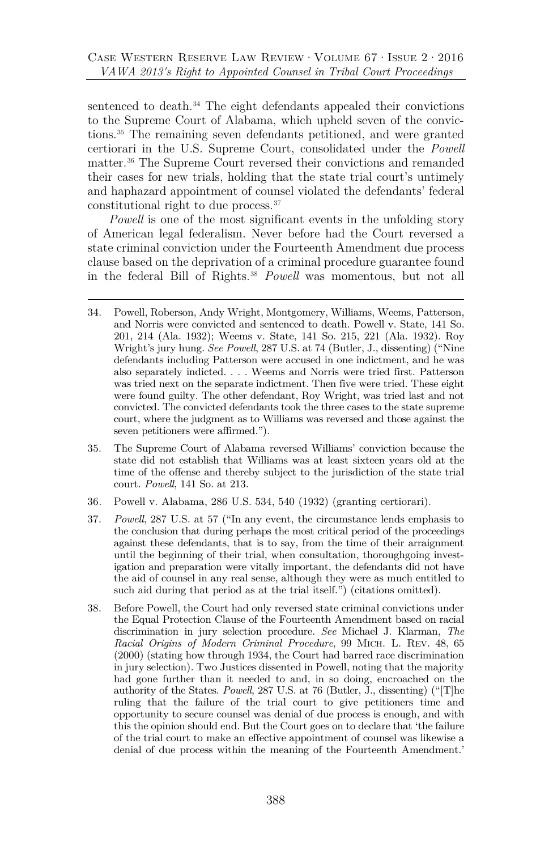sentenced to death.<sup>[34](#page-10-0)</sup> The eight defendants appealed their convictions to the Supreme Court of Alabama, which upheld seven of the convictions.[35](#page-10-1) The remaining seven defendants petitioned, and were granted certiorari in the U.S. Supreme Court, consolidated under the *Powell* matter.[36](#page-10-2) The Supreme Court reversed their convictions and remanded their cases for new trials, holding that the state trial court's untimely and haphazard appointment of counsel violated the defendants' federal constitutional right to due process.[37](#page-10-3)

*Powell* is one of the most significant events in the unfolding story of American legal federalism. Never before had the Court reversed a state criminal conviction under the Fourteenth Amendment due process clause based on the deprivation of a criminal procedure guarantee found in the federal Bill of Rights.[38](#page-10-4) *Powell* was momentous, but not all

- <span id="page-10-0"></span>34. Powell, Roberson, Andy Wright, Montgomery, Williams, Weems, Patterson, and Norris were convicted and sentenced to death. Powell v. State, 141 So. 201, 214 (Ala. 1932); Weems v. State, 141 So. 215, 221 (Ala. 1932). Roy Wright's jury hung. *See Powell*, 287 U.S. at 74 (Butler, J., dissenting) ("Nine defendants including Patterson were accused in one indictment, and he was also separately indicted. . . . Weems and Norris were tried first. Patterson was tried next on the separate indictment. Then five were tried. These eight were found guilty. The other defendant, Roy Wright, was tried last and not convicted. The convicted defendants took the three cases to the state supreme court, where the judgment as to Williams was reversed and those against the seven petitioners were affirmed.").
- <span id="page-10-1"></span>35. The Supreme Court of Alabama reversed Williams' conviction because the state did not establish that Williams was at least sixteen years old at the time of the offense and thereby subject to the jurisdiction of the state trial court. *Powell*, 141 So. at 213.
- <span id="page-10-2"></span>36*.* Powell v. Alabama, 286 U.S. 534, 540 (1932) (granting certiorari).
- <span id="page-10-3"></span>37. *Powell*, 287 U.S. at 57 ("In any event, the circumstance lends emphasis to the conclusion that during perhaps the most critical period of the proceedings against these defendants, that is to say, from the time of their arraignment until the beginning of their trial, when consultation, thoroughgoing investigation and preparation were vitally important, the defendants did not have the aid of counsel in any real sense, although they were as much entitled to such aid during that period as at the trial itself.") (citations omitted).
- <span id="page-10-4"></span>38. Before Powell, the Court had only reversed state criminal convictions under the Equal Protection Clause of the Fourteenth Amendment based on racial discrimination in jury selection procedure. *See* Michael J. Klarman, *The Racial Origins of Modern Criminal Procedure*, 99 Mich. L. Rev. 48, 65 (2000) (stating how through 1934, the Court had barred race discrimination in jury selection). Two Justices dissented in Powell, noting that the majority had gone further than it needed to and, in so doing, encroached on the authority of the States. *Powell*, 287 U.S. at 76 (Butler, J., dissenting) ("[T]he ruling that the failure of the trial court to give petitioners time and opportunity to secure counsel was denial of due process is enough, and with this the opinion should end. But the Court goes on to declare that 'the failure of the trial court to make an effective appointment of counsel was likewise a denial of due process within the meaning of the Fourteenth Amendment.'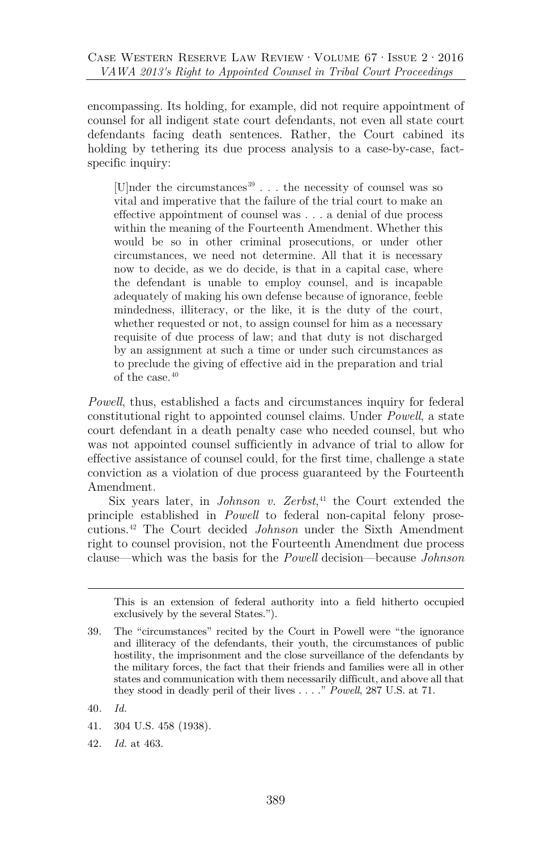encompassing. Its holding, for example, did not require appointment of counsel for all indigent state court defendants, not even all state court defendants facing death sentences. Rather, the Court cabined its holding by tethering its due process analysis to a case-by-case, factspecific inquiry:

[U]nder the circumstances<sup>[39](#page-11-0)</sup> . . . the necessity of counsel was so vital and imperative that the failure of the trial court to make an effective appointment of counsel was . . . a denial of due process within the meaning of the Fourteenth Amendment. Whether this would be so in other criminal prosecutions, or under other circumstances, we need not determine. All that it is necessary now to decide, as we do decide, is that in a capital case, where the defendant is unable to employ counsel, and is incapable adequately of making his own defense because of ignorance, feeble mindedness, illiteracy, or the like, it is the duty of the court, whether requested or not, to assign counsel for him as a necessary requisite of due process of law; and that duty is not discharged by an assignment at such a time or under such circumstances as to preclude the giving of effective aid in the preparation and trial of the case.[40](#page-11-1)

<span id="page-11-4"></span>*Powell*, thus, established a facts and circumstances inquiry for federal constitutional right to appointed counsel claims. Under *Powell*, a state court defendant in a death penalty case who needed counsel, but who was not appointed counsel sufficiently in advance of trial to allow for effective assistance of counsel could, for the first time, challenge a state conviction as a violation of due process guaranteed by the Fourteenth Amendment.

Six years later, in *Johnson v. Zerbst*, [41](#page-11-2) the Court extended the principle established in *Powell* to federal non-capital felony prosecutions.[42](#page-11-3) The Court decided *Johnson* under the Sixth Amendment right to counsel provision, not the Fourteenth Amendment due process clause—which was the basis for the *Powell* decision—because *Johnson*

<span id="page-11-1"></span>40*. Id.*

<span id="page-11-2"></span>41. 304 U.S. 458 (1938).

<span id="page-11-3"></span>42. *Id.* at 463.

This is an extension of federal authority into a field hitherto occupied exclusively by the several States.").

<span id="page-11-0"></span><sup>39.</sup> The "circumstances" recited by the Court in Powell were "the ignorance and illiteracy of the defendants, their youth, the circumstances of public hostility, the imprisonment and the close surveillance of the defendants by the military forces, the fact that their friends and families were all in other states and communication with them necessarily difficult, and above all that they stood in deadly peril of their lives . . . ." *Powell*, 287 U.S. at 71.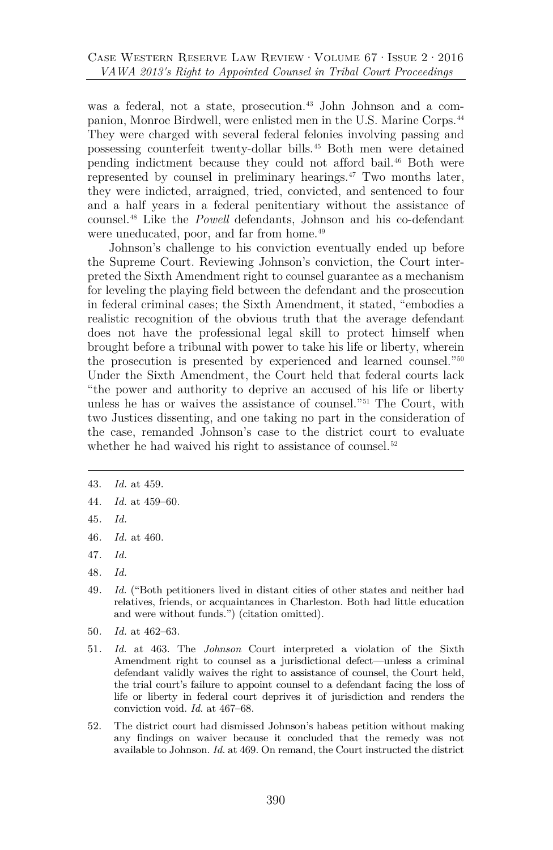was a federal, not a state, prosecution.<sup>[43](#page-12-0)</sup> John Johnson and a companion, Monroe Birdwell, were enlisted men in the U.S. Marine Corps.[44](#page-12-1) They were charged with several federal felonies involving passing and possessing counterfeit twenty-dollar bills.[45](#page-12-2) Both men were detained pending indictment because they could not afford bail.[46](#page-12-3) Both were represented by counsel in preliminary hearings.<sup>47</sup> Two months later, they were indicted, arraigned, tried, convicted, and sentenced to four and a half years in a federal penitentiary without the assistance of counsel.[48](#page-12-5) Like the *Powell* defendants, Johnson and his co-defendant were uneducated, poor, and far from home.<sup>49</sup>

Johnson's challenge to his conviction eventually ended up before the Supreme Court. Reviewing Johnson's conviction, the Court interpreted the Sixth Amendment right to counsel guarantee as a mechanism for leveling the playing field between the defendant and the prosecution in federal criminal cases; the Sixth Amendment, it stated, "embodies a realistic recognition of the obvious truth that the average defendant does not have the professional legal skill to protect himself when brought before a tribunal with power to take his life or liberty, wherein the prosecution is presented by experienced and learned counsel."[50](#page-12-7) Under the Sixth Amendment, the Court held that federal courts lack "the power and authority to deprive an accused of his life or liberty unless he has or waives the assistance of counsel."[51](#page-12-8) The Court, with two Justices dissenting, and one taking no part in the consideration of the case, remanded Johnson's case to the district court to evaluate whether he had waived his right to assistance of counsel.<sup>[52](#page-13-0)</sup>

- <span id="page-12-0"></span>45*. Id.*
- <span id="page-12-1"></span>46*. Id.* at 460.
- <span id="page-12-2"></span>47*. Id.*
- <span id="page-12-3"></span>48*. Id.*
- <span id="page-12-5"></span><span id="page-12-4"></span>49*. Id.* ("Both petitioners lived in distant cities of other states and neither had relatives, friends, or acquaintances in Charleston. Both had little education and were without funds.") (citation omitted).
- <span id="page-12-6"></span>50*. Id.* at 462–63.
- <span id="page-12-8"></span><span id="page-12-7"></span>51*. Id.* at 463. The *Johnson* Court interpreted a violation of the Sixth Amendment right to counsel as a jurisdictional defect—unless a criminal defendant validly waives the right to assistance of counsel, the Court held, the trial court's failure to appoint counsel to a defendant facing the loss of life or liberty in federal court deprives it of jurisdiction and renders the conviction void. *Id.* at 467–68.
- 52. The district court had dismissed Johnson's habeas petition without making any findings on waiver because it concluded that the remedy was not available to Johnson. *Id.* at 469. On remand, the Court instructed the district

<sup>43.</sup> *Id.* at 459.

<sup>44</sup>*. Id.* at 459–60.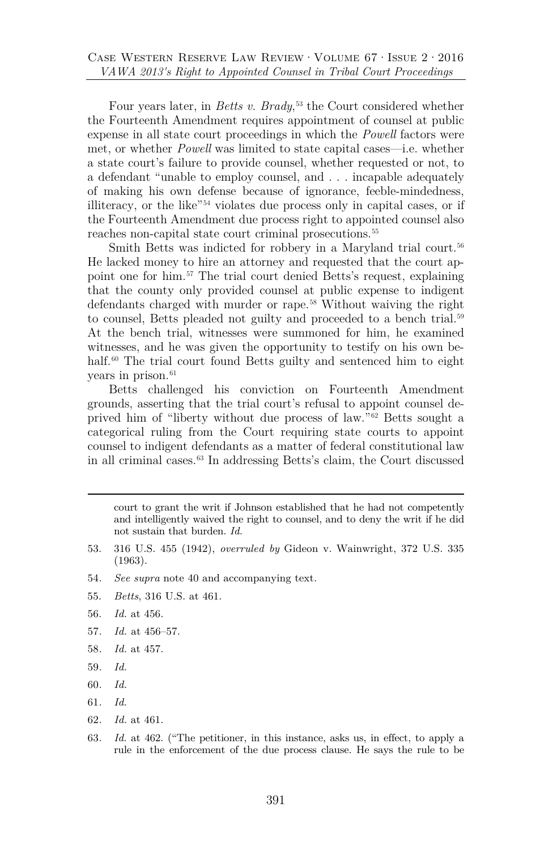Four years later, in *Betts v. Brady*, [53](#page-13-1) the Court considered whether the Fourteenth Amendment requires appointment of counsel at public expense in all state court proceedings in which the *Powell* factors were met, or whether *Powell* was limited to state capital cases—i.e. whether a state court's failure to provide counsel, whether requested or not, to a defendant "unable to employ counsel, and . . . incapable adequately of making his own defense because of ignorance, feeble-mindedness, illiteracy, or the like"[54](#page-13-2) violates due process only in capital cases, or if the Fourteenth Amendment due process right to appointed counsel also reaches non-capital state court criminal prosecutions.[55](#page-13-3)

Smith Betts was indicted for robbery in a Maryland trial court.<sup>[56](#page-13-4)</sup> He lacked money to hire an attorney and requested that the court appoint one for him.[57](#page-13-5) The trial court denied Betts's request, explaining that the county only provided counsel at public expense to indigent defendants charged with murder or rape.[58](#page-13-6) Without waiving the right to counsel, Betts pleaded not guilty and proceeded to a bench trial.[59](#page-13-7) At the bench trial, witnesses were summoned for him, he examined witnesses, and he was given the opportunity to testify on his own be-half.<sup>[60](#page-13-8)</sup> The trial court found Betts guilty and sentenced him to eight vears in prison. $61$ 

Betts challenged his conviction on Fourteenth Amendment grounds, asserting that the trial court's refusal to appoint counsel deprived him of "liberty without due process of law."[62](#page-13-10) Betts sought a categorical ruling from the Court requiring state courts to appoint counsel to indigent defendants as a matter of federal constitutional law in all criminal cases.[63](#page-14-0) In addressing Betts's claim, the Court discussed

- <span id="page-13-1"></span>54*. See supra* note [40](#page-11-4) and accompanying text.
- <span id="page-13-2"></span>55. *Betts*, 316 U.S. at 461.
- <span id="page-13-3"></span>56. *Id.* at 456.
- <span id="page-13-4"></span>57*. Id.* at 456–57.
- <span id="page-13-5"></span>58*. Id.* at 457.
- <span id="page-13-6"></span>59*. Id.*
- <span id="page-13-7"></span>60*. Id.*
- <span id="page-13-8"></span>61*. Id.*
- <span id="page-13-9"></span>62*. Id.* at 461.
- <span id="page-13-10"></span>63*. Id.* at 462. ("The petitioner, in this instance, asks us, in effect, to apply a rule in the enforcement of the due process clause. He says the rule to be

court to grant the writ if Johnson established that he had not competently and intelligently waived the right to counsel, and to deny the writ if he did not sustain that burden. *Id.*

<span id="page-13-0"></span><sup>53.</sup> 316 U.S. 455 (1942), *overruled by* Gideon v. Wainwright, 372 U.S. 335 (1963).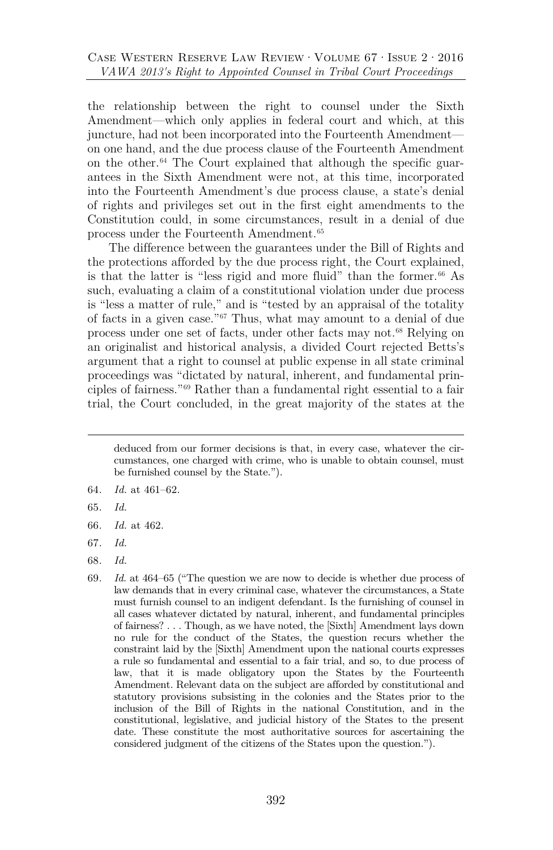the relationship between the right to counsel under the Sixth Amendment—which only applies in federal court and which, at this juncture, had not been incorporated into the Fourteenth Amendment on one hand, and the due process clause of the Fourteenth Amendment on the other.<sup>[64](#page-14-1)</sup> The Court explained that although the specific guarantees in the Sixth Amendment were not, at this time, incorporated into the Fourteenth Amendment's due process clause, a state's denial of rights and privileges set out in the first eight amendments to the Constitution could, in some circumstances, result in a denial of due process under the Fourteenth Amendment.[65](#page-14-2)

The difference between the guarantees under the Bill of Rights and the protections afforded by the due process right, the Court explained, is that the latter is "less rigid and more fluid" than the former.<sup>[66](#page-14-3)</sup> As such, evaluating a claim of a constitutional violation under due process is "less a matter of rule," and is "tested by an appraisal of the totality of facts in a given case."[67](#page-14-4) Thus, what may amount to a denial of due process under one set of facts, under other facts may not.[68](#page-14-5) Relying on an originalist and historical analysis, a divided Court rejected Betts's argument that a right to counsel at public expense in all state criminal proceedings was "dictated by natural, inherent, and fundamental principles of fairness.["69](#page-14-6) Rather than a fundamental right essential to a fair trial, the Court concluded, in the great majority of the states at the

<span id="page-14-0"></span>64*. Id.* at 461–62.

- 66*. Id.* at 462.
- <span id="page-14-1"></span>67*. Id.*
- <span id="page-14-2"></span>68*. Id.*
- <span id="page-14-6"></span><span id="page-14-5"></span><span id="page-14-4"></span><span id="page-14-3"></span>69*. Id.* at 464–65 ("The question we are now to decide is whether due process of law demands that in every criminal case, whatever the circumstances, a State must furnish counsel to an indigent defendant. Is the furnishing of counsel in all cases whatever dictated by natural, inherent, and fundamental principles of fairness? . . . Though, as we have noted, the [Sixth] Amendment lays down no rule for the conduct of the States, the question recurs whether the constraint laid by the [Sixth] Amendment upon the national courts expresses a rule so fundamental and essential to a fair trial, and so, to due process of law, that it is made obligatory upon the States by the Fourteenth Amendment. Relevant data on the subject are afforded by constitutional and statutory provisions subsisting in the colonies and the States prior to the inclusion of the Bill of Rights in the national Constitution, and in the constitutional, legislative, and judicial history of the States to the present date. These constitute the most authoritative sources for ascertaining the considered judgment of the citizens of the States upon the question.").

deduced from our former decisions is that, in every case, whatever the circumstances, one charged with crime, who is unable to obtain counsel, must be furnished counsel by the State.").

<sup>65</sup>*. Id.*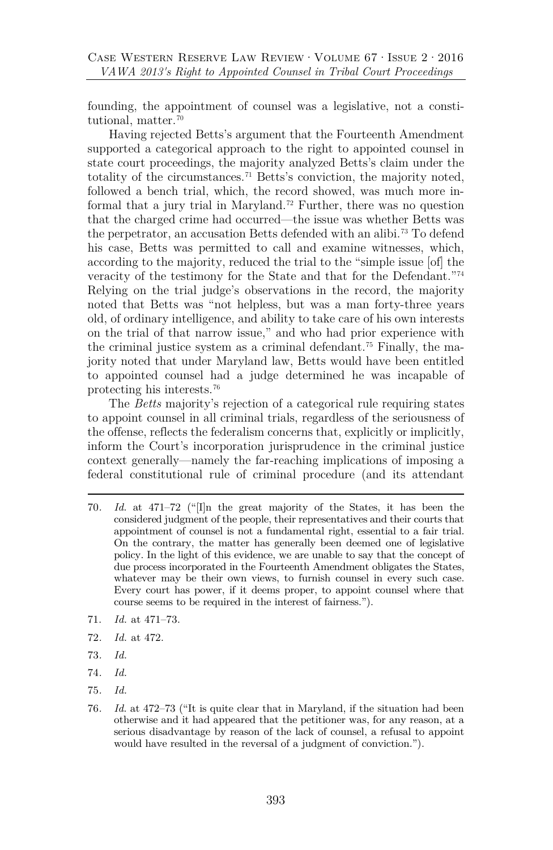founding, the appointment of counsel was a legislative, not a constitutional, matter.[70](#page-15-0)

Having rejected Betts's argument that the Fourteenth Amendment supported a categorical approach to the right to appointed counsel in state court proceedings, the majority analyzed Betts's claim under the totality of the circumstances. [71](#page-15-1) Betts's conviction, the majority noted, followed a bench trial, which, the record showed, was much more in-formal that a jury trial in Maryland.<sup>[72](#page-15-2)</sup> Further, there was no question that the charged crime had occurred—the issue was whether Betts was the perpetrator, an accusation Betts defended with an alibi.[73](#page-15-3) To defend his case, Betts was permitted to call and examine witnesses, which, according to the majority, reduced the trial to the "simple issue [of] the veracity of the testimony for the State and that for the Defendant."[74](#page-15-4) Relying on the trial judge's observations in the record, the majority noted that Betts was "not helpless, but was a man forty-three years old, of ordinary intelligence, and ability to take care of his own interests on the trial of that narrow issue," and who had prior experience with the criminal justice system as a criminal defendant.[75](#page-15-5) Finally, the majority noted that under Maryland law, Betts would have been entitled to appointed counsel had a judge determined he was incapable of protecting his interests[.76](#page-15-6)

The *Betts* majority's rejection of a categorical rule requiring states to appoint counsel in all criminal trials, regardless of the seriousness of the offense, reflects the federalism concerns that, explicitly or implicitly, inform the Court's incorporation jurisprudence in the criminal justice context generally—namely the far-reaching implications of imposing a federal constitutional rule of criminal procedure (and its attendant

- <span id="page-15-0"></span>70*. Id.* at 471–72 ("[I]n the great majority of the States, it has been the considered judgment of the people, their representatives and their courts that appointment of counsel is not a fundamental right, essential to a fair trial. On the contrary, the matter has generally been deemed one of legislative policy. In the light of this evidence, we are unable to say that the concept of due process incorporated in the Fourteenth Amendment obligates the States, whatever may be their own views, to furnish counsel in every such case. Every court has power, if it deems proper, to appoint counsel where that course seems to be required in the interest of fairness.").
- <span id="page-15-1"></span>71. *Id.* at 471–73.
- <span id="page-15-2"></span>72*. Id.* at 472.
- <span id="page-15-3"></span>73*. Id.*
- <span id="page-15-4"></span>74*. Id.*
- <span id="page-15-5"></span>75*. Id.*
- <span id="page-15-6"></span>76*. Id.* at 472–73 ("It is quite clear that in Maryland, if the situation had been otherwise and it had appeared that the petitioner was, for any reason, at a serious disadvantage by reason of the lack of counsel, a refusal to appoint would have resulted in the reversal of a judgment of conviction.").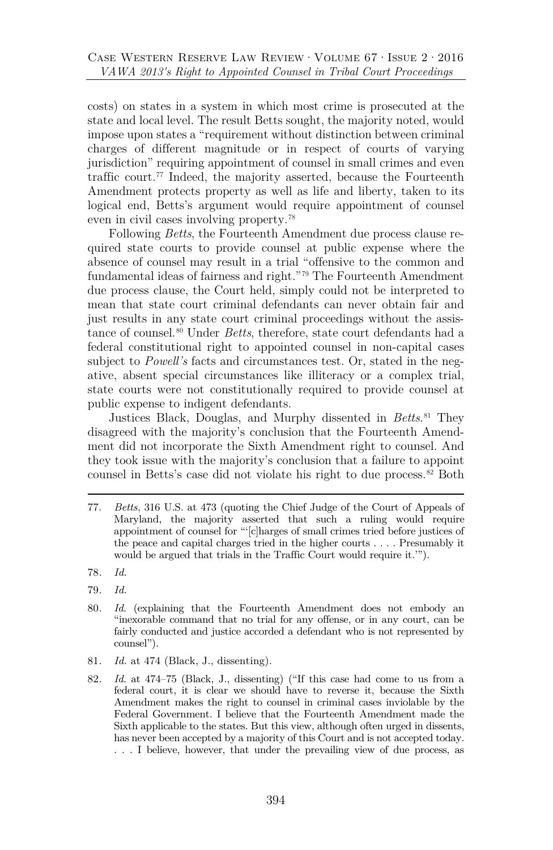costs) on states in a system in which most crime is prosecuted at the state and local level. The result Betts sought, the majority noted, would impose upon states a "requirement without distinction between criminal charges of different magnitude or in respect of courts of varying jurisdiction" requiring appointment of counsel in small crimes and even traffic court.[77](#page-16-0) Indeed, the majority asserted, because the Fourteenth Amendment protects property as well as life and liberty, taken to its logical end, Betts's argument would require appointment of counsel even in civil cases involving property.[78](#page-16-1)

Following *Betts*, the Fourteenth Amendment due process clause required state courts to provide counsel at public expense where the absence of counsel may result in a trial "offensive to the common and fundamental ideas of fairness and right."[79](#page-16-2) The Fourteenth Amendment due process clause, the Court held, simply could not be interpreted to mean that state court criminal defendants can never obtain fair and just results in any state court criminal proceedings without the assistance of counsel.[80](#page-16-3) Under *Betts*, therefore, state court defendants had a federal constitutional right to appointed counsel in non-capital cases subject to *Powell's* facts and circumstances test. Or, stated in the negative, absent special circumstances like illiteracy or a complex trial, state courts were not constitutionally required to provide counsel at public expense to indigent defendants.

Justices Black, Douglas, and Murphy dissented in *Betts*. [81](#page-16-4) They disagreed with the majority's conclusion that the Fourteenth Amendment did not incorporate the Sixth Amendment right to counsel. And they took issue with the majority's conclusion that a failure to appoint counsel in Betts's case did not violate his right to due process.<sup>[82](#page-17-0)</sup> Both

- 77. *Betts*, 316 U.S. at 473 (quoting the Chief Judge of the Court of Appeals of Maryland, the majority asserted that such a ruling would require appointment of counsel for "'[c]harges of small crimes tried before justices of the peace and capital charges tried in the higher courts . . . . Presumably it would be argued that trials in the Traffic Court would require it.'").
- 78*. Id.*
- <span id="page-16-0"></span>79*. Id.*
- 80*. Id.* (explaining that the Fourteenth Amendment does not embody an "inexorable command that no trial for any offense, or in any court, can be fairly conducted and justice accorded a defendant who is not represented by counsel").
- <span id="page-16-2"></span><span id="page-16-1"></span>81*. Id.* at 474 (Black, J., dissenting).
- <span id="page-16-4"></span><span id="page-16-3"></span>82*. Id.* at 474–75 (Black, J., dissenting) ("If this case had come to us from a federal court, it is clear we should have to reverse it, because the Sixth Amendment makes the right to counsel in criminal cases inviolable by the Federal Government. I believe that the Fourteenth Amendment made the Sixth applicable to the states. But this view, although often urged in dissents, has never been accepted by a majority of this Court and is not accepted today. . . . I believe, however, that under the prevailing view of due process, as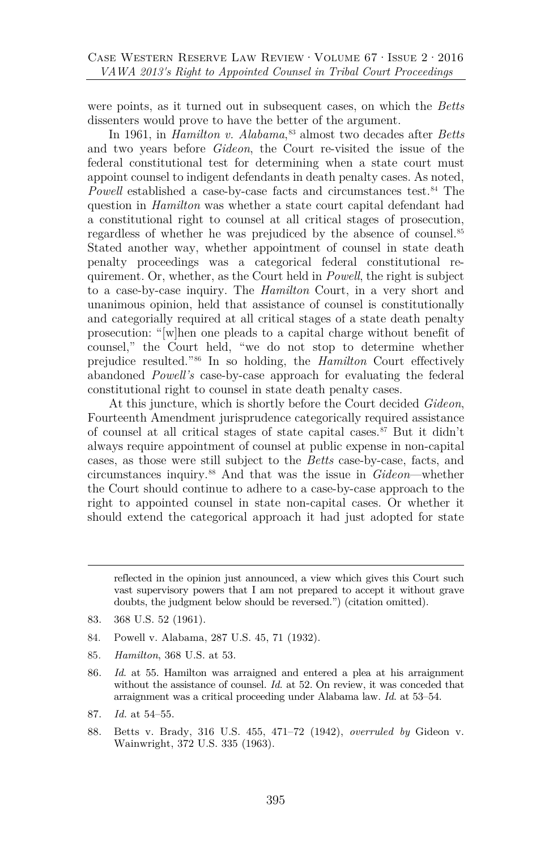were points, as it turned out in subsequent cases, on which the *Betts* dissenters would prove to have the better of the argument.

In 1961, in *Hamilton v. Alabama*, [83](#page-17-1) almost two decades after *Betts* and two years before *Gideon*, the Court re-visited the issue of the federal constitutional test for determining when a state court must appoint counsel to indigent defendants in death penalty cases. As noted, *Powell* established a case-by-case facts and circumstances test.<sup>[84](#page-17-2)</sup> The question in *Hamilton* was whether a state court capital defendant had a constitutional right to counsel at all critical stages of prosecution, regardless of whether he was prejudiced by the absence of counsel.[85](#page-17-3) Stated another way, whether appointment of counsel in state death penalty proceedings was a categorical federal constitutional requirement. Or, whether, as the Court held in *Powell*, the right is subject to a case-by-case inquiry. The *Hamilton* Court, in a very short and unanimous opinion, held that assistance of counsel is constitutionally and categorially required at all critical stages of a state death penalty prosecution: "[w]hen one pleads to a capital charge without benefit of counsel," the Court held, "we do not stop to determine whether prejudice resulted."[86](#page-17-4) In so holding, the *Hamilton* Court effectively abandoned *Powell's* case-by-case approach for evaluating the federal constitutional right to counsel in state death penalty cases.

At this juncture, which is shortly before the Court decided *Gideon*, Fourteenth Amendment jurisprudence categorically required assistance of counsel at all critical stages of state capital cases.[87](#page-17-5) But it didn't always require appointment of counsel at public expense in non-capital cases, as those were still subject to the *Betts* case-by-case, facts, and circumstances inquiry.[88](#page-18-0) And that was the issue in *Gideon*—whether the Court should continue to adhere to a case-by-case approach to the right to appointed counsel in state non-capital cases. Or whether it should extend the categorical approach it had just adopted for state

<span id="page-17-0"></span>reflected in the opinion just announced, a view which gives this Court such vast supervisory powers that I am not prepared to accept it without grave doubts, the judgment below should be reversed.") (citation omitted).

- 83. 368 U.S. 52 (1961).
- <span id="page-17-1"></span>84. Powell v. Alabama, 287 U.S. 45, 71 (1932).
- <span id="page-17-2"></span>85*. Hamilton*, 368 U.S. at 53.
- <span id="page-17-3"></span>86. *Id.* at 55. Hamilton was arraigned and entered a plea at his arraignment without the assistance of counsel. *Id.* at 52. On review, it was conceded that arraignment was a critical proceeding under Alabama law. *Id.* at 53–54.
- <span id="page-17-4"></span>87. *Id.* at 54–55.
- <span id="page-17-5"></span>88. Betts v. Brady, 316 U.S. 455, 471–72 (1942), *overruled by* Gideon v. Wainwright, 372 U.S. 335 (1963).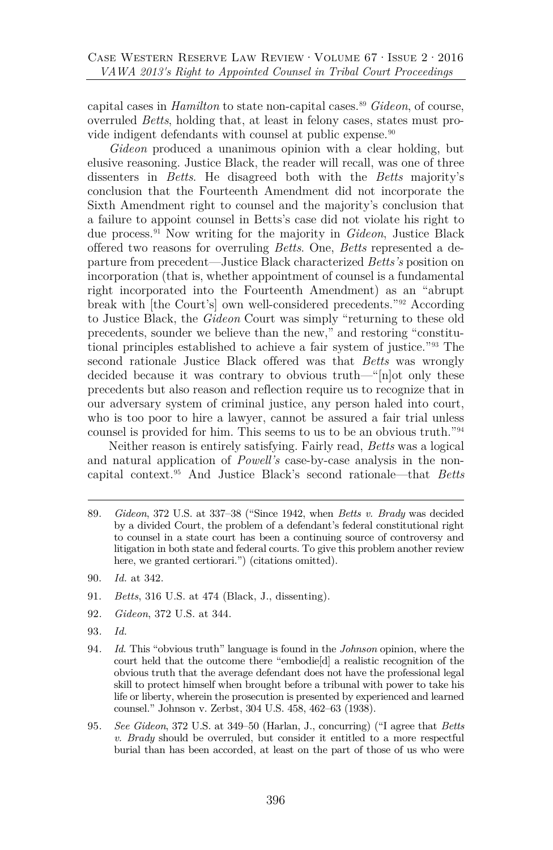capital cases in *Hamilton* to state non-capital cases.<sup>[89](#page-18-1)</sup> *Gideon*, of course, overruled *Betts*, holding that, at least in felony cases, states must pro-vide indigent defendants with counsel at public expense.<sup>[90](#page-18-2)</sup>

*Gideon* produced a unanimous opinion with a clear holding, but elusive reasoning. Justice Black, the reader will recall, was one of three dissenters in *Betts*. He disagreed both with the *Betts* majority's conclusion that the Fourteenth Amendment did not incorporate the Sixth Amendment right to counsel and the majority's conclusion that a failure to appoint counsel in Betts's case did not violate his right to due process.[91](#page-18-3) Now writing for the majority in *Gideon*, Justice Black offered two reasons for overruling *Betts*. One, *Betts* represented a departure from precedent—Justice Black characterized *Betts's* position on incorporation (that is, whether appointment of counsel is a fundamental right incorporated into the Fourteenth Amendment) as an "abrupt break with [the Court's] own well-considered precedents."[92](#page-18-4) According to Justice Black, the *Gideon* Court was simply "returning to these old precedents, sounder we believe than the new," and restoring "constitutional principles established to achieve a fair system of justice."[93](#page-18-5) The second rationale Justice Black offered was that *Betts* was wrongly decided because it was contrary to obvious truth—"[n]ot only these precedents but also reason and reflection require us to recognize that in our adversary system of criminal justice, any person haled into court, who is too poor to hire a lawyer, cannot be assured a fair trial unless counsel is provided for him. This seems to us to be an obvious truth."[94](#page-18-6)

Neither reason is entirely satisfying. Fairly read, *Betts* was a logical and natural application of *Powell's* case-by-case analysis in the noncapital context.[95](#page-19-0) And Justice Black's second rationale—that *Betts*

- <span id="page-18-0"></span>89. *Gideon*, 372 U.S. at 337–38 ("Since 1942, when *Betts v. Brady* was decided by a divided Court, the problem of a defendant's federal constitutional right to counsel in a state court has been a continuing source of controversy and litigation in both state and federal courts. To give this problem another review here, we granted certiorari.") (citations omitted).
- <span id="page-18-1"></span>90. *Id.* at 342.
- 91. *Betts*, 316 U.S. at 474 (Black, J., dissenting).
- 92*. Gideon*, 372 U.S. at 344.
- <span id="page-18-2"></span>93*. Id.*
- <span id="page-18-4"></span><span id="page-18-3"></span>94*. Id.* This "obvious truth" language is found in the *Johnson* opinion, where the court held that the outcome there "embodie[d] a realistic recognition of the obvious truth that the average defendant does not have the professional legal skill to protect himself when brought before a tribunal with power to take his life or liberty, wherein the prosecution is presented by experienced and learned counsel." Johnson v. Zerbst, 304 U.S. 458, 462–63 (1938).
- <span id="page-18-6"></span><span id="page-18-5"></span>95*. See Gideon*, 372 U.S. at 349–50 (Harlan, J., concurring) ("I agree that *Betts v. Brady* should be overruled, but consider it entitled to a more respectful burial than has been accorded, at least on the part of those of us who were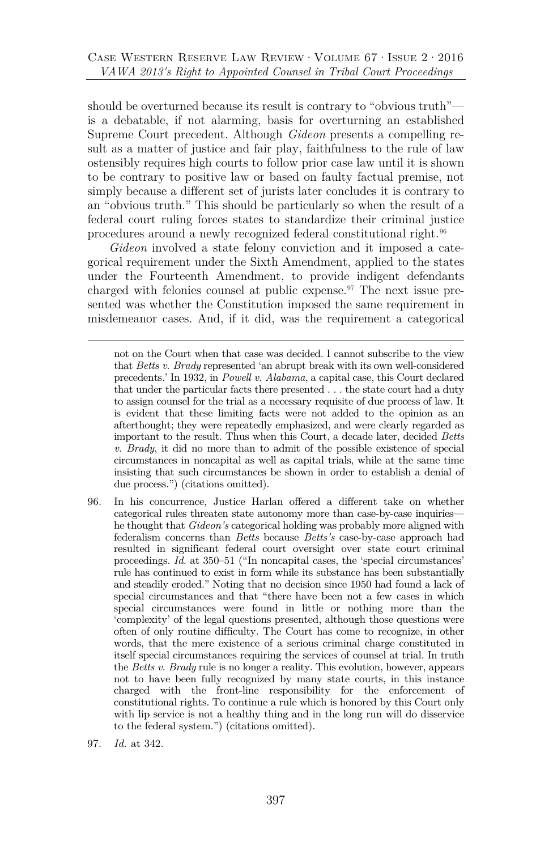should be overturned because its result is contrary to "obvious truth" is a debatable, if not alarming, basis for overturning an established Supreme Court precedent. Although *Gideon* presents a compelling result as a matter of justice and fair play, faithfulness to the rule of law ostensibly requires high courts to follow prior case law until it is shown to be contrary to positive law or based on faulty factual premise, not simply because a different set of jurists later concludes it is contrary to an "obvious truth." This should be particularly so when the result of a federal court ruling forces states to standardize their criminal justice procedures around a newly recognized federal constitutional right.[96](#page-19-1)

*Gideon* involved a state felony conviction and it imposed a categorical requirement under the Sixth Amendment, applied to the states under the Fourteenth Amendment, to provide indigent defendants charged with felonies counsel at public expense.[97](#page-20-0) The next issue presented was whether the Constitution imposed the same requirement in misdemeanor cases. And, if it did, was the requirement a categorical

<span id="page-19-0"></span>not on the Court when that case was decided. I cannot subscribe to the view that *Betts v. Brady* represented 'an abrupt break with its own well-considered precedents.' In 1932, in *Powell v. Alabama*, a capital case, this Court declared that under the particular facts there presented . . . the state court had a duty to assign counsel for the trial as a necessary requisite of due process of law. It is evident that these limiting facts were not added to the opinion as an afterthought; they were repeatedly emphasized, and were clearly regarded as important to the result. Thus when this Court, a decade later, decided *Betts v. Brady*, it did no more than to admit of the possible existence of special circumstances in noncapital as well as capital trials, while at the same time insisting that such circumstances be shown in order to establish a denial of due process.") (citations omitted).

- <span id="page-19-1"></span>96. In his concurrence, Justice Harlan offered a different take on whether categorical rules threaten state autonomy more than case-by-case inquiries he thought that *Gideon's* categorical holding was probably more aligned with federalism concerns than *Betts* because *Betts's* case-by-case approach had resulted in significant federal court oversight over state court criminal proceedings. *Id.* at 350–51 ("In noncapital cases, the 'special circumstances' rule has continued to exist in form while its substance has been substantially and steadily eroded." Noting that no decision since 1950 had found a lack of special circumstances and that "there have been not a few cases in which special circumstances were found in little or nothing more than the 'complexity' of the legal questions presented, although those questions were often of only routine difficulty. The Court has come to recognize, in other words, that the mere existence of a serious criminal charge constituted in itself special circumstances requiring the services of counsel at trial. In truth the *Betts v. Brady* rule is no longer a reality. This evolution, however, appears not to have been fully recognized by many state courts, in this instance charged with the front-line responsibility for the enforcement of constitutional rights. To continue a rule which is honored by this Court only with lip service is not a healthy thing and in the long run will do disservice to the federal system.") (citations omitted).
- 97. *Id.* at 342.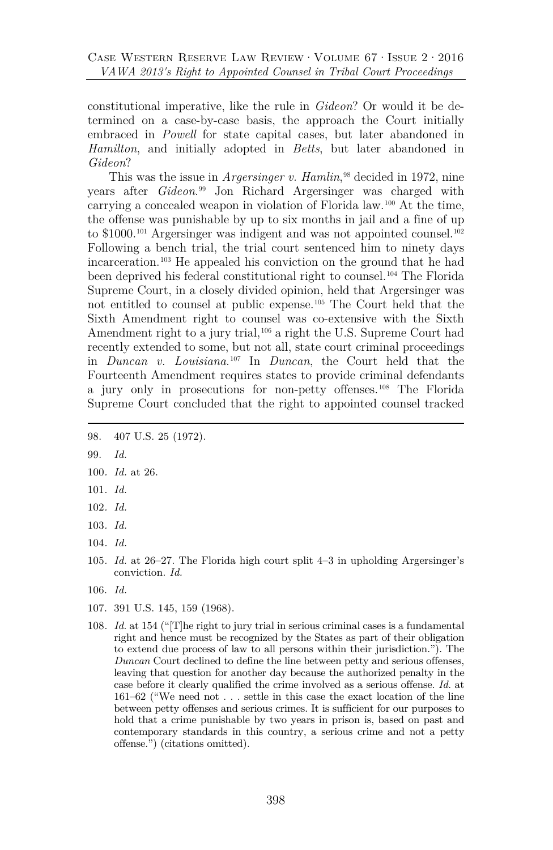constitutional imperative, like the rule in *Gideon*? Or would it be determined on a case-by-case basis, the approach the Court initially embraced in *Powell* for state capital cases, but later abandoned in *Hamilton*, and initially adopted in *Betts*, but later abandoned in *Gideon*?

This was the issue in *Argersinger v. Hamlin*, [98](#page-20-1) decided in 1972, nine years after *Gideon*. [99](#page-20-2) Jon Richard Argersinger was charged with carrying a concealed weapon in violation of Florida law.[100](#page-20-3) At the time, the offense was punishable by up to six months in jail and a fine of up to \$1000.<sup>[101](#page-20-4)</sup> Argersinger was indigent and was not appointed counsel.<sup>[102](#page-20-5)</sup> Following a bench trial, the trial court sentenced him to ninety days incarceration.[103](#page-20-6) He appealed his conviction on the ground that he had been deprived his federal constitutional right to counsel.[104](#page-20-7) The Florida Supreme Court, in a closely divided opinion, held that Argersinger was not entitled to counsel at public expense.[105](#page-20-8) The Court held that the Sixth Amendment right to counsel was co-extensive with the Sixth Amendment right to a jury trial,<sup>[106](#page-20-9)</sup> a right the U.S. Supreme Court had recently extended to some, but not all, state court criminal proceedings in *Duncan v. Louisiana*. [107](#page-20-10) In *Duncan*, the Court held that the Fourteenth Amendment requires states to provide criminal defendants a jury only in prosecutions for non-petty offenses.[108](#page-21-0) The Florida Supreme Court concluded that the right to appointed counsel tracked

- 101*. Id.*
- 102*. Id.*
- 103*. Id.*
- <span id="page-20-0"></span>104*. Id.*
- <span id="page-20-1"></span>105*. Id.* at 26–27. The Florida high court split 4–3 in upholding Argersinger's conviction. *Id.*
- <span id="page-20-2"></span>106. *Id.*
- <span id="page-20-3"></span>107. 391 U.S. 145, 159 (1968).
- <span id="page-20-10"></span><span id="page-20-9"></span><span id="page-20-8"></span><span id="page-20-7"></span><span id="page-20-6"></span><span id="page-20-5"></span><span id="page-20-4"></span>108*. Id.* at 154 ("[T]he right to jury trial in serious criminal cases is a fundamental right and hence must be recognized by the States as part of their obligation to extend due process of law to all persons within their jurisdiction."). The *Duncan* Court declined to define the line between petty and serious offenses, leaving that question for another day because the authorized penalty in the case before it clearly qualified the crime involved as a serious offense. *Id.* at 161–62 ("We need not . . . settle in this case the exact location of the line between petty offenses and serious crimes. It is sufficient for our purposes to hold that a crime punishable by two years in prison is, based on past and contemporary standards in this country, a serious crime and not a petty offense.") (citations omitted).

<span id="page-20-11"></span><sup>98.</sup> 407 U.S. 25 (1972).

<sup>99.</sup> *Id.* 

<sup>100</sup>*. Id.* at 26.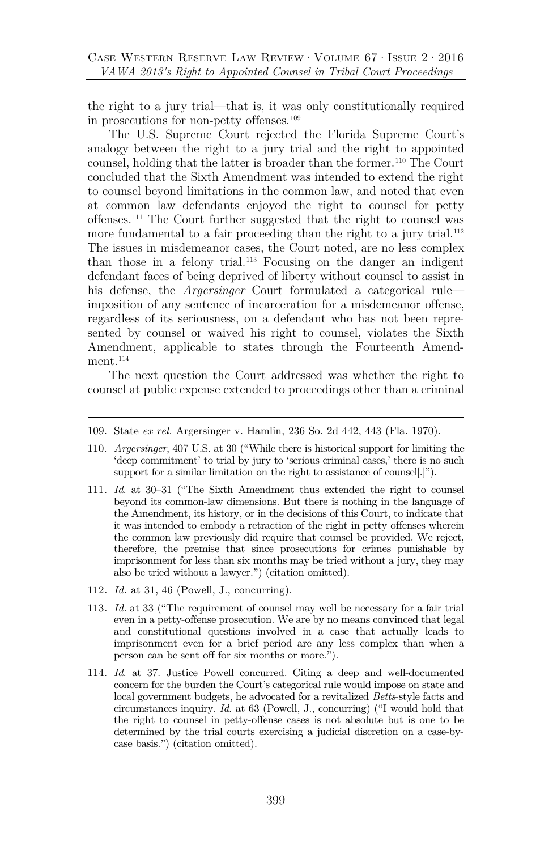the right to a jury trial—that is, it was only constitutionally required in prosecutions for non-petty offenses. [109](#page-21-1)

<span id="page-21-7"></span>The U.S. Supreme Court rejected the Florida Supreme Court's analogy between the right to a jury trial and the right to appointed counsel, holding that the latter is broader than the former.[110](#page-21-2) The Court concluded that the Sixth Amendment was intended to extend the right to counsel beyond limitations in the common law, and noted that even at common law defendants enjoyed the right to counsel for petty offenses.[111](#page-21-3) The Court further suggested that the right to counsel was more fundamental to a fair proceeding than the right to a jury trial.<sup>[112](#page-21-4)</sup> The issues in misdemeanor cases, the Court noted, are no less complex than those in a felony trial.[113](#page-21-5) Focusing on the danger an indigent defendant faces of being deprived of liberty without counsel to assist in his defense, the *Argersinger* Court formulated a categorical rule imposition of any sentence of incarceration for a misdemeanor offense, regardless of its seriousness, on a defendant who has not been represented by counsel or waived his right to counsel, violates the Sixth Amendment, applicable to states through the Fourteenth Amend-ment.<sup>[114](#page-22-0)</sup>

<span id="page-21-6"></span><span id="page-21-0"></span>The next question the Court addressed was whether the right to counsel at public expense extended to proceedings other than a criminal

- 110. *Argersinger*, 407 U.S. at 30 ("While there is historical support for limiting the 'deep commitment' to trial by jury to 'serious criminal cases,' there is no such support for a similar limitation on the right to assistance of counsel[.]").
- <span id="page-21-2"></span><span id="page-21-1"></span>111*. Id.* at 30–31 ("The Sixth Amendment thus extended the right to counsel beyond its common-law dimensions. But there is nothing in the language of the Amendment, its history, or in the decisions of this Court, to indicate that it was intended to embody a retraction of the right in petty offenses wherein the common law previously did require that counsel be provided. We reject, therefore, the premise that since prosecutions for crimes punishable by imprisonment for less than six months may be tried without a jury, they may also be tried without a lawyer.") (citation omitted).
- <span id="page-21-3"></span>112*. Id.* at 31, 46 (Powell, J., concurring).
- 113*. Id.* at 33 ("The requirement of counsel may well be necessary for a fair trial even in a petty-offense prosecution. We are by no means convinced that legal and constitutional questions involved in a case that actually leads to imprisonment even for a brief period are any less complex than when a person can be sent off for six months or more.").
- <span id="page-21-5"></span><span id="page-21-4"></span>114*. Id.* at 37. Justice Powell concurred. Citing a deep and well-documented concern for the burden the Court's categorical rule would impose on state and local government budgets, he advocated for a revitalized *Betts*-style facts and circumstances inquiry. *Id.* at 63 (Powell, J., concurring) ("I would hold that the right to counsel in petty-offense cases is not absolute but is one to be determined by the trial courts exercising a judicial discretion on a case-bycase basis.") (citation omitted).

<sup>109.</sup> State *ex rel.* Argersinger v. Hamlin, 236 So. 2d 442, 443 (Fla. 1970).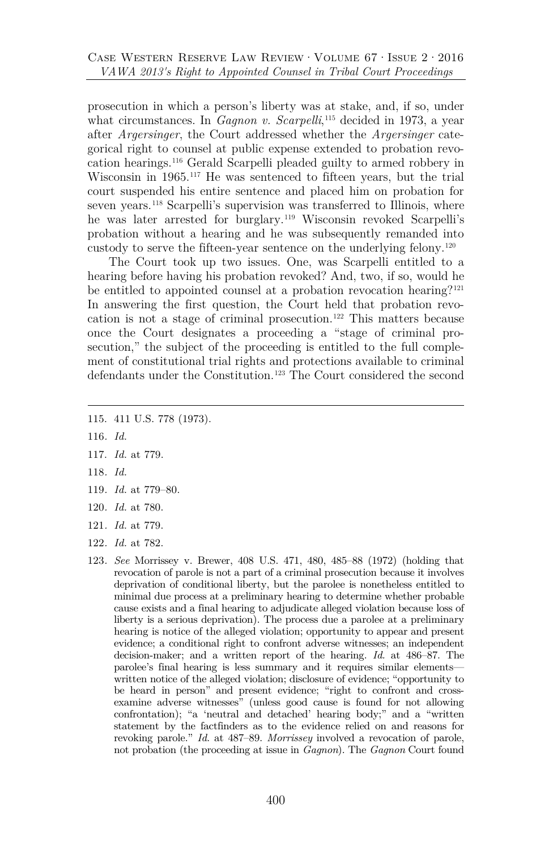prosecution in which a person's liberty was at stake, and, if so, under what circumstances. In *Gagnon v. Scarpelli*,<sup>[115](#page-22-1)</sup> decided in 1973, a year after *Argersinger*, the Court addressed whether the *Argersinger* categorical right to counsel at public expense extended to probation revocation hearings.[116](#page-22-2) Gerald Scarpelli pleaded guilty to armed robbery in Wisconsin in 1965.[117](#page-22-3) He was sentenced to fifteen years, but the trial court suspended his entire sentence and placed him on probation for seven years.[118](#page-22-4) Scarpelli's supervision was transferred to Illinois, where he was later arrested for burglary.[119](#page-22-5) Wisconsin revoked Scarpelli's probation without a hearing and he was subsequently remanded into custody to serve the fifteen-year sentence on the underlying felony.[120](#page-22-6)

The Court took up two issues. One, was Scarpelli entitled to a hearing before having his probation revoked? And, two, if so, would he be entitled to appointed counsel at a probation revocation hearing?<sup>[121](#page-22-7)</sup> In answering the first question, the Court held that probation revocation is not a stage of criminal prosecution.[122](#page-22-8) This matters because once the Court designates a proceeding a "stage of criminal prosecution," the subject of the proceeding is entitled to the full complement of constitutional trial rights and protections available to criminal defendants under the Constitution.[123](#page-22-9) The Court considered the second

- 115. 411 U.S. 778 (1973).
- 116*. Id.*
- 117. *Id.* at 779.
- 118*. Id.*
- 119*. Id.* at 779–80.
- <span id="page-22-0"></span>120*. Id.* at 780.
- 121*. Id.* at 779.
- 122*. Id.* at 782.
- <span id="page-22-9"></span><span id="page-22-8"></span><span id="page-22-7"></span><span id="page-22-6"></span><span id="page-22-5"></span><span id="page-22-4"></span><span id="page-22-3"></span><span id="page-22-2"></span><span id="page-22-1"></span>123*. See* Morrissey v. Brewer, 408 U.S. 471, 480, 485–88 (1972) (holding that revocation of parole is not a part of a criminal prosecution because it involves deprivation of conditional liberty, but the parolee is nonetheless entitled to minimal due process at a preliminary hearing to determine whether probable cause exists and a final hearing to adjudicate alleged violation because loss of liberty is a serious deprivation). The process due a parolee at a preliminary hearing is notice of the alleged violation; opportunity to appear and present evidence; a conditional right to confront adverse witnesses; an independent decision-maker; and a written report of the hearing. *Id.* at 486–87. The parolee's final hearing is less summary and it requires similar elements written notice of the alleged violation; disclosure of evidence; "opportunity to be heard in person" and present evidence; "right to confront and crossexamine adverse witnesses" (unless good cause is found for not allowing confrontation); "a 'neutral and detached' hearing body;" and a "written statement by the factfinders as to the evidence relied on and reasons for revoking parole." *Id.* at 487–89. *Morrissey* involved a revocation of parole, not probation (the proceeding at issue in *Gagnon*). The *Gagnon* Court found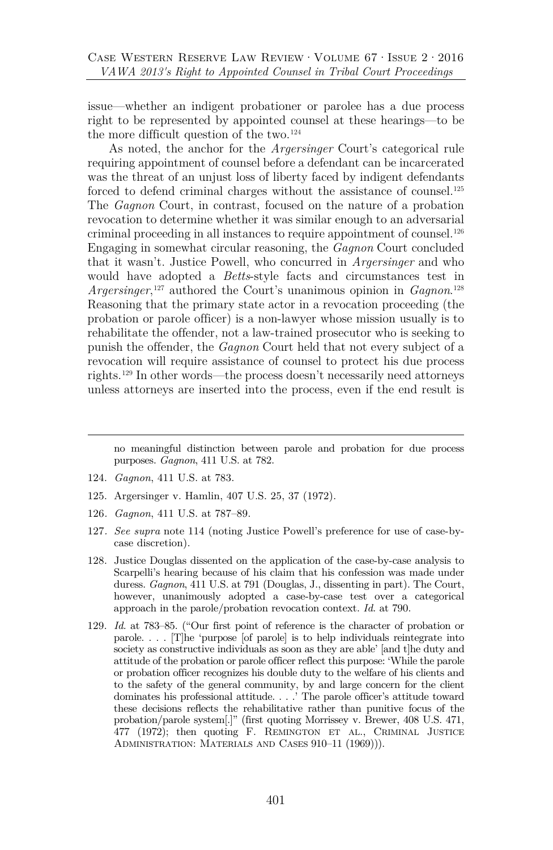issue—whether an indigent probationer or parolee has a due process right to be represented by appointed counsel at these hearings—to be the more difficult question of the two.<sup>[124](#page-23-0)</sup>

As noted, the anchor for the *Argersinger* Court's categorical rule requiring appointment of counsel before a defendant can be incarcerated was the threat of an unjust loss of liberty faced by indigent defendants forced to defend criminal charges without the assistance of counsel.<sup>125</sup> The *Gagnon* Court, in contrast, focused on the nature of a probation revocation to determine whether it was similar enough to an adversarial criminal proceeding in all instances to require appointment of counsel.[126](#page-23-2) Engaging in somewhat circular reasoning, the *Gagnon* Court concluded that it wasn't. Justice Powell, who concurred in *Argersinger* and who would have adopted a *Betts*-style facts and circumstances test in Argersinger,<sup>[127](#page-23-3)</sup> authored the Court's unanimous opinion in *Gagnon*.<sup>[128](#page-23-4)</sup> Reasoning that the primary state actor in a revocation proceeding (the probation or parole officer) is a non-lawyer whose mission usually is to rehabilitate the offender, not a law-trained prosecutor who is seeking to punish the offender, the *Gagnon* Court held that not every subject of a revocation will require assistance of counsel to protect his due process rights.[129](#page-24-0) In other words—the process doesn't necessarily need attorneys unless attorneys are inserted into the process, even if the end result is

- 124. *Gagnon*, 411 U.S. at 783.
- 125. Argersinger v. Hamlin, 407 U.S. 25, 37 (1972).
- 126*. Gagnon*, 411 U.S. at 787–89.
- 127*. See supra* note [114](#page-21-6) (noting Justice Powell's preference for use of case-bycase discretion).
- 128. Justice Douglas dissented on the application of the case-by-case analysis to Scarpelli's hearing because of his claim that his confession was made under duress. *Gagnon*, 411 U.S. at 791 (Douglas, J., dissenting in part). The Court, however, unanimously adopted a case-by-case test over a categorical approach in the parole/probation revocation context. *Id.* at 790.
- <span id="page-23-4"></span><span id="page-23-3"></span><span id="page-23-2"></span><span id="page-23-1"></span><span id="page-23-0"></span>129. *Id.* at 783–85. ("Our first point of reference is the character of probation or parole. . . . [T]he 'purpose [of parole] is to help individuals reintegrate into society as constructive individuals as soon as they are able' [and t]he duty and attitude of the probation or parole officer reflect this purpose: 'While the parole or probation officer recognizes his double duty to the welfare of his clients and to the safety of the general community, by and large concern for the client dominates his professional attitude. . . .' The parole officer's attitude toward these decisions reflects the rehabilitative rather than punitive focus of the probation/parole system[.]" (first quoting Morrissey v. Brewer, 408 U.S. 471, 477 (1972); then quoting F. REMINGTON ET AL., CRIMINAL JUSTICE Administration: Materials and Cases 910–11 (1969))).

no meaningful distinction between parole and probation for due process purposes. *Gagnon*, 411 U.S. at 782.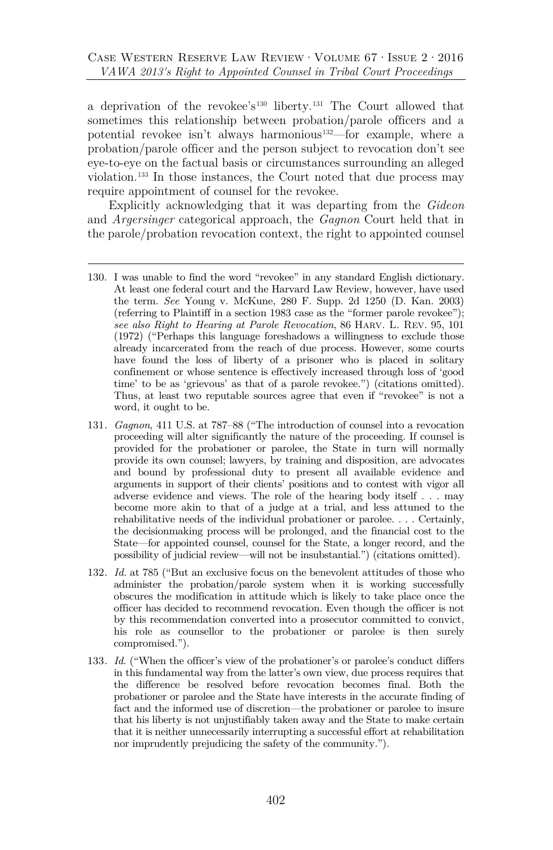a deprivation of the revokee's[130](#page-24-1) liberty.[131](#page-24-2) The Court allowed that sometimes this relationship between probation/parole officers and a potential revokee isn't always harmonious<sup>[132](#page-24-3)</sup>—for example, where a probation/parole officer and the person subject to revocation don't see eye-to-eye on the factual basis or circumstances surrounding an alleged violation.[133](#page-25-0) In those instances, the Court noted that due process may require appointment of counsel for the revokee.

<span id="page-24-0"></span>Explicitly acknowledging that it was departing from the *Gideon* and *Argersinger* categorical approach, the *Gagnon* Court held that in the parole/probation revocation context, the right to appointed counsel

<sup>130.</sup> I was unable to find the word "revokee" in any standard English dictionary. At least one federal court and the Harvard Law Review, however, have used the term. *See* Young v. McKune, 280 F. Supp. 2d 1250 (D. Kan. 2003) (referring to Plaintiff in a section 1983 case as the "former parole revokee"); *see also Right to Hearing at Parole Revocation*, 86 Harv. L. Rev. 95, 101 (1972) ("Perhaps this language foreshadows a willingness to exclude those already incarcerated from the reach of due process. However, some courts have found the loss of liberty of a prisoner who is placed in solitary confinement or whose sentence is effectively increased through loss of 'good time' to be as 'grievous' as that of a parole revokee.") (citations omitted). Thus, at least two reputable sources agree that even if "revokee" is not a word, it ought to be.

<span id="page-24-1"></span><sup>131</sup>*. Gagnon*, 411 U.S. at 787–88 ("The introduction of counsel into a revocation proceeding will alter significantly the nature of the proceeding. If counsel is provided for the probationer or parolee, the State in turn will normally provide its own counsel; lawyers, by training and disposition, are advocates and bound by professional duty to present all available evidence and arguments in support of their clients' positions and to contest with vigor all adverse evidence and views. The role of the hearing body itself . . . may become more akin to that of a judge at a trial, and less attuned to the rehabilitative needs of the individual probationer or parolee. . . . Certainly, the decisionmaking process will be prolonged, and the financial cost to the State—for appointed counsel, counsel for the State, a longer record, and the possibility of judicial review—will not be insubstantial.") (citations omitted).

<span id="page-24-2"></span><sup>132</sup>*. Id.* at 785 ("But an exclusive focus on the benevolent attitudes of those who administer the probation/parole system when it is working successfully obscures the modification in attitude which is likely to take place once the officer has decided to recommend revocation. Even though the officer is not by this recommendation converted into a prosecutor committed to convict, his role as counsellor to the probationer or parolee is then surely compromised.").

<span id="page-24-3"></span><sup>133</sup>*. Id.* ("When the officer's view of the probationer's or parolee's conduct differs in this fundamental way from the latter's own view, due process requires that the difference be resolved before revocation becomes final. Both the probationer or parolee and the State have interests in the accurate finding of fact and the informed use of discretion—the probationer or parolee to insure that his liberty is not unjustifiably taken away and the State to make certain that it is neither unnecessarily interrupting a successful effort at rehabilitation nor imprudently prejudicing the safety of the community.").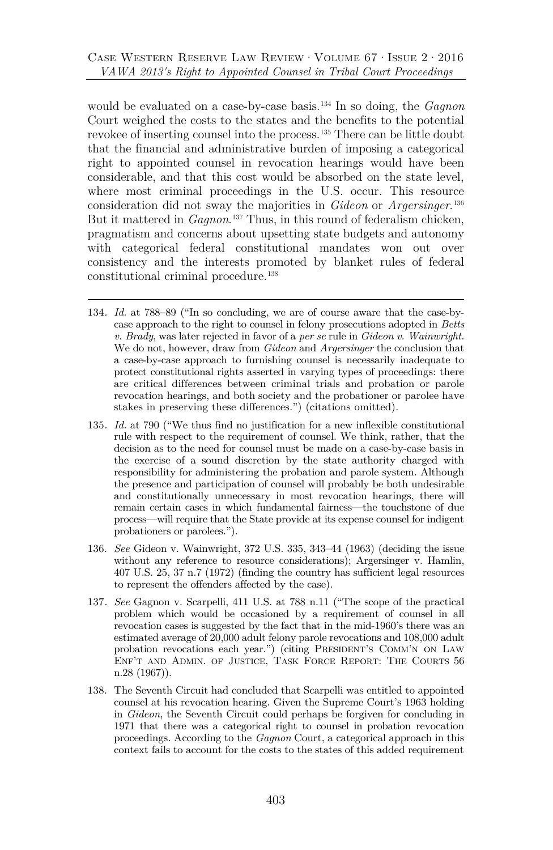would be evaluated on a case-by-case basis.[134](#page-25-1) In so doing, the *Gagnon* Court weighed the costs to the states and the benefits to the potential revokee of inserting counsel into the process[.135](#page-25-2) There can be little doubt that the financial and administrative burden of imposing a categorical right to appointed counsel in revocation hearings would have been considerable, and that this cost would be absorbed on the state level, where most criminal proceedings in the U.S. occur. This resource consideration did not sway the majorities in *Gideon* or *Argersinger*. [136](#page-25-3) But it mattered in *Gagnon*. [137](#page-25-4) Thus, in this round of federalism chicken, pragmatism and concerns about upsetting state budgets and autonomy with categorical federal constitutional mandates won out over consistency and the interests promoted by blanket rules of federal constitutional criminal procedure.[138](#page-26-0)

- <span id="page-25-0"></span>134*. Id.* at 788–89 ("In so concluding, we are of course aware that the case-bycase approach to the right to counsel in felony prosecutions adopted in *Betts v. Brady*, was later rejected in favor of a *per se* rule in *Gideon v. Wainwright*. We do not, however, draw from *Gideon* and *Argersinger* the conclusion that a case-by-case approach to furnishing counsel is necessarily inadequate to protect constitutional rights asserted in varying types of proceedings: there are critical differences between criminal trials and probation or parole revocation hearings, and both society and the probationer or parolee have stakes in preserving these differences.") (citations omitted).
- <span id="page-25-1"></span>135*. Id.* at 790 ("We thus find no justification for a new inflexible constitutional rule with respect to the requirement of counsel. We think, rather, that the decision as to the need for counsel must be made on a case-by-case basis in the exercise of a sound discretion by the state authority charged with responsibility for administering the probation and parole system. Although the presence and participation of counsel will probably be both undesirable and constitutionally unnecessary in most revocation hearings, there will remain certain cases in which fundamental fairness—the touchstone of due process—will require that the State provide at its expense counsel for indigent probationers or parolees.").
- <span id="page-25-2"></span>136. *See* Gideon v. Wainwright, 372 U.S. 335, 343–44 (1963) (deciding the issue without any reference to resource considerations); Argersinger v. Hamlin, 407 U.S. 25, 37 n.7 (1972) (finding the country has sufficient legal resources to represent the offenders affected by the case).
- 137*. See* Gagnon v. Scarpelli, 411 U.S. at 788 n.11 ("The scope of the practical problem which would be occasioned by a requirement of counsel in all revocation cases is suggested by the fact that in the mid-1960's there was an estimated average of 20,000 adult felony parole revocations and 108,000 adult probation revocations each year.") (citing PRESIDENT'S COMM'N ON LAW ENF'T AND ADMIN. OF JUSTICE, TASK FORCE REPORT: THE COURTS 56 n.28 (1967)).
- <span id="page-25-4"></span><span id="page-25-3"></span>138. The Seventh Circuit had concluded that Scarpelli was entitled to appointed counsel at his revocation hearing. Given the Supreme Court's 1963 holding in *Gideon*, the Seventh Circuit could perhaps be forgiven for concluding in 1971 that there was a categorical right to counsel in probation revocation proceedings. According to the *Gagnon* Court, a categorical approach in this context fails to account for the costs to the states of this added requirement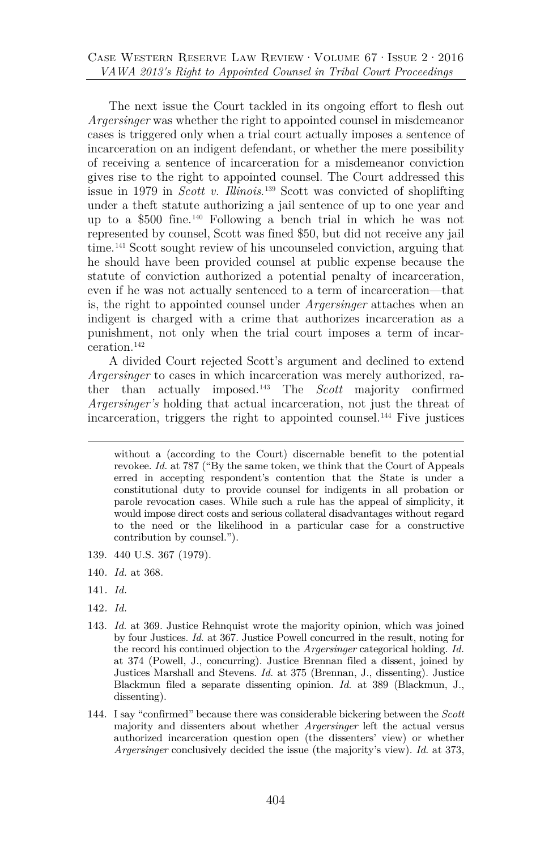The next issue the Court tackled in its ongoing effort to flesh out *Argersinger* was whether the right to appointed counsel in misdemeanor cases is triggered only when a trial court actually imposes a sentence of incarceration on an indigent defendant, or whether the mere possibility of receiving a sentence of incarceration for a misdemeanor conviction gives rise to the right to appointed counsel. The Court addressed this issue in 1979 in *Scott v. Illinois*. [139](#page-26-1) Scott was convicted of shoplifting under a theft statute authorizing a jail sentence of up to one year and up to a \$500 fine.[140](#page-26-2) Following a bench trial in which he was not represented by counsel, Scott was fined \$50, but did not receive any jail time.[141](#page-26-3) Scott sought review of his uncounseled conviction, arguing that he should have been provided counsel at public expense because the statute of conviction authorized a potential penalty of incarceration, even if he was not actually sentenced to a term of incarceration—that is, the right to appointed counsel under *Argersinger* attaches when an indigent is charged with a crime that authorizes incarceration as a punishment, not only when the trial court imposes a term of incarceration.[142](#page-26-4)

A divided Court rejected Scott's argument and declined to extend *Argersinger* to cases in which incarceration was merely authorized, rather than actually imposed.[143](#page-27-0) The *Scott* majority confirmed *Argersinger's* holding that actual incarceration, not just the threat of incarceration, triggers the right to appointed counsel.[144](#page-27-1) Five justices

- <span id="page-26-0"></span>139. 440 U.S. 367 (1979).
- 140*. Id.* at 368.
- 141*. Id.*
- 142*. Id.*
- 143. *Id.* at 369. Justice Rehnquist wrote the majority opinion, which was joined by four Justices. *Id.* at 367. Justice Powell concurred in the result, noting for the record his continued objection to the *Argersinger* categorical holding. *Id.*  at 374 (Powell, J., concurring). Justice Brennan filed a dissent, joined by Justices Marshall and Stevens. *Id.* at 375 (Brennan, J., dissenting). Justice Blackmun filed a separate dissenting opinion. *Id.* at 389 (Blackmun, J., dissenting).
- <span id="page-26-4"></span><span id="page-26-3"></span><span id="page-26-2"></span><span id="page-26-1"></span>144. I say "confirmed" because there was considerable bickering between the *Scott* majority and dissenters about whether *Argersinger* left the actual versus authorized incarceration question open (the dissenters' view) or whether *Argersinger* conclusively decided the issue (the majority's view). *Id.* at 373,

<span id="page-26-5"></span>without a (according to the Court) discernable benefit to the potential revokee. *Id.* at 787 ("By the same token, we think that the Court of Appeals erred in accepting respondent's contention that the State is under a constitutional duty to provide counsel for indigents in all probation or parole revocation cases. While such a rule has the appeal of simplicity, it would impose direct costs and serious collateral disadvantages without regard to the need or the likelihood in a particular case for a constructive contribution by counsel.").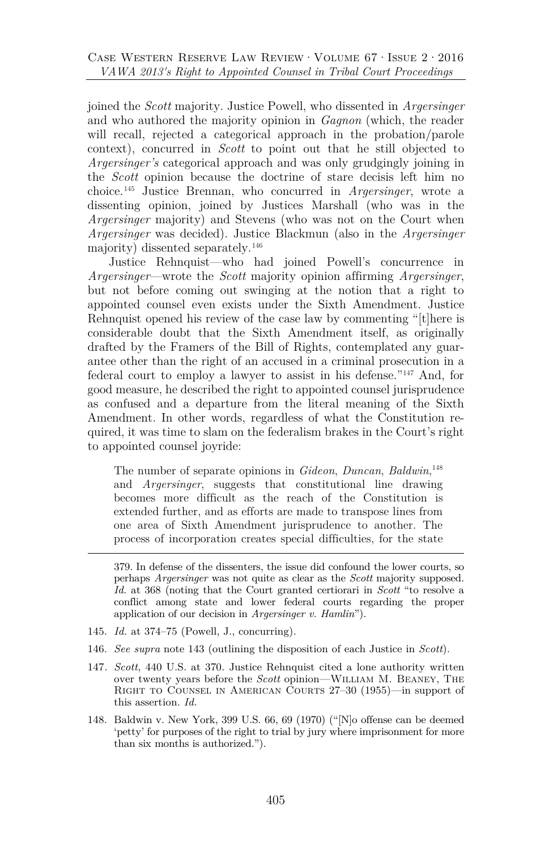joined the *Scott* majority. Justice Powell, who dissented in *Argersinger* and who authored the majority opinion in *Gagnon* (which, the reader will recall, rejected a categorical approach in the probation/parole context), concurred in *Scott* to point out that he still objected to *Argersinger's* categorical approach and was only grudgingly joining in the *Scott* opinion because the doctrine of stare decisis left him no choice.[145](#page-27-2) Justice Brennan, who concurred in *Argersinger*, wrote a dissenting opinion, joined by Justices Marshall (who was in the *Argersinger* majority) and Stevens (who was not on the Court when *Argersinger* was decided). Justice Blackmun (also in the *Argersinger* majority) dissented separately.[146](#page-27-3)

Justice Rehnquist—who had joined Powell's concurrence in *Argersinger*—wrote the *Scott* majority opinion affirming *Argersinger*, but not before coming out swinging at the notion that a right to appointed counsel even exists under the Sixth Amendment. Justice Rehnquist opened his review of the case law by commenting "[t]here is considerable doubt that the Sixth Amendment itself, as originally drafted by the Framers of the Bill of Rights, contemplated any guarantee other than the right of an accused in a criminal prosecution in a federal court to employ a lawyer to assist in his defense."[147](#page-27-4) And, for good measure, he described the right to appointed counsel jurisprudence as confused and a departure from the literal meaning of the Sixth Amendment. In other words, regardless of what the Constitution required, it was time to slam on the federalism brakes in the Court's right to appointed counsel joyride:

<span id="page-27-0"></span>The number of separate opinions in *Gideon*, *Duncan*, *Baldwin*, [148](#page-28-0) and *Argersinger*, suggests that constitutional line drawing becomes more difficult as the reach of the Constitution is extended further, and as efforts are made to transpose lines from one area of Sixth Amendment jurisprudence to another. The process of incorporation creates special difficulties, for the state

379. In defense of the dissenters, the issue did confound the lower courts, so perhaps *Argersinger* was not quite as clear as the *Scott* majority supposed. *Id.* at 368 (noting that the Court granted certiorari in *Scott* "to resolve a conflict among state and lower federal courts regarding the proper application of our decision in *Argersinger v. Hamlin*").

- <span id="page-27-1"></span>145. *Id.* at 374–75 (Powell, J., concurring).
- 146. *See supra* note [143](#page-26-5) (outlining the disposition of each Justice in *Scott*).
- 147*. Scott*, 440 U.S. at 370. Justice Rehnquist cited a lone authority written over twenty years before the *Scott* opinion—William M. Beaney, The Right to Counsel in American Courts 27–30 (1955)—in support of this assertion. *Id.*
- <span id="page-27-4"></span><span id="page-27-3"></span><span id="page-27-2"></span>148. Baldwin v. New York, 399 U.S. 66, 69 (1970) ("[N]o offense can be deemed 'petty' for purposes of the right to trial by jury where imprisonment for more than six months is authorized.").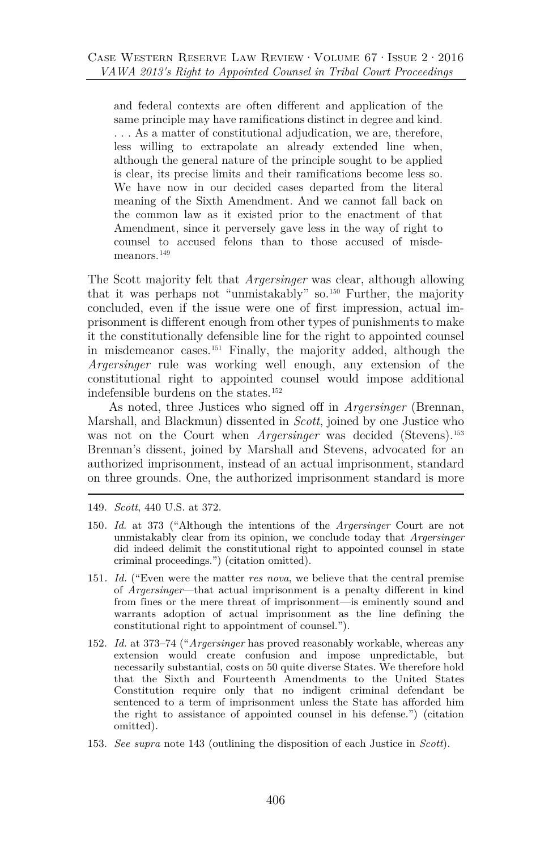and federal contexts are often different and application of the same principle may have ramifications distinct in degree and kind. . . . As a matter of constitutional adjudication, we are, therefore, less willing to extrapolate an already extended line when, although the general nature of the principle sought to be applied is clear, its precise limits and their ramifications become less so. We have now in our decided cases departed from the literal meaning of the Sixth Amendment. And we cannot fall back on the common law as it existed prior to the enactment of that Amendment, since it perversely gave less in the way of right to counsel to accused felons than to those accused of misdemeanors. [149](#page-28-1)

The Scott majority felt that *Argersinger* was clear, although allowing that it was perhaps not "unmistakably" so.[150](#page-28-2) Further, the majority concluded, even if the issue were one of first impression, actual imprisonment is different enough from other types of punishments to make it the constitutionally defensible line for the right to appointed counsel in misdemeanor cases.[151](#page-28-3) Finally, the majority added, although the *Argersinger* rule was working well enough, any extension of the constitutional right to appointed counsel would impose additional indefensible burdens on the states.[152](#page-29-0)

As noted, three Justices who signed off in *Argersinger* (Brennan, Marshall, and Blackmun) dissented in *Scott*, joined by one Justice who was not on the Court when *Argersinger* was decided (Stevens).<sup>[153](#page-29-1)</sup> Brennan's dissent, joined by Marshall and Stevens, advocated for an authorized imprisonment, instead of an actual imprisonment, standard on three grounds. One, the authorized imprisonment standard is more

- 149. *Scott*, 440 U.S. at 372.
- 150*. Id.* at 373 ("Although the intentions of the *Argersinger* Court are not unmistakably clear from its opinion, we conclude today that *Argersinger* did indeed delimit the constitutional right to appointed counsel in state criminal proceedings.") (citation omitted).
- <span id="page-28-0"></span>151*. Id.* ("Even were the matter *res nova*, we believe that the central premise of *Argersinger*—that actual imprisonment is a penalty different in kind from fines or the mere threat of imprisonment—is eminently sound and warrants adoption of actual imprisonment as the line defining the constitutional right to appointment of counsel.").
- <span id="page-28-3"></span><span id="page-28-2"></span><span id="page-28-1"></span>152. *Id.* at 373–74 ("*Argersinger* has proved reasonably workable, whereas any extension would create confusion and impose unpredictable, but necessarily substantial, costs on 50 quite diverse States. We therefore hold that the Sixth and Fourteenth Amendments to the United States Constitution require only that no indigent criminal defendant be sentenced to a term of imprisonment unless the State has afforded him the right to assistance of appointed counsel in his defense.") (citation omitted).
- 153. *See supra* note [143](#page-26-5) (outlining the disposition of each Justice in *Scott*).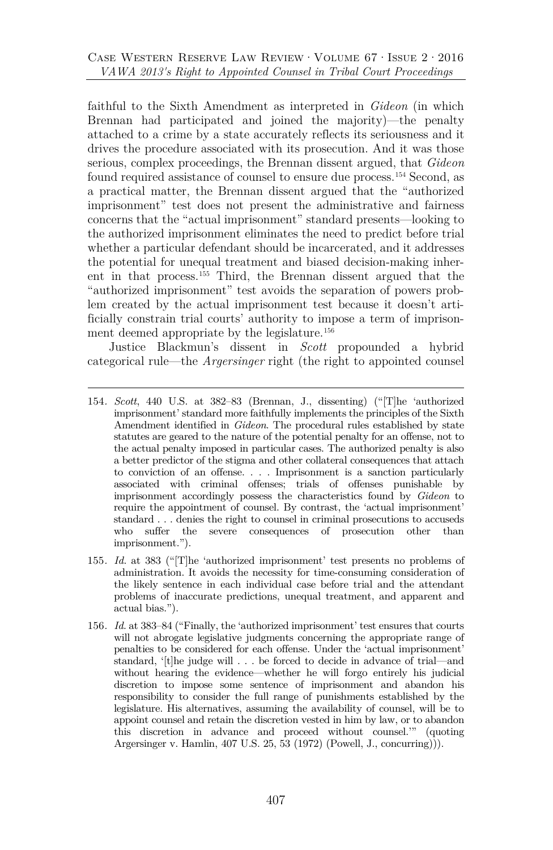<span id="page-29-4"></span>faithful to the Sixth Amendment as interpreted in *Gideon* (in which Brennan had participated and joined the majority)—the penalty attached to a crime by a state accurately reflects its seriousness and it drives the procedure associated with its prosecution. And it was those serious, complex proceedings, the Brennan dissent argued, that *Gideon* found required assistance of counsel to ensure due process.[154](#page-29-2) Second, as a practical matter, the Brennan dissent argued that the "authorized imprisonment" test does not present the administrative and fairness concerns that the "actual imprisonment" standard presents—looking to the authorized imprisonment eliminates the need to predict before trial whether a particular defendant should be incarcerated, and it addresses the potential for unequal treatment and biased decision-making inherent in that process.[155](#page-29-3) Third, the Brennan dissent argued that the "authorized imprisonment" test avoids the separation of powers problem created by the actual imprisonment test because it doesn't artificially constrain trial courts' authority to impose a term of imprison-ment deemed appropriate by the legislature.<sup>[156](#page-30-0)</sup>

<span id="page-29-5"></span>Justice Blackmun's dissent in *Scott* propounded a hybrid categorical rule—the *Argersinger* right (the right to appointed counsel

- <span id="page-29-2"></span><span id="page-29-1"></span>155*. Id.* at 383 ("[T]he 'authorized imprisonment' test presents no problems of administration. It avoids the necessity for time-consuming consideration of the likely sentence in each individual case before trial and the attendant problems of inaccurate predictions, unequal treatment, and apparent and actual bias.").
- <span id="page-29-3"></span>156*. Id.* at 383–84 ("Finally, the 'authorized imprisonment' test ensures that courts will not abrogate legislative judgments concerning the appropriate range of penalties to be considered for each offense. Under the 'actual imprisonment' standard, '[t]he judge will . . . be forced to decide in advance of trial—and without hearing the evidence—whether he will forgo entirely his judicial discretion to impose some sentence of imprisonment and abandon his responsibility to consider the full range of punishments established by the legislature. His alternatives, assuming the availability of counsel, will be to appoint counsel and retain the discretion vested in him by law, or to abandon this discretion in advance and proceed without counsel.'" (quoting Argersinger v. Hamlin, 407 U.S. 25, 53 (1972) (Powell, J., concurring))).

<span id="page-29-0"></span><sup>154</sup>*. Scott*, 440 U.S. at 382–83 (Brennan, J., dissenting) ("[T]he 'authorized imprisonment' standard more faithfully implements the principles of the Sixth Amendment identified in *Gideon*. The procedural rules established by state statutes are geared to the nature of the potential penalty for an offense, not to the actual penalty imposed in particular cases. The authorized penalty is also a better predictor of the stigma and other collateral consequences that attach to conviction of an offense. . . . Imprisonment is a sanction particularly associated with criminal offenses; trials of offenses punishable by imprisonment accordingly possess the characteristics found by *Gideon* to require the appointment of counsel. By contrast, the 'actual imprisonment' standard . . . denies the right to counsel in criminal prosecutions to accuseds who suffer the severe consequences of prosecution other than imprisonment.").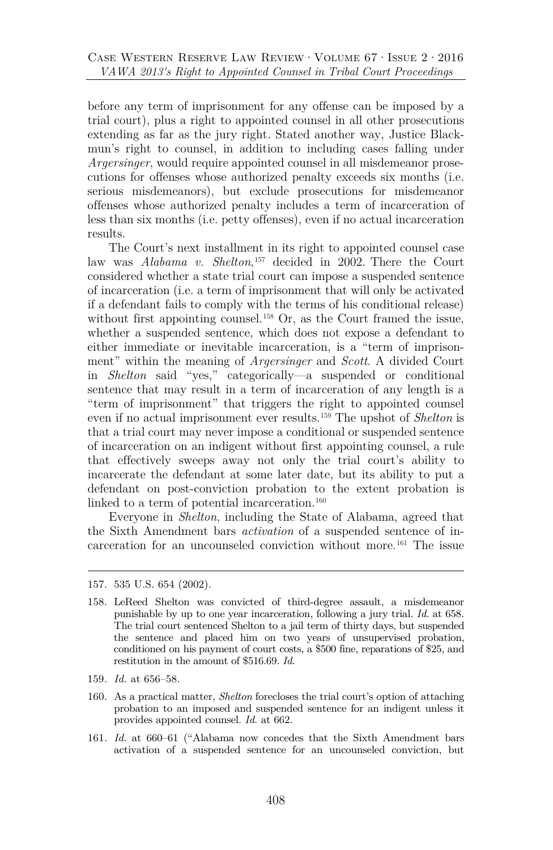before any term of imprisonment for any offense can be imposed by a trial court), plus a right to appointed counsel in all other prosecutions extending as far as the jury right. Stated another way, Justice Blackmun's right to counsel, in addition to including cases falling under *Argersinger*, would require appointed counsel in all misdemeanor prosecutions for offenses whose authorized penalty exceeds six months (i.e. serious misdemeanors), but exclude prosecutions for misdemeanor offenses whose authorized penalty includes a term of incarceration of less than six months (i.e. petty offenses), even if no actual incarceration results.

The Court's next installment in its right to appointed counsel case law was *Alabama v. Shelton*, [157](#page-30-1) decided in 2002. There the Court considered whether a state trial court can impose a suspended sentence of incarceration (i.e. a term of imprisonment that will only be activated if a defendant fails to comply with the terms of his conditional release) without first appointing counsel.<sup>[158](#page-30-2)</sup> Or, as the Court framed the issue, whether a suspended sentence, which does not expose a defendant to either immediate or inevitable incarceration, is a "term of imprisonment" within the meaning of *Argersinger* and *Scott*. A divided Court in *Shelton* said "yes," categorically—a suspended or conditional sentence that may result in a term of incarceration of any length is a "term of imprisonment" that triggers the right to appointed counsel even if no actual imprisonment ever results.[159](#page-31-0) The upshot of *Shelton* is that a trial court may never impose a conditional or suspended sentence of incarceration on an indigent without first appointing counsel, a rule that effectively sweeps away not only the trial court's ability to incarcerate the defendant at some later date, but its ability to put a defendant on post-conviction probation to the extent probation is linked to a term of potential incarceration.<sup>[160](#page-31-1)</sup>

<span id="page-30-0"></span>Everyone in *Shelton*, including the State of Alabama, agreed that the Sixth Amendment bars *activation* of a suspended sentence of in-carceration for an uncounseled conviction without more.<sup>[161](#page-31-2)</sup> The issue

- 157. 535 U.S. 654 (2002).
- 158. LeReed Shelton was convicted of third-degree assault, a misdemeanor punishable by up to one year incarceration, following a jury trial. *Id.* at 658. The trial court sentenced Shelton to a jail term of thirty days, but suspended the sentence and placed him on two years of unsupervised probation, conditioned on his payment of court costs, a \$500 fine, reparations of \$25, and restitution in the amount of \$516.69. *Id.*
- <span id="page-30-2"></span><span id="page-30-1"></span>159*. Id.* at 656–58.
- 160. As a practical matter, *Shelton* forecloses the trial court's option of attaching probation to an imposed and suspended sentence for an indigent unless it provides appointed counsel. *Id.* at 662.
- 161*. Id.* at 660–61 ("Alabama now concedes that the Sixth Amendment bars activation of a suspended sentence for an uncounseled conviction, but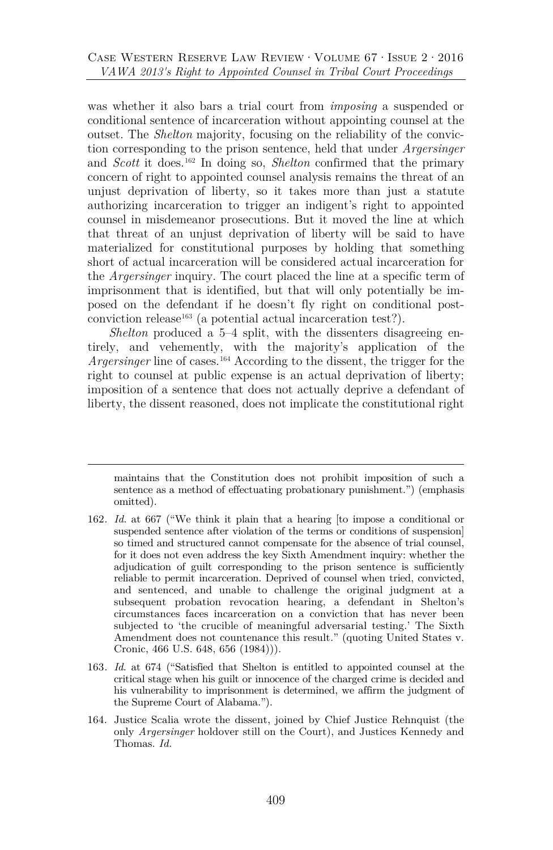was whether it also bars a trial court from *imposing* a suspended or conditional sentence of incarceration without appointing counsel at the outset. The *Shelton* majority, focusing on the reliability of the conviction corresponding to the prison sentence, held that under *Argersinger* and *Scott* it does[.162](#page-31-3) In doing so, *Shelton* confirmed that the primary concern of right to appointed counsel analysis remains the threat of an unjust deprivation of liberty, so it takes more than just a statute authorizing incarceration to trigger an indigent's right to appointed counsel in misdemeanor prosecutions. But it moved the line at which that threat of an unjust deprivation of liberty will be said to have materialized for constitutional purposes by holding that something short of actual incarceration will be considered actual incarceration for the *Argersinger* inquiry. The court placed the line at a specific term of imprisonment that is identified, but that will only potentially be imposed on the defendant if he doesn't fly right on conditional post-conviction release<sup>[163](#page-32-0)</sup> (a potential actual incarceration test?).

*Shelton* produced a 5–4 split, with the dissenters disagreeing entirely, and vehemently, with the majority's application of the *Argersinger* line of cases.[164](#page-32-1) According to the dissent, the trigger for the right to counsel at public expense is an actual deprivation of liberty; imposition of a sentence that does not actually deprive a defendant of liberty, the dissent reasoned, does not implicate the constitutional right

maintains that the Constitution does not prohibit imposition of such a sentence as a method of effectuating probationary punishment.") (emphasis omitted).

- <span id="page-31-2"></span><span id="page-31-1"></span><span id="page-31-0"></span>162*. Id.* at 667 ("We think it plain that a hearing [to impose a conditional or suspended sentence after violation of the terms or conditions of suspension] so timed and structured cannot compensate for the absence of trial counsel, for it does not even address the key Sixth Amendment inquiry: whether the adjudication of guilt corresponding to the prison sentence is sufficiently reliable to permit incarceration. Deprived of counsel when tried, convicted, and sentenced, and unable to challenge the original judgment at a subsequent probation revocation hearing, a defendant in Shelton's circumstances faces incarceration on a conviction that has never been subjected to 'the crucible of meaningful adversarial testing.' The Sixth Amendment does not countenance this result." (quoting United States v. Cronic, 466 U.S. 648, 656 (1984))).
- <span id="page-31-3"></span>163*. Id.* at 674 ("Satisfied that Shelton is entitled to appointed counsel at the critical stage when his guilt or innocence of the charged crime is decided and his vulnerability to imprisonment is determined, we affirm the judgment of the Supreme Court of Alabama.").
- 164. Justice Scalia wrote the dissent, joined by Chief Justice Rehnquist (the only *Argersinger* holdover still on the Court), and Justices Kennedy and Thomas. *Id.*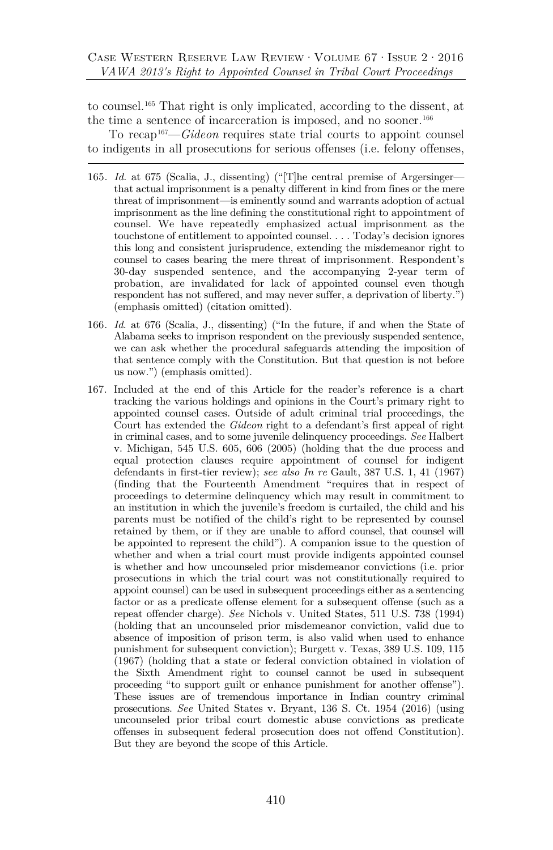to counsel.[165](#page-32-2) That right is only implicated, according to the dissent, at the time a sentence of incarceration is imposed, and no sooner.<sup>[166](#page-32-3)</sup>

To recap[167](#page-32-4)—*Gideon* requires state trial courts to appoint counsel to indigents in all prosecutions for serious offenses (i.e. felony offenses,

- 165*. Id.* at 675 (Scalia, J., dissenting) ("[T]he central premise of Argersinger that actual imprisonment is a penalty different in kind from fines or the mere threat of imprisonment—is eminently sound and warrants adoption of actual imprisonment as the line defining the constitutional right to appointment of counsel. We have repeatedly emphasized actual imprisonment as the touchstone of entitlement to appointed counsel. . . . Today's decision ignores this long and consistent jurisprudence, extending the misdemeanor right to counsel to cases bearing the mere threat of imprisonment. Respondent's 30-day suspended sentence, and the accompanying 2-year term of probation, are invalidated for lack of appointed counsel even though respondent has not suffered, and may never suffer, a deprivation of liberty.") (emphasis omitted) (citation omitted).
- <span id="page-32-0"></span>166*. Id.* at 676 (Scalia, J., dissenting) ("In the future, if and when the State of Alabama seeks to imprison respondent on the previously suspended sentence, we can ask whether the procedural safeguards attending the imposition of that sentence comply with the Constitution. But that question is not before us now.") (emphasis omitted).
- <span id="page-32-4"></span><span id="page-32-3"></span><span id="page-32-2"></span><span id="page-32-1"></span>167. Included at the end of this Article for the reader's reference is a chart tracking the various holdings and opinions in the Court's primary right to appointed counsel cases. Outside of adult criminal trial proceedings, the Court has extended the *Gideon* right to a defendant's first appeal of right in criminal cases, and to some juvenile delinquency proceedings. *See* Halbert v. Michigan, 545 U.S. 605, 606 (2005) (holding that the due process and equal protection clauses require appointment of counsel for indigent defendants in first-tier review); *see also In re* Gault, 387 U.S. 1, 41 (1967) (finding that the Fourteenth Amendment "requires that in respect of proceedings to determine delinquency which may result in commitment to an institution in which the juvenile's freedom is curtailed, the child and his parents must be notified of the child's right to be represented by counsel retained by them, or if they are unable to afford counsel, that counsel will be appointed to represent the child"). A companion issue to the question of whether and when a trial court must provide indigents appointed counsel is whether and how uncounseled prior misdemeanor convictions (i.e. prior prosecutions in which the trial court was not constitutionally required to appoint counsel) can be used in subsequent proceedings either as a sentencing factor or as a predicate offense element for a subsequent offense (such as a repeat offender charge). *See* Nichols v. United States, 511 U.S. 738 (1994) (holding that an uncounseled prior misdemeanor conviction, valid due to absence of imposition of prison term, is also valid when used to enhance punishment for subsequent conviction); Burgett v. Texas, 389 U.S. 109, 115 (1967) (holding that a state or federal conviction obtained in violation of the Sixth Amendment right to counsel cannot be used in subsequent proceeding "to support guilt or enhance punishment for another offense"). These issues are of tremendous importance in Indian country criminal prosecutions. *See* United States v. Bryant, 136 S. Ct. 1954 (2016) (using uncounseled prior tribal court domestic abuse convictions as predicate offenses in subsequent federal prosecution does not offend Constitution). But they are beyond the scope of this Article.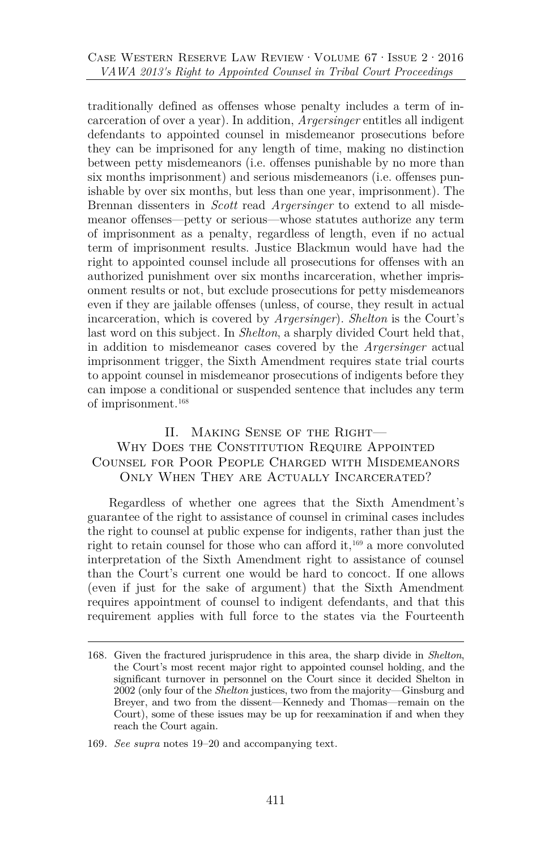traditionally defined as offenses whose penalty includes a term of incarceration of over a year). In addition, *Argersinger* entitles all indigent defendants to appointed counsel in misdemeanor prosecutions before they can be imprisoned for any length of time, making no distinction between petty misdemeanors (i.e. offenses punishable by no more than six months imprisonment) and serious misdemeanors (i.e. offenses punishable by over six months, but less than one year, imprisonment). The Brennan dissenters in *Scott* read *Argersinger* to extend to all misdemeanor offenses—petty or serious—whose statutes authorize any term of imprisonment as a penalty, regardless of length, even if no actual term of imprisonment results. Justice Blackmun would have had the right to appointed counsel include all prosecutions for offenses with an authorized punishment over six months incarceration, whether imprisonment results or not, but exclude prosecutions for petty misdemeanors even if they are jailable offenses (unless, of course, they result in actual incarceration, which is covered by *Argersinger*). *Shelton* is the Court's last word on this subject. In *Shelton*, a sharply divided Court held that, in addition to misdemeanor cases covered by the *Argersinger* actual imprisonment trigger, the Sixth Amendment requires state trial courts to appoint counsel in misdemeanor prosecutions of indigents before they can impose a conditional or suspended sentence that includes any term of imprisonment.[168](#page-33-0)

## II. Making Sense of the Right— WHY DOES THE CONSTITUTION REQUIRE APPOINTED Counsel for Poor People Charged with Misdemeanors ONLY WHEN THEY ARE ACTUALLY INCARCERATED?

Regardless of whether one agrees that the Sixth Amendment's guarantee of the right to assistance of counsel in criminal cases includes the right to counsel at public expense for indigents, rather than just the right to retain counsel for those who can afford it,<sup>169</sup> a more convoluted interpretation of the Sixth Amendment right to assistance of counsel than the Court's current one would be hard to concoct. If one allows (even if just for the sake of argument) that the Sixth Amendment requires appointment of counsel to indigent defendants, and that this requirement applies with full force to the states via the Fourteenth

169*. See supra* notes [19](#page-6-5)[–20](#page-6-6) and accompanying text.

<span id="page-33-0"></span><sup>168.</sup> Given the fractured jurisprudence in this area, the sharp divide in *Shelton*, the Court's most recent major right to appointed counsel holding, and the significant turnover in personnel on the Court since it decided Shelton in 2002 (only four of the *Shelton* justices, two from the majority—Ginsburg and Breyer, and two from the dissent—Kennedy and Thomas—remain on the Court), some of these issues may be up for reexamination if and when they reach the Court again.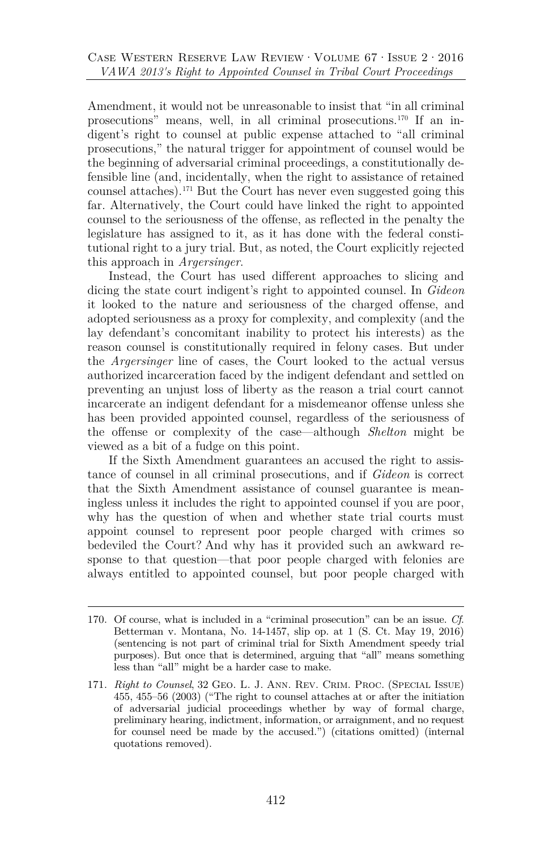Amendment, it would not be unreasonable to insist that "in all criminal prosecutions" means, well, in all criminal prosecutions.[170](#page-34-1) If an indigent's right to counsel at public expense attached to "all criminal prosecutions," the natural trigger for appointment of counsel would be the beginning of adversarial criminal proceedings, a constitutionally defensible line (and, incidentally, when the right to assistance of retained counsel attaches). [171](#page-34-2) But the Court has never even suggested going this far. Alternatively, the Court could have linked the right to appointed counsel to the seriousness of the offense, as reflected in the penalty the legislature has assigned to it, as it has done with the federal constitutional right to a jury trial. But, as noted, the Court explicitly rejected this approach in *Argersinger*.

Instead, the Court has used different approaches to slicing and dicing the state court indigent's right to appointed counsel. In *Gideon* it looked to the nature and seriousness of the charged offense, and adopted seriousness as a proxy for complexity, and complexity (and the lay defendant's concomitant inability to protect his interests) as the reason counsel is constitutionally required in felony cases. But under the *Argersinger* line of cases, the Court looked to the actual versus authorized incarceration faced by the indigent defendant and settled on preventing an unjust loss of liberty as the reason a trial court cannot incarcerate an indigent defendant for a misdemeanor offense unless she has been provided appointed counsel, regardless of the seriousness of the offense or complexity of the case—although *Shelton* might be viewed as a bit of a fudge on this point.

If the Sixth Amendment guarantees an accused the right to assistance of counsel in all criminal prosecutions, and if *Gideon* is correct that the Sixth Amendment assistance of counsel guarantee is meaningless unless it includes the right to appointed counsel if you are poor, why has the question of when and whether state trial courts must appoint counsel to represent poor people charged with crimes so bedeviled the Court? And why has it provided such an awkward response to that question—that poor people charged with felonies are always entitled to appointed counsel, but poor people charged with

<span id="page-34-1"></span><span id="page-34-0"></span><sup>170.</sup> Of course, what is included in a "criminal prosecution" can be an issue. *Cf*. Betterman v. Montana, No. 14-1457, slip op. at 1 (S. Ct. May 19, 2016) (sentencing is not part of criminal trial for Sixth Amendment speedy trial purposes). But once that is determined, arguing that "all" means something less than "all" might be a harder case to make.

<span id="page-34-2"></span><sup>171.</sup> *Right to Counsel*, 32 Geo. L. J. Ann. Rev. Crim. Proc. (Special Issue) 455, 455–56 (2003) ("The right to counsel attaches at or after the initiation of adversarial judicial proceedings whether by way of formal charge, preliminary hearing, indictment, information, or arraignment, and no request for counsel need be made by the accused.") (citations omitted) (internal quotations removed).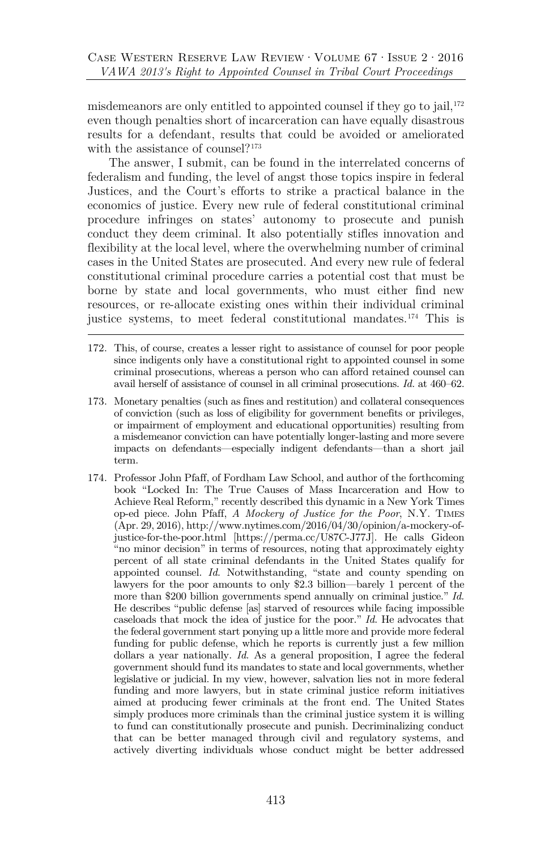misdemeanors are only entitled to appointed counsel if they go to jail, $172$ even though penalties short of incarceration can have equally disastrous results for a defendant, results that could be avoided or ameliorated with the assistance of counsel?<sup>[173](#page-35-1)</sup>

The answer, I submit, can be found in the interrelated concerns of federalism and funding, the level of angst those topics inspire in federal Justices, and the Court's efforts to strike a practical balance in the economics of justice. Every new rule of federal constitutional criminal procedure infringes on states' autonomy to prosecute and punish conduct they deem criminal. It also potentially stifles innovation and flexibility at the local level, where the overwhelming number of criminal cases in the United States are prosecuted. And every new rule of federal constitutional criminal procedure carries a potential cost that must be borne by state and local governments, who must either find new resources, or re-allocate existing ones within their individual criminal justice systems, to meet federal constitutional mandates.[174](#page-35-2) This is

- 172. This, of course, creates a lesser right to assistance of counsel for poor people since indigents only have a constitutional right to appointed counsel in some criminal prosecutions, whereas a person who can afford retained counsel can avail herself of assistance of counsel in all criminal prosecutions. *Id.* at 460–62.
- 173. Monetary penalties (such as fines and restitution) and collateral consequences of conviction (such as loss of eligibility for government benefits or privileges, or impairment of employment and educational opportunities) resulting from a misdemeanor conviction can have potentially longer-lasting and more severe impacts on defendants—especially indigent defendants—than a short jail term.
- <span id="page-35-2"></span><span id="page-35-1"></span><span id="page-35-0"></span>174. Professor John Pfaff, of Fordham Law School, and author of the forthcoming book "Locked In: The True Causes of Mass Incarceration and How to Achieve Real Reform," recently described this dynamic in a New York Times op-ed piece. John Pfaff, *A Mockery of Justice for the Poor*, N.Y. Times (Apr. 29, 2016), http://www.nytimes.com/2016/04/30/opinion/a-mockery-ofjustice-for-the-poor.html [https://perma.cc/U87C-J77J]. He calls Gideon "no minor decision" in terms of resources, noting that approximately eighty percent of all state criminal defendants in the United States qualify for appointed counsel. *Id.* Notwithstanding, "state and county spending on lawyers for the poor amounts to only \$2.3 billion—barely 1 percent of the more than \$200 billion governments spend annually on criminal justice." *Id.*  He describes "public defense [as] starved of resources while facing impossible caseloads that mock the idea of justice for the poor." *Id.* He advocates that the federal government start ponying up a little more and provide more federal funding for public defense, which he reports is currently just a few million dollars a year nationally. *Id.* As a general proposition, I agree the federal government should fund its mandates to state and local governments, whether legislative or judicial. In my view, however, salvation lies not in more federal funding and more lawyers, but in state criminal justice reform initiatives aimed at producing fewer criminals at the front end. The United States simply produces more criminals than the criminal justice system it is willing to fund can constitutionally prosecute and punish. Decriminalizing conduct that can be better managed through civil and regulatory systems, and actively diverting individuals whose conduct might be better addressed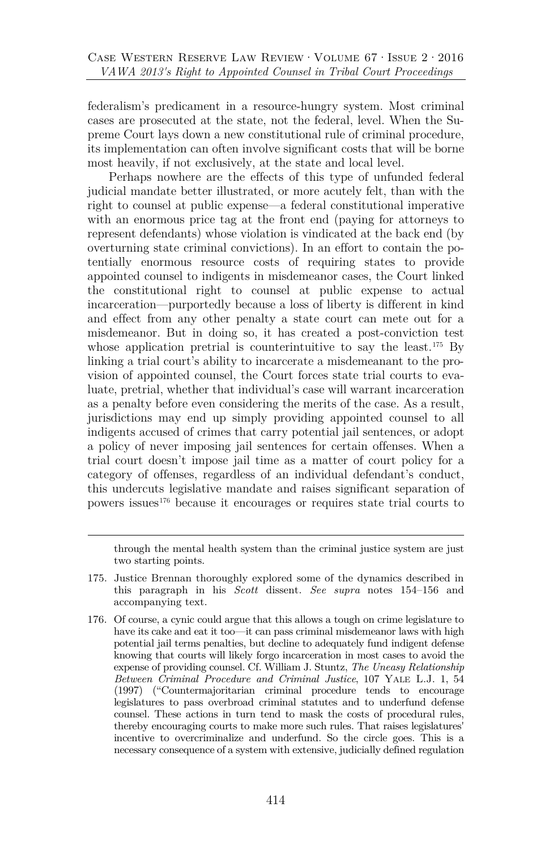federalism's predicament in a resource-hungry system. Most criminal cases are prosecuted at the state, not the federal, level. When the Supreme Court lays down a new constitutional rule of criminal procedure, its implementation can often involve significant costs that will be borne most heavily, if not exclusively, at the state and local level.

Perhaps nowhere are the effects of this type of unfunded federal judicial mandate better illustrated, or more acutely felt, than with the right to counsel at public expense—a federal constitutional imperative with an enormous price tag at the front end (paying for attorneys to represent defendants) whose violation is vindicated at the back end (by overturning state criminal convictions). In an effort to contain the potentially enormous resource costs of requiring states to provide appointed counsel to indigents in misdemeanor cases, the Court linked the constitutional right to counsel at public expense to actual incarceration—purportedly because a loss of liberty is different in kind and effect from any other penalty a state court can mete out for a misdemeanor. But in doing so, it has created a post-conviction test whose application pretrial is counterintuitive to say the least.<sup>[175](#page-36-0)</sup> By linking a trial court's ability to incarcerate a misdemeanant to the provision of appointed counsel, the Court forces state trial courts to evaluate, pretrial, whether that individual's case will warrant incarceration as a penalty before even considering the merits of the case. As a result, jurisdictions may end up simply providing appointed counsel to all indigents accused of crimes that carry potential jail sentences, or adopt a policy of never imposing jail sentences for certain offenses. When a trial court doesn't impose jail time as a matter of court policy for a category of offenses, regardless of an individual defendant's conduct, this undercuts legislative mandate and raises significant separation of powers issues[176](#page-37-0) because it encourages or requires state trial courts to

through the mental health system than the criminal justice system are just two starting points.

<sup>175.</sup> Justice Brennan thoroughly explored some of the dynamics described in this paragraph in his *Scott* dissent. *See supra* notes [154](#page-29-4)[–156](#page-29-5) and accompanying text.

<span id="page-36-0"></span><sup>176.</sup> Of course, a cynic could argue that this allows a tough on crime legislature to have its cake and eat it too—it can pass criminal misdemeanor laws with high potential jail terms penalties, but decline to adequately fund indigent defense knowing that courts will likely forgo incarceration in most cases to avoid the expense of providing counsel. Cf. William J. Stuntz, *The Uneasy Relationship Between Criminal Procedure and Criminal Justice*, 107 Yale L.J. 1, 54 (1997) ("Countermajoritarian criminal procedure tends to encourage legislatures to pass overbroad criminal statutes and to underfund defense counsel. These actions in turn tend to mask the costs of procedural rules, thereby encouraging courts to make more such rules. That raises legislatures' incentive to overcriminalize and underfund. So the circle goes. This is a necessary consequence of a system with extensive, judicially defined regulation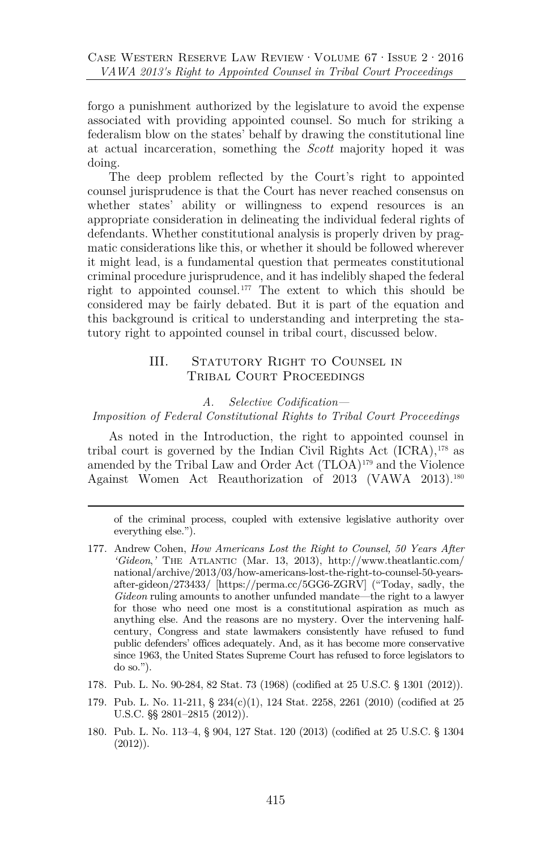forgo a punishment authorized by the legislature to avoid the expense associated with providing appointed counsel. So much for striking a federalism blow on the states' behalf by drawing the constitutional line at actual incarceration, something the *Scott* majority hoped it was doing.

The deep problem reflected by the Court's right to appointed counsel jurisprudence is that the Court has never reached consensus on whether states' ability or willingness to expend resources is an appropriate consideration in delineating the individual federal rights of defendants. Whether constitutional analysis is properly driven by pragmatic considerations like this, or whether it should be followed wherever it might lead, is a fundamental question that permeates constitutional criminal procedure jurisprudence, and it has indelibly shaped the federal right to appointed counsel.[177](#page-37-1) The extent to which this should be considered may be fairly debated. But it is part of the equation and this background is critical to understanding and interpreting the statutory right to appointed counsel in tribal court, discussed below.

## III. STATUTORY RIGHT TO COUNSEL IN Tribal Court Proceedings

*A. Selective Codification—*

*Imposition of Federal Constitutional Rights to Tribal Court Proceedings*

<span id="page-37-0"></span>As noted in the Introduction, the right to appointed counsel in tribal court is governed by the Indian Civil Rights Act  $(ICRA)$ ,  $^{178}$  $^{178}$  $^{178}$  as amended by the Tribal Law and Order Act (TLOA)[179](#page-38-1) and the Violence Against Women Act Reauthorization of 2013 (VAWA 2013).<sup>[180](#page-38-2)</sup>

of the criminal process, coupled with extensive legislative authority over everything else.").

- <span id="page-37-1"></span>178. Pub. L. No. 90-284, 82 Stat. 73 (1968) (codified at 25 U.S.C. § 1301 (2012)).
- 179. Pub. L. No. 11-211, § 234(c)(1), 124 Stat. 2258, 2261 (2010) (codified at 25 U.S.C. §§ 2801–2815 (2012)).
- 180. Pub. L. No. 113–4, § 904, 127 Stat. 120 (2013) (codified at 25 U.S.C. § 1304  $(2012)$ ).

<sup>177.</sup> Andrew Cohen, *How Americans Lost the Right to Counsel, 50 Years After 'Gideon*,*'* The Atlantic (Mar. 13, 2013), http://www.theatlantic.com/ national/archive/2013/03/how-americans-lost-the-right-to-counsel-50-yearsafter-gideon/273433/ [https://perma.cc/5GG6-ZGRV] ("Today, sadly, the *Gideon* ruling amounts to another unfunded mandate—the right to a lawyer for those who need one most is a constitutional aspiration as much as anything else. And the reasons are no mystery. Over the intervening halfcentury, Congress and state lawmakers consistently have refused to fund public defenders' offices adequately. And, as it has become more conservative since 1963, the United States Supreme Court has refused to force legislators to do so.").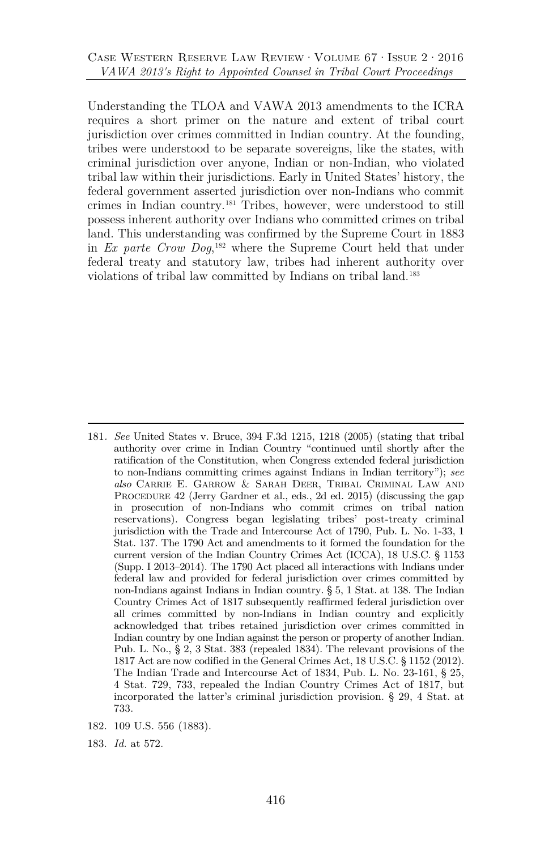Understanding the TLOA and VAWA 2013 amendments to the ICRA requires a short primer on the nature and extent of tribal court jurisdiction over crimes committed in Indian country. At the founding, tribes were understood to be separate sovereigns, like the states, with criminal jurisdiction over anyone, Indian or non-Indian, who violated tribal law within their jurisdictions. Early in United States' history, the federal government asserted jurisdiction over non-Indians who commit crimes in Indian country.[181](#page-38-3) Tribes, however, were understood to still possess inherent authority over Indians who committed crimes on tribal land. This understanding was confirmed by the Supreme Court in 1883 in *Ex parte Crow Dog*, [182](#page-39-0) where the Supreme Court held that under federal treaty and statutory law, tribes had inherent authority over violations of tribal law committed by Indians on tribal land.[183](#page-39-1)

- <span id="page-38-3"></span><span id="page-38-2"></span><span id="page-38-1"></span><span id="page-38-0"></span>181*. See* United States v. Bruce, 394 F.3d 1215, 1218 (2005) (stating that tribal authority over crime in Indian Country "continued until shortly after the ratification of the Constitution, when Congress extended federal jurisdiction to non-Indians committing crimes against Indians in Indian territory"); *see also* Carrie E. Garrow & Sarah Deer, Tribal Criminal Law and PROCEDURE 42 (Jerry Gardner et al., eds., 2d ed. 2015) (discussing the gap in prosecution of non-Indians who commit crimes on tribal nation reservations). Congress began legislating tribes' post-treaty criminal jurisdiction with the Trade and Intercourse Act of 1790, Pub. L. No. 1-33, 1 Stat. 137. The 1790 Act and amendments to it formed the foundation for the current version of the Indian Country Crimes Act (ICCA), 18 U.S.C. § 1153 (Supp. I 2013–2014). The 1790 Act placed all interactions with Indians under federal law and provided for federal jurisdiction over crimes committed by non-Indians against Indians in Indian country. § 5, 1 Stat. at 138. The Indian Country Crimes Act of 1817 subsequently reaffirmed federal jurisdiction over all crimes committed by non-Indians in Indian country and explicitly acknowledged that tribes retained jurisdiction over crimes committed in Indian country by one Indian against the person or property of another Indian. Pub. L. No., § 2, 3 Stat. 383 (repealed 1834). The relevant provisions of the 1817 Act are now codified in the General Crimes Act, 18 U.S.C. § 1152 (2012). The Indian Trade and Intercourse Act of 1834, Pub. L. No. 23-161, § 25, 4 Stat. 729, 733, repealed the Indian Country Crimes Act of 1817, but incorporated the latter's criminal jurisdiction provision. § 29, 4 Stat. at 733.
- 182. 109 U.S. 556 (1883).
- 183. *Id.* at 572.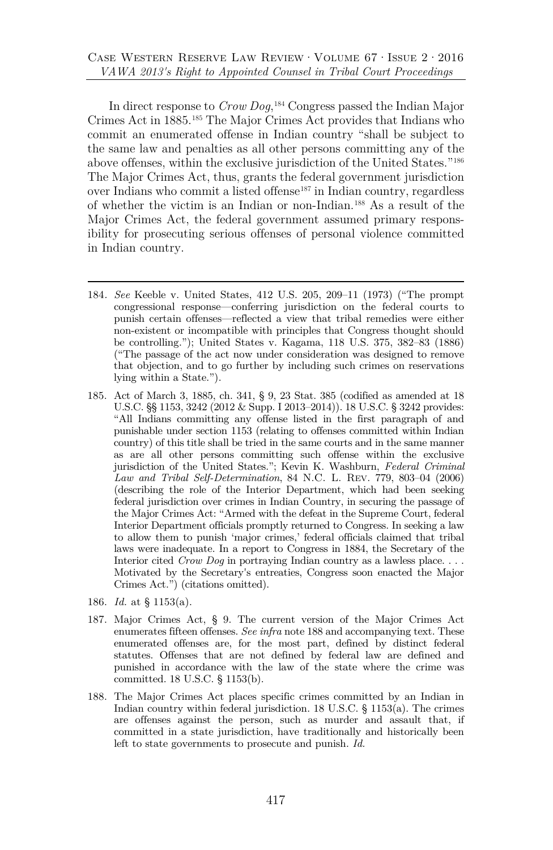In direct response to *Crow Dog*, [184](#page-39-3) Congress passed the Indian Major Crimes Act in 1885.[185](#page-39-4) The Major Crimes Act provides that Indians who commit an enumerated offense in Indian country "shall be subject to the same law and penalties as all other persons committing any of the above offenses, within the exclusive jurisdiction of the United States."[186](#page-39-5) The Major Crimes Act, thus, grants the federal government jurisdiction over Indians who commit a listed offense<sup>[187](#page-39-6)</sup> in Indian country, regardless of whether the victim is an Indian or non-Indian.[188](#page-40-0) As a result of the Major Crimes Act, the federal government assumed primary responsibility for prosecuting serious offenses of personal violence committed in Indian country.

- <span id="page-39-2"></span>184*. See* Keeble v. United States, 412 U.S. 205, 209–11 (1973) ("The prompt congressional response—conferring jurisdiction on the federal courts to punish certain offenses—reflected a view that tribal remedies were either non-existent or incompatible with principles that Congress thought should be controlling."); United States v. Kagama, 118 U.S. 375, 382–83 (1886) ("The passage of the act now under consideration was designed to remove that objection, and to go further by including such crimes on reservations lying within a State.").
- <span id="page-39-4"></span><span id="page-39-3"></span><span id="page-39-1"></span><span id="page-39-0"></span>185. Act of March 3, 1885, ch. 341, § 9, 23 Stat. 385 (codified as amended at 18 U.S.C. §§ 1153, 3242 (2012 & Supp. I 2013–2014)). 18 U.S.C. § 3242 provides: "All Indians committing any offense listed in the first paragraph of and punishable under section 1153 (relating to offenses committed within Indian country) of this title shall be tried in the same courts and in the same manner as are all other persons committing such offense within the exclusive jurisdiction of the United States."; Kevin K. Washburn, *Federal Criminal Law and Tribal Self-Determination*, 84 N.C. L. Rev. 779, 803–04 (2006) (describing the role of the Interior Department, which had been seeking federal jurisdiction over crimes in Indian Country, in securing the passage of the Major Crimes Act: "Armed with the defeat in the Supreme Court, federal Interior Department officials promptly returned to Congress. In seeking a law to allow them to punish 'major crimes,' federal officials claimed that tribal laws were inadequate. In a report to Congress in 1884, the Secretary of the Interior cited *Crow Dog* in portraying Indian country as a lawless place. . . . Motivated by the Secretary's entreaties, Congress soon enacted the Major Crimes Act.") (citations omitted).
- 186. *Id.* at § 1153(a).
- 187. Major Crimes Act, § 9. The current version of the Major Crimes Act enumerates fifteen offenses. *See infra* not[e 188](#page-39-2) and accompanying text. These enumerated offenses are, for the most part, defined by distinct federal statutes. Offenses that are not defined by federal law are defined and punished in accordance with the law of the state where the crime was committed. 18 U.S.C. § 1153(b).
- <span id="page-39-6"></span><span id="page-39-5"></span>188. The Major Crimes Act places specific crimes committed by an Indian in Indian country within federal jurisdiction. 18 U.S.C. § 1153(a). The crimes are offenses against the person, such as murder and assault that, if committed in a state jurisdiction, have traditionally and historically been left to state governments to prosecute and punish. *Id.*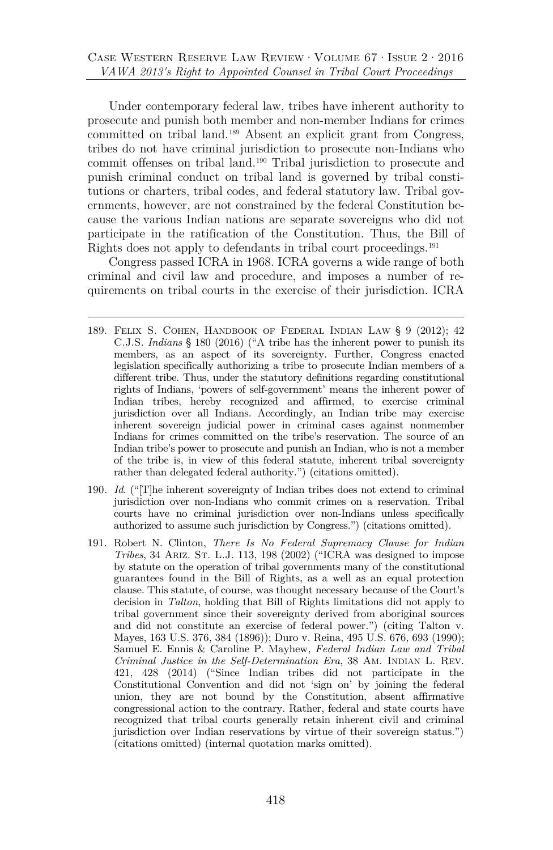Under contemporary federal law, tribes have inherent authority to prosecute and punish both member and non-member Indians for crimes committed on tribal land.[189](#page-40-1) Absent an explicit grant from Congress, tribes do not have criminal jurisdiction to prosecute non-Indians who commit offenses on tribal land.[190](#page-40-2) Tribal jurisdiction to prosecute and punish criminal conduct on tribal land is governed by tribal constitutions or charters, tribal codes, and federal statutory law. Tribal governments, however, are not constrained by the federal Constitution because the various Indian nations are separate sovereigns who did not participate in the ratification of the Constitution. Thus, the Bill of Rights does not apply to defendants in tribal court proceedings.[191](#page-40-3)

Congress passed ICRA in 1968. ICRA governs a wide range of both criminal and civil law and procedure, and imposes a number of requirements on tribal courts in the exercise of their jurisdiction. ICRA

- <span id="page-40-0"></span>189. Felix S. Cohen, Handbook of Federal Indian Law § 9 (2012); 42 C.J.S. *Indians* § 180 (2016) ("A tribe has the inherent power to punish its members, as an aspect of its sovereignty. Further, Congress enacted legislation specifically authorizing a tribe to prosecute Indian members of a different tribe. Thus, under the statutory definitions regarding constitutional rights of Indians, 'powers of self-government' means the inherent power of Indian tribes, hereby recognized and affirmed, to exercise criminal jurisdiction over all Indians. Accordingly, an Indian tribe may exercise inherent sovereign judicial power in criminal cases against nonmember Indians for crimes committed on the tribe's reservation. The source of an Indian tribe's power to prosecute and punish an Indian, who is not a member of the tribe is, in view of this federal statute, inherent tribal sovereignty rather than delegated federal authority.") (citations omitted).
- <span id="page-40-1"></span>190*. Id.* ("[T]he inherent sovereignty of Indian tribes does not extend to criminal jurisdiction over non-Indians who commit crimes on a reservation. Tribal courts have no criminal jurisdiction over non-Indians unless specifically authorized to assume such jurisdiction by Congress.") (citations omitted).
- <span id="page-40-3"></span><span id="page-40-2"></span>191. Robert N. Clinton, *There Is No Federal Supremacy Clause for Indian Tribes*, 34 ARIZ. ST. L.J. 113, 198 (2002) ("ICRA was designed to impose by statute on the operation of tribal governments many of the constitutional guarantees found in the Bill of Rights, as a well as an equal protection clause. This statute, of course, was thought necessary because of the Court's decision in *Talton*, holding that Bill of Rights limitations did not apply to tribal government since their sovereignty derived from aboriginal sources and did not constitute an exercise of federal power.") (citing Talton v. Mayes, 163 U.S. 376, 384 (1896)); Duro v. Reina, 495 U.S. 676, 693 (1990); Samuel E. Ennis & Caroline P. Mayhew, *Federal Indian Law and Tribal Criminal Justice in the Self-Determination Era*, 38 Am. INDIAN L. REV. 421, 428 (2014) ("Since Indian tribes did not participate in the Constitutional Convention and did not 'sign on' by joining the federal union, they are not bound by the Constitution, absent affirmative congressional action to the contrary. Rather, federal and state courts have recognized that tribal courts generally retain inherent civil and criminal jurisdiction over Indian reservations by virtue of their sovereign status.") (citations omitted) (internal quotation marks omitted).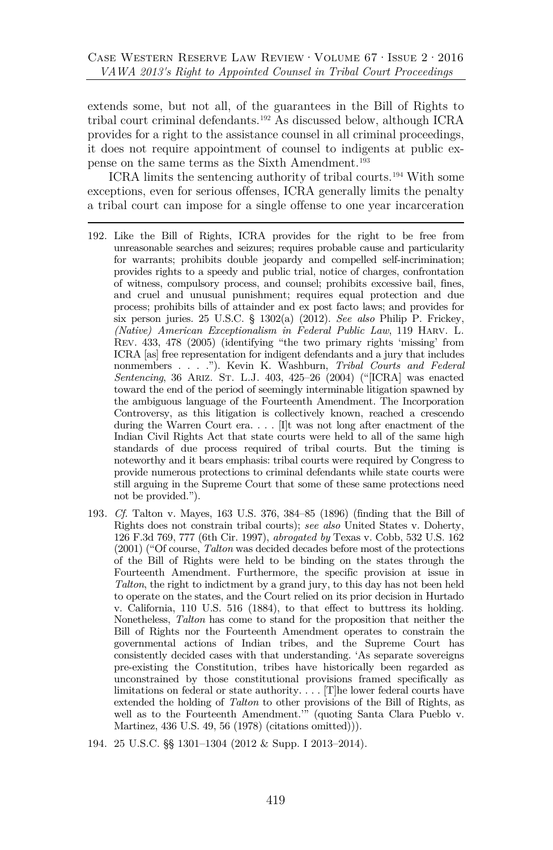extends some, but not all, of the guarantees in the Bill of Rights to tribal court criminal defendants.[192](#page-41-0) As discussed below, although ICRA provides for a right to the assistance counsel in all criminal proceedings, it does not require appointment of counsel to indigents at public expense on the same terms as the Sixth Amendment[.193](#page-41-1)

ICRA limits the sentencing authority of tribal courts.[194](#page-42-0) With some exceptions, even for serious offenses, ICRA generally limits the penalty a tribal court can impose for a single offense to one year incarceration

- <span id="page-41-0"></span>192. Like the Bill of Rights, ICRA provides for the right to be free from unreasonable searches and seizures; requires probable cause and particularity for warrants; prohibits double jeopardy and compelled self-incrimination; provides rights to a speedy and public trial, notice of charges, confrontation of witness, compulsory process, and counsel; prohibits excessive bail, fines, and cruel and unusual punishment; requires equal protection and due process; prohibits bills of attainder and ex post facto laws; and provides for six person juries. 25 U.S.C. § 1302(a) (2012). *See also* Philip P. Frickey, *(Native) American Exceptionalism in Federal Public Law*, 119 Harv. L. Rev. 433, 478 (2005) (identifying "the two primary rights 'missing' from ICRA [as] free representation for indigent defendants and a jury that includes nonmembers . . . ."). Kevin K. Washburn, *Tribal Courts and Federal Sentencing*, 36 ARIZ. ST. L.J. 403, 425–26 (2004) ("[ICRA] was enacted toward the end of the period of seemingly interminable litigation spawned by the ambiguous language of the Fourteenth Amendment. The Incorporation Controversy, as this litigation is collectively known, reached a crescendo during the Warren Court era. . . . [I]t was not long after enactment of the Indian Civil Rights Act that state courts were held to all of the same high standards of due process required of tribal courts. But the timing is noteworthy and it bears emphasis: tribal courts were required by Congress to provide numerous protections to criminal defendants while state courts were still arguing in the Supreme Court that some of these same protections need not be provided.").
- 193*. Cf.* Talton v. Mayes, 163 U.S. 376, 384–85 (1896) (finding that the Bill of Rights does not constrain tribal courts); *see also* United States v. Doherty, 126 F.3d 769, 777 (6th Cir. 1997), *abrogated by* Texas v. Cobb, 532 U.S. 162 (2001) ("Of course, *Talton* was decided decades before most of the protections of the Bill of Rights were held to be binding on the states through the Fourteenth Amendment. Furthermore, the specific provision at issue in *Talton*, the right to indictment by a grand jury, to this day has not been held to operate on the states, and the Court relied on its prior decision in Hurtado v. California, 110 U.S. 516 (1884), to that effect to buttress its holding. Nonetheless, *Talton* has come to stand for the proposition that neither the Bill of Rights nor the Fourteenth Amendment operates to constrain the governmental actions of Indian tribes, and the Supreme Court has consistently decided cases with that understanding. 'As separate sovereigns pre-existing the Constitution, tribes have historically been regarded as unconstrained by those constitutional provisions framed specifically as limitations on federal or state authority. . . . [T]he lower federal courts have extended the holding of *Talton* to other provisions of the Bill of Rights, as well as to the Fourteenth Amendment.'" (quoting Santa Clara Pueblo v. Martinez, 436 U.S. 49, 56 (1978) (citations omitted))).

<span id="page-41-1"></span><sup>194.</sup> 25 U.S.C. §§ 1301–1304 (2012 & Supp. I 2013–2014).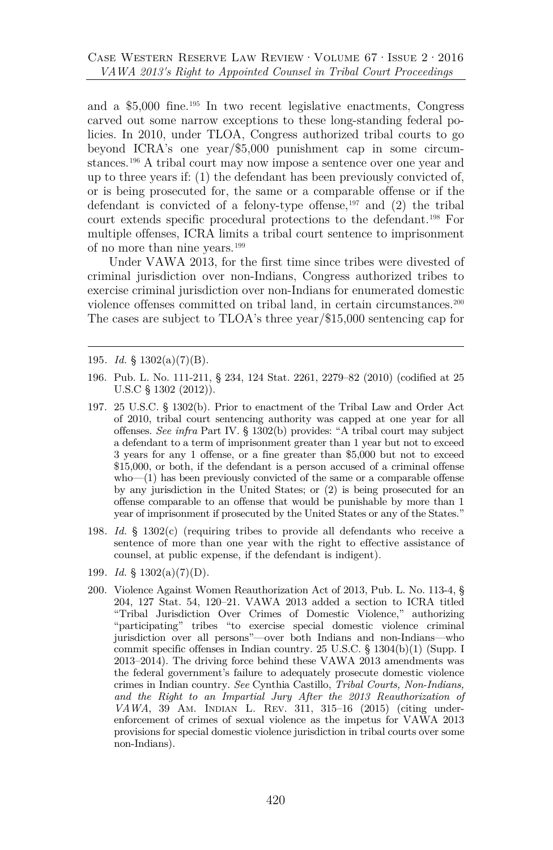and a \$5,000 fine.[195](#page-42-1) In two recent legislative enactments, Congress carved out some narrow exceptions to these long-standing federal policies. In 2010, under TLOA, Congress authorized tribal courts to go beyond ICRA's one year/\$5,000 punishment cap in some circumstances.[196](#page-42-2) A tribal court may now impose a sentence over one year and up to three years if: (1) the defendant has been previously convicted of, or is being prosecuted for, the same or a comparable offense or if the defendant is convicted of a felony-type offense, $197$  and (2) the tribal court extends specific procedural protections to the defendant.[198](#page-42-4) For multiple offenses, ICRA limits a tribal court sentence to imprisonment of no more than nine years.[199](#page-42-5)

<span id="page-42-6"></span>Under VAWA 2013, for the first time since tribes were divested of criminal jurisdiction over non-Indians, Congress authorized tribes to exercise criminal jurisdiction over non-Indians for enumerated domestic violence offenses committed on tribal land, in certain circumstances. [200](#page-43-0) The cases are subject to TLOA's three year/\$15,000 sentencing cap for

195*. Id.* § 1302(a)(7)(B).

- 196. Pub. L. No. 111-211, § 234, 124 Stat. 2261, 2279–82 (2010) (codified at 25 U.S.C § 1302 (2012)).
- 197. 25 U.S.C. § 1302(b)*.* Prior to enactment of the Tribal Law and Order Act of 2010, tribal court sentencing authority was capped at one year for all offenses. *See infra* Part IV. § 1302(b) provides: "A tribal court may subject a defendant to a term of imprisonment greater than 1 year but not to exceed 3 years for any 1 offense, or a fine greater than \$5,000 but not to exceed \$15,000, or both, if the defendant is a person accused of a criminal offense who—(1) has been previously convicted of the same or a comparable offense by any jurisdiction in the United States; or (2) is being prosecuted for an offense comparable to an offense that would be punishable by more than 1 year of imprisonment if prosecuted by the United States or any of the States."
- <span id="page-42-2"></span><span id="page-42-1"></span><span id="page-42-0"></span>198*. Id.* § 1302(c) (requiring tribes to provide all defendants who receive a sentence of more than one year with the right to effective assistance of counsel, at public expense, if the defendant is indigent).
- <span id="page-42-3"></span>199*. Id.* § 1302(a)(7)(D).
- <span id="page-42-5"></span><span id="page-42-4"></span>200. Violence Against Women Reauthorization Act of 2013, Pub. L. No. 113-4, § 204, 127 Stat. 54, 120–21. VAWA 2013 added a section to ICRA titled "Tribal Jurisdiction Over Crimes of Domestic Violence," authorizing "participating" tribes "to exercise special domestic violence criminal jurisdiction over all persons"—over both Indians and non-Indians—who commit specific offenses in Indian country. 25 U.S.C. § 1304(b)(1) (Supp. I 2013–2014). The driving force behind these VAWA 2013 amendments was the federal government's failure to adequately prosecute domestic violence crimes in Indian country. *See* Cynthia Castillo, *Tribal Courts, Non-Indians, and the Right to an Impartial Jury After the 2013 Reauthorization of VAWA*, 39 Am. Indian L. Rev. 311, 315–16 (2015) (citing underenforcement of crimes of sexual violence as the impetus for VAWA 2013 provisions for special domestic violence jurisdiction in tribal courts over some non-Indians).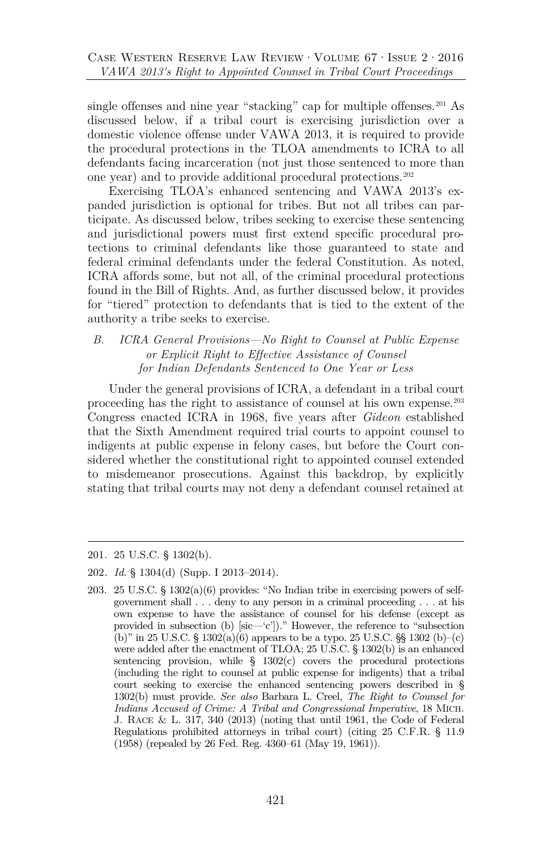single offenses and nine year "stacking" cap for multiple offenses.<sup>[201](#page-43-1)</sup> As discussed below, if a tribal court is exercising jurisdiction over a domestic violence offense under VAWA 2013, it is required to provide the procedural protections in the TLOA amendments to ICRA to all defendants facing incarceration (not just those sentenced to more than one year) and to provide additional procedural protections.[202](#page-43-2)

Exercising TLOA's enhanced sentencing and VAWA 2013's expanded jurisdiction is optional for tribes. But not all tribes can participate. As discussed below, tribes seeking to exercise these sentencing and jurisdictional powers must first extend specific procedural protections to criminal defendants like those guaranteed to state and federal criminal defendants under the federal Constitution. As noted, ICRA affords some, but not all, of the criminal procedural protections found in the Bill of Rights. And, as further discussed below, it provides for "tiered" protection to defendants that is tied to the extent of the authority a tribe seeks to exercise.

#### <span id="page-43-4"></span>*B. ICRA General Provisions—No Right to Counsel at Public Expense or Explicit Right to Effective Assistance of Counsel for Indian Defendants Sentenced to One Year or Less*

<span id="page-43-0"></span>Under the general provisions of ICRA, a defendant in a tribal court proceeding has the right to assistance of counsel at his own expense.[203](#page-43-3) Congress enacted ICRA in 1968, five years after *Gideon* established that the Sixth Amendment required trial courts to appoint counsel to indigents at public expense in felony cases, but before the Court considered whether the constitutional right to appointed counsel extended to misdemeanor prosecutions. Against this backdrop, by explicitly stating that tribal courts may not deny a defendant counsel retained at

<sup>201.</sup> 25 U.S.C. § 1302(b).

<sup>202</sup>*. Id*. § 1304(d) (Supp. I 2013–2014).

<span id="page-43-3"></span><span id="page-43-2"></span><span id="page-43-1"></span><sup>203.</sup> 25 U.S.C. § 1302(a)(6) provides: "No Indian tribe in exercising powers of selfgovernment shall . . . deny to any person in a criminal proceeding . . . at his own expense to have the assistance of counsel for his defense (except as provided in subsection (b)  $[sic—c$ <sup>'</sup>)." However, the reference to "subsection (b)" in 25 U.S.C. § 1302(a)(6) appears to be a typo. 25 U.S.C. §§ 1302 (b)–(c) were added after the enactment of TLOA; 25 U.S.C. § 1302(b) is an enhanced sentencing provision, while  $\S$  1302(c) covers the procedural protections (including the right to counsel at public expense for indigents) that a tribal court seeking to exercise the enhanced sentencing powers described in § 1302(b) must provide. *See also* Barbara L. Creel, *The Right to Counsel for Indians Accused of Crime: A Tribal and Congressional Imperative*, 18 Mich. J. Race & L. 317, 340 (2013) (noting that until 1961, the Code of Federal Regulations prohibited attorneys in tribal court) (citing 25 C.F.R. § 11.9 (1958) (repealed by 26 Fed. Reg. 4360–61 (May 19, 1961)).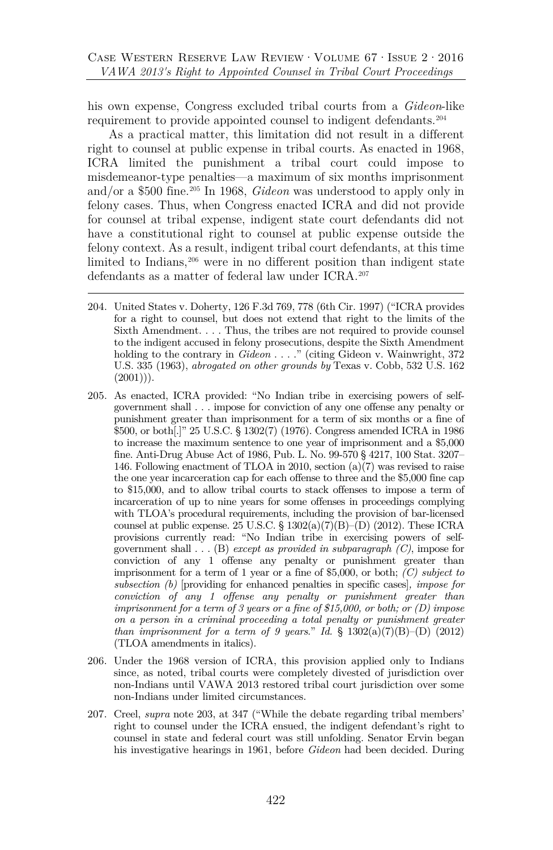his own expense, Congress excluded tribal courts from a *Gideon*-like requirement to provide appointed counsel to indigent defendants.[204](#page-44-0)

As a practical matter, this limitation did not result in a different right to counsel at public expense in tribal courts. As enacted in 1968, ICRA limited the punishment a tribal court could impose to misdemeanor-type penalties—a maximum of six months imprisonment and/or a \$500 fine.[205](#page-44-1) In 1968, *Gideon* was understood to apply only in felony cases. Thus, when Congress enacted ICRA and did not provide for counsel at tribal expense, indigent state court defendants did not have a constitutional right to counsel at public expense outside the felony context. As a result, indigent tribal court defendants, at this time limited to Indians, [206](#page-45-0) were in no different position than indigent state defendants as a matter of federal law under ICRA.[207](#page-45-1)

- 204. United States v. Doherty, 126 F.3d 769, 778 (6th Cir. 1997) ("ICRA provides for a right to counsel, but does not extend that right to the limits of the Sixth Amendment. . . . Thus, the tribes are not required to provide counsel to the indigent accused in felony prosecutions, despite the Sixth Amendment holding to the contrary in *Gideon* . . . ." (citing Gideon v. Wainwright, 372) U.S. 335 (1963), *abrogated on other grounds by* Texas v. Cobb, 532 U.S. 162  $(2001))$ .
- <span id="page-44-1"></span><span id="page-44-0"></span>205. As enacted, ICRA provided: "No Indian tribe in exercising powers of selfgovernment shall . . . impose for conviction of any one offense any penalty or punishment greater than imprisonment for a term of six months or a fine of \$500, or both[.]" 25 U.S.C. § 1302(7) (1976). Congress amended ICRA in 1986 to increase the maximum sentence to one year of imprisonment and a \$5,000 fine. Anti-Drug Abuse Act of 1986, Pub. L. No. 99-570 § 4217, 100 Stat. 3207– 146. Following enactment of TLOA in 2010, section (a)(7) was revised to raise the one year incarceration cap for each offense to three and the \$5,000 fine cap to \$15,000, and to allow tribal courts to stack offenses to impose a term of incarceration of up to nine years for some offenses in proceedings complying with TLOA's procedural requirements, including the provision of bar-licensed counsel at public expense. 25 U.S.C.  $\S 1302(a)(7)(B)$ –(D) (2012). These ICRA provisions currently read: "No Indian tribe in exercising powers of selfgovernment shall . . . (B) *except as provided in subparagraph (C)*, impose for conviction of any 1 offense any penalty or punishment greater than imprisonment for a term of 1 year or a fine of \$5,000, or both; *(C) subject to subsection (b)* [providing for enhanced penalties in specific cases]*, impose for conviction of any 1 offense any penalty or punishment greater than imprisonment for a term of 3 years or a fine of \$15,000, or both; or (D) impose on a person in a criminal proceeding a total penalty or punishment greater than imprisonment for a term of 9 years.*" *Id.*  $\S$  1302(a)(7)(B)–(D) (2012) (TLOA amendments in italics).
- 206. Under the 1968 version of ICRA, this provision applied only to Indians since, as noted, tribal courts were completely divested of jurisdiction over non-Indians until VAWA 2013 restored tribal court jurisdiction over some non-Indians under limited circumstances.
- 207. Creel, *supra* note [203,](#page-43-4) at 347 ("While the debate regarding tribal members' right to counsel under the ICRA ensued, the indigent defendant's right to counsel in state and federal court was still unfolding. Senator Ervin began his investigative hearings in 1961, before *Gideon* had been decided. During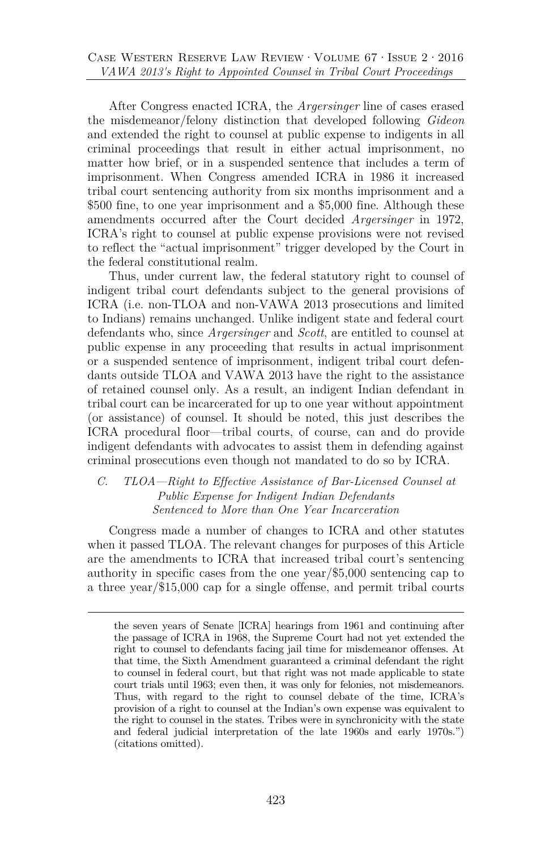After Congress enacted ICRA, the *Argersinger* line of cases erased the misdemeanor/felony distinction that developed following *Gideon* and extended the right to counsel at public expense to indigents in all criminal proceedings that result in either actual imprisonment, no matter how brief, or in a suspended sentence that includes a term of imprisonment. When Congress amended ICRA in 1986 it increased tribal court sentencing authority from six months imprisonment and a \$500 fine, to one year imprisonment and a \$5,000 fine. Although these amendments occurred after the Court decided *Argersinger* in 1972, ICRA's right to counsel at public expense provisions were not revised to reflect the "actual imprisonment" trigger developed by the Court in the federal constitutional realm.

Thus, under current law, the federal statutory right to counsel of indigent tribal court defendants subject to the general provisions of ICRA (i.e. non-TLOA and non-VAWA 2013 prosecutions and limited to Indians) remains unchanged. Unlike indigent state and federal court defendants who, since *Argersinger* and *Scott*, are entitled to counsel at public expense in any proceeding that results in actual imprisonment or a suspended sentence of imprisonment, indigent tribal court defendants outside TLOA and VAWA 2013 have the right to the assistance of retained counsel only. As a result, an indigent Indian defendant in tribal court can be incarcerated for up to one year without appointment (or assistance) of counsel. It should be noted, this just describes the ICRA procedural floor—tribal courts, of course, can and do provide indigent defendants with advocates to assist them in defending against criminal prosecutions even though not mandated to do so by ICRA.

## *C. TLOA—Right to Effective Assistance of Bar-Licensed Counsel at Public Expense for Indigent Indian Defendants Sentenced to More than One Year Incarceration*

<span id="page-45-1"></span><span id="page-45-0"></span>Congress made a number of changes to ICRA and other statutes when it passed TLOA. The relevant changes for purposes of this Article are the amendments to ICRA that increased tribal court's sentencing authority in specific cases from the one year/\$5,000 sentencing cap to a three year/\$15,000 cap for a single offense, and permit tribal courts

the seven years of Senate [ICRA] hearings from 1961 and continuing after the passage of ICRA in 1968, the Supreme Court had not yet extended the right to counsel to defendants facing jail time for misdemeanor offenses. At that time, the Sixth Amendment guaranteed a criminal defendant the right to counsel in federal court, but that right was not made applicable to state court trials until 1963; even then, it was only for felonies, not misdemeanors. Thus, with regard to the right to counsel debate of the time, ICRA's provision of a right to counsel at the Indian's own expense was equivalent to the right to counsel in the states. Tribes were in synchronicity with the state and federal judicial interpretation of the late 1960s and early 1970s.") (citations omitted).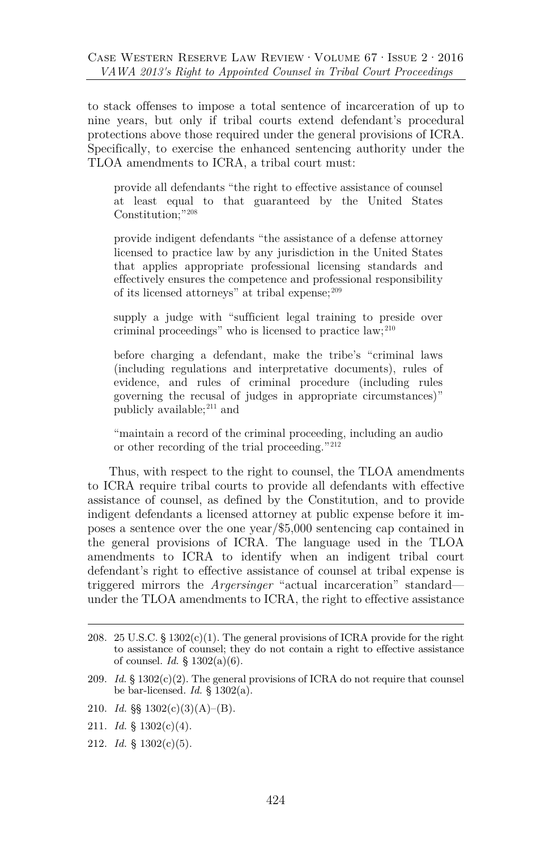to stack offenses to impose a total sentence of incarceration of up to nine years, but only if tribal courts extend defendant's procedural protections above those required under the general provisions of ICRA. Specifically, to exercise the enhanced sentencing authority under the TLOA amendments to ICRA, a tribal court must:

provide all defendants "the right to effective assistance of counsel at least equal to that guaranteed by the United States Constitution;"[208](#page-46-0)

provide indigent defendants "the assistance of a defense attorney licensed to practice law by any jurisdiction in the United States that applies appropriate professional licensing standards and effectively ensures the competence and professional responsibility of its licensed attorneys" at tribal expense; [209](#page-46-1)

supply a judge with "sufficient legal training to preside over criminal proceedings" who is licensed to practice law; [210](#page-46-2)

before charging a defendant, make the tribe's "criminal laws (including regulations and interpretative documents), rules of evidence, and rules of criminal procedure (including rules governing the recusal of judges in appropriate circumstances)" publicly available; [211](#page-46-3) and

"maintain a record of the criminal proceeding, including an audio or other recording of the trial proceeding."[212](#page-47-0)

Thus, with respect to the right to counsel, the TLOA amendments to ICRA require tribal courts to provide all defendants with effective assistance of counsel, as defined by the Constitution, and to provide indigent defendants a licensed attorney at public expense before it imposes a sentence over the one year/\$5,000 sentencing cap contained in the general provisions of ICRA. The language used in the TLOA amendments to ICRA to identify when an indigent tribal court defendant's right to effective assistance of counsel at tribal expense is triggered mirrors the *Argersinger* "actual incarceration" standard under the TLOA amendments to ICRA, the right to effective assistance

- 210. *Id.* §§  $1302(c)(3)(A)–(B)$ .
- <span id="page-46-2"></span>211. *Id.* § 1302(c)(4).
- <span id="page-46-3"></span>212. *Id.* § 1302(c)(5).

<span id="page-46-0"></span><sup>208. 25</sup> U.S.C. §  $1302(c)(1)$ . The general provisions of ICRA provide for the right to assistance of counsel; they do not contain a right to effective assistance of counsel. *Id.* § 1302(a)(6).

<span id="page-46-1"></span><sup>209.</sup> *Id.* § 1302(c)(2). The general provisions of ICRA do not require that counsel be bar-licensed. *Id.* § 1302(a).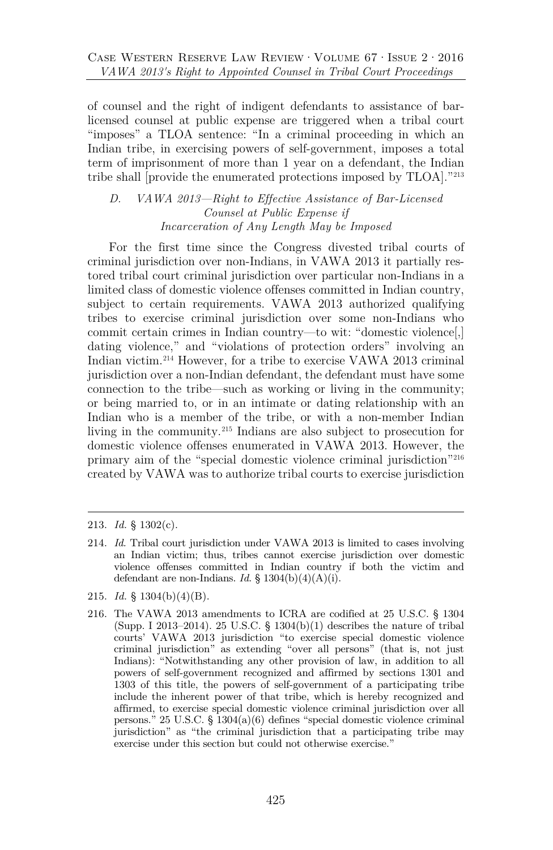of counsel and the right of indigent defendants to assistance of barlicensed counsel at public expense are triggered when a tribal court "imposes" a TLOA sentence: "In a criminal proceeding in which an Indian tribe, in exercising powers of self-government, imposes a total term of imprisonment of more than 1 year on a defendant, the Indian tribe shall [provide the enumerated protections imposed by TLOA]."[213](#page-47-1)

#### *D. VAWA 2013—Right to Effective Assistance of Bar-Licensed Counsel at Public Expense if Incarceration of Any Length May be Imposed*

For the first time since the Congress divested tribal courts of criminal jurisdiction over non-Indians, in VAWA 2013 it partially restored tribal court criminal jurisdiction over particular non-Indians in a limited class of domestic violence offenses committed in Indian country, subject to certain requirements. VAWA 2013 authorized qualifying tribes to exercise criminal jurisdiction over some non-Indians who commit certain crimes in Indian country—to wit: "domestic violence[,] dating violence," and "violations of protection orders" involving an Indian victim.[214](#page-47-2) However, for a tribe to exercise VAWA 2013 criminal jurisdiction over a non-Indian defendant, the defendant must have some connection to the tribe—such as working or living in the community; or being married to, or in an intimate or dating relationship with an Indian who is a member of the tribe, or with a non-member Indian living in the community.[215](#page-47-3) Indians are also subject to prosecution for domestic violence offenses enumerated in VAWA 2013. However, the primary aim of the "special domestic violence criminal jurisdiction"[216](#page-48-0) created by VAWA was to authorize tribal courts to exercise jurisdiction

<span id="page-47-4"></span><sup>213.</sup> *Id.* § 1302(c).

<sup>214.</sup> *Id.* Tribal court jurisdiction under VAWA 2013 is limited to cases involving an Indian victim; thus, tribes cannot exercise jurisdiction over domestic violence offenses committed in Indian country if both the victim and defendant are non-Indians. *Id.*  $\S$  1304(b)(4)(A)(i).

<sup>215.</sup> *Id.* § 1304(b)(4)(B).

<span id="page-47-3"></span><span id="page-47-2"></span><span id="page-47-1"></span><span id="page-47-0"></span><sup>216.</sup> The VAWA 2013 amendments to ICRA are codified at 25 U.S.C. § 1304 (Supp. I 2013–2014). 25 U.S.C. § 1304(b)(1) describes the nature of tribal courts' VAWA 2013 jurisdiction "to exercise special domestic violence criminal jurisdiction" as extending "over all persons" (that is, not just Indians): "Notwithstanding any other provision of law, in addition to all powers of self-government recognized and affirmed by sections 1301 and 1303 of this title, the powers of self-government of a participating tribe include the inherent power of that tribe, which is hereby recognized and affirmed, to exercise special domestic violence criminal jurisdiction over all persons." 25 U.S.C. § 1304(a)(6) defines "special domestic violence criminal jurisdiction" as "the criminal jurisdiction that a participating tribe may exercise under this section but could not otherwise exercise."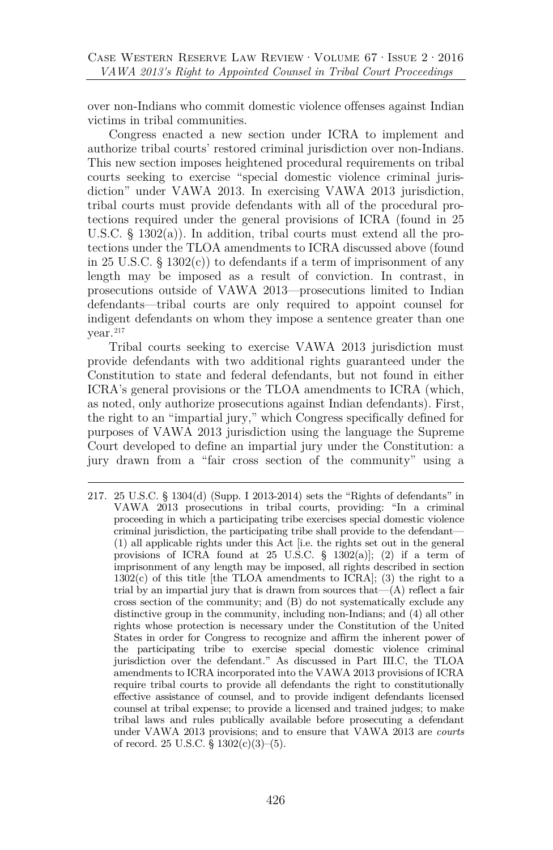over non-Indians who commit domestic violence offenses against Indian victims in tribal communities.

Congress enacted a new section under ICRA to implement and authorize tribal courts' restored criminal jurisdiction over non-Indians. This new section imposes heightened procedural requirements on tribal courts seeking to exercise "special domestic violence criminal jurisdiction" under VAWA 2013. In exercising VAWA 2013 jurisdiction, tribal courts must provide defendants with all of the procedural protections required under the general provisions of ICRA (found in 25 U.S.C. § 1302(a)). In addition, tribal courts must extend all the protections under the TLOA amendments to ICRA discussed above (found in 25 U.S.C.  $\S$  1302(c)) to defendants if a term of imprisonment of any length may be imposed as a result of conviction. In contrast, in prosecutions outside of VAWA 2013—prosecutions limited to Indian defendants—tribal courts are only required to appoint counsel for indigent defendants on whom they impose a sentence greater than one year.[217](#page-48-1)

<span id="page-48-2"></span><span id="page-48-0"></span>Tribal courts seeking to exercise VAWA 2013 jurisdiction must provide defendants with two additional rights guaranteed under the Constitution to state and federal defendants, but not found in either ICRA's general provisions or the TLOA amendments to ICRA (which, as noted, only authorize prosecutions against Indian defendants). First, the right to an "impartial jury," which Congress specifically defined for purposes of VAWA 2013 jurisdiction using the language the Supreme Court developed to define an impartial jury under the Constitution: a jury drawn from a "fair cross section of the community" using a

<span id="page-48-1"></span>217. 25 U.S.C. § 1304(d) (Supp. I 2013-2014) sets the "Rights of defendants" in VAWA 2013 prosecutions in tribal courts, providing: "In a criminal proceeding in which a participating tribe exercises special domestic violence criminal jurisdiction, the participating tribe shall provide to the defendant— (1) all applicable rights under this Act [i.e. the rights set out in the general provisions of ICRA found at 25 U.S.C. § 1302(a)]; (2) if a term of imprisonment of any length may be imposed, all rights described in section  $1302(c)$  of this title [the TLOA amendments to ICRA]; (3) the right to a trial by an impartial jury that is drawn from sources that  $-(A)$  reflect a fair cross section of the community; and (B) do not systematically exclude any distinctive group in the community, including non-Indians; and (4) all other rights whose protection is necessary under the Constitution of the United States in order for Congress to recognize and affirm the inherent power of the participating tribe to exercise special domestic violence criminal jurisdiction over the defendant." As discussed in Part III.C, the TLOA amendments to ICRA incorporated into the VAWA 2013 provisions of ICRA require tribal courts to provide all defendants the right to constitutionally effective assistance of counsel, and to provide indigent defendants licensed counsel at tribal expense; to provide a licensed and trained judges; to make tribal laws and rules publically available before prosecuting a defendant under VAWA 2013 provisions; and to ensure that VAWA 2013 are *courts* of record. 25 U.S.C. §  $1302(c)(3)-(5)$ .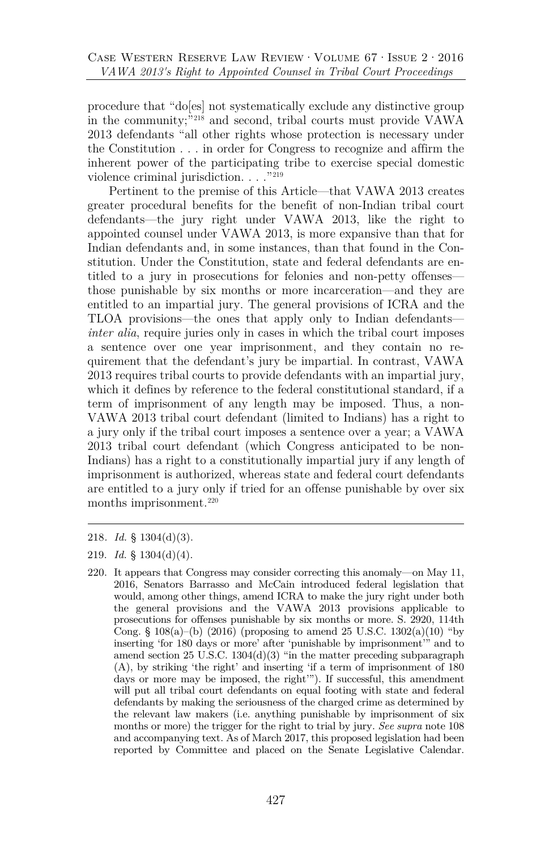procedure that "do[es] not systematically exclude any distinctive group in the community;"[218](#page-49-0) and second, tribal courts must provide VAWA 2013 defendants "all other rights whose protection is necessary under the Constitution . . . in order for Congress to recognize and affirm the inherent power of the participating tribe to exercise special domestic violence criminal jurisdiction. . . ."[219](#page-49-1)

Pertinent to the premise of this Article—that VAWA 2013 creates greater procedural benefits for the benefit of non-Indian tribal court defendants—the jury right under VAWA 2013, like the right to appointed counsel under VAWA 2013, is more expansive than that for Indian defendants and, in some instances, than that found in the Constitution. Under the Constitution, state and federal defendants are entitled to a jury in prosecutions for felonies and non-petty offenses those punishable by six months or more incarceration—and they are entitled to an impartial jury. The general provisions of ICRA and the TLOA provisions—the ones that apply only to Indian defendants *inter alia*, require juries only in cases in which the tribal court imposes a sentence over one year imprisonment, and they contain no requirement that the defendant's jury be impartial. In contrast, VAWA 2013 requires tribal courts to provide defendants with an impartial jury, which it defines by reference to the federal constitutional standard, if a term of imprisonment of any length may be imposed. Thus, a non-VAWA 2013 tribal court defendant (limited to Indians) has a right to a jury only if the tribal court imposes a sentence over a year; a VAWA 2013 tribal court defendant (which Congress anticipated to be non-Indians) has a right to a constitutionally impartial jury if any length of imprisonment is authorized, whereas state and federal court defendants are entitled to a jury only if tried for an offense punishable by over six months imprisonment.<sup>[220](#page-50-0)</sup>

<sup>218</sup>*. Id.* § 1304(d)(3).

<sup>219.</sup> *Id.* §  $1304(d)(4)$ .

<span id="page-49-1"></span><span id="page-49-0"></span><sup>220.</sup> It appears that Congress may consider correcting this anomaly—on May 11, 2016, Senators Barrasso and McCain introduced federal legislation that would, among other things, amend ICRA to make the jury right under both the general provisions and the VAWA 2013 provisions applicable to prosecutions for offenses punishable by six months or more. S. 2920, 114th Cong. § 108(a)–(b) (2016) (proposing to amend 25 U.S.C. 1302(a)(10) "by inserting 'for 180 days or more' after 'punishable by imprisonment'" and to amend section 25 U.S.C. 1304(d)(3) "in the matter preceding subparagraph (A), by striking 'the right' and inserting 'if a term of imprisonment of 180 days or more may be imposed, the right'"). If successful, this amendment will put all tribal court defendants on equal footing with state and federal defendants by making the seriousness of the charged crime as determined by the relevant law makers (i.e. anything punishable by imprisonment of six months or more) the trigger for the right to trial by jury. *See supra* not[e 108](#page-20-11) and accompanying text. As of March 2017, this proposed legislation had been reported by Committee and placed on the Senate Legislative Calendar.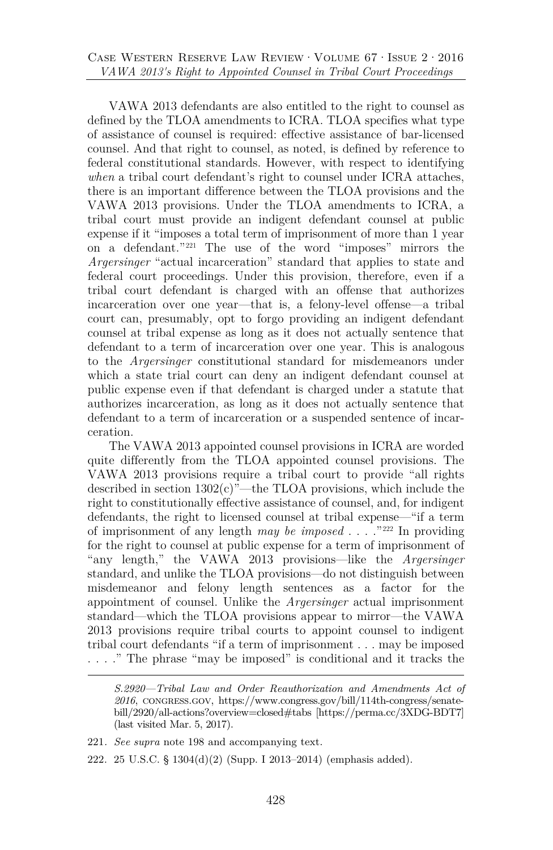VAWA 2013 defendants are also entitled to the right to counsel as defined by the TLOA amendments to ICRA. TLOA specifies what type of assistance of counsel is required: effective assistance of bar-licensed counsel. And that right to counsel, as noted, is defined by reference to federal constitutional standards. However, with respect to identifying *when* a tribal court defendant's right to counsel under ICRA attaches, there is an important difference between the TLOA provisions and the VAWA 2013 provisions. Under the TLOA amendments to ICRA, a tribal court must provide an indigent defendant counsel at public expense if it "imposes a total term of imprisonment of more than 1 year on a defendant."[221](#page-50-1) The use of the word "imposes" mirrors the *Argersinger* "actual incarceration" standard that applies to state and federal court proceedings. Under this provision, therefore, even if a tribal court defendant is charged with an offense that authorizes incarceration over one year—that is, a felony-level offense—a tribal court can, presumably, opt to forgo providing an indigent defendant counsel at tribal expense as long as it does not actually sentence that defendant to a term of incarceration over one year. This is analogous to the *Argersinger* constitutional standard for misdemeanors under which a state trial court can deny an indigent defendant counsel at public expense even if that defendant is charged under a statute that authorizes incarceration, as long as it does not actually sentence that defendant to a term of incarceration or a suspended sentence of incarceration.

<span id="page-50-0"></span>The VAWA 2013 appointed counsel provisions in ICRA are worded quite differently from the TLOA appointed counsel provisions. The VAWA 2013 provisions require a tribal court to provide "all rights described in section 1302(c)"—the TLOA provisions, which include the right to constitutionally effective assistance of counsel, and, for indigent defendants, the right to licensed counsel at tribal expense—"if a term of imprisonment of any length *may be imposed* . . . ."[222](#page-51-0) In providing for the right to counsel at public expense for a term of imprisonment of "any length," the VAWA 2013 provisions—like the *Argersinger* standard, and unlike the TLOA provisions—do not distinguish between misdemeanor and felony length sentences as a factor for the appointment of counsel. Unlike the *Argersinger* actual imprisonment standard—which the TLOA provisions appear to mirror—the VAWA 2013 provisions require tribal courts to appoint counsel to indigent tribal court defendants "if a term of imprisonment . . . may be imposed . . . ." The phrase "may be imposed" is conditional and it tracks the

- <span id="page-50-1"></span>221*. See supra* note [198](#page-42-6) and accompanying text.
- 222. 25 U.S.C. § 1304(d)(2) (Supp. I 2013–2014) (emphasis added).

*S.2920—Tribal Law and Order Reauthorization and Amendments Act of 2016*, congress.gov, https://www.congress.gov/bill/114th-congress/senatebill/2920/all-actions?overview=closed#tabs [https://perma.cc/3XDG-BDT7] (last visited Mar. 5, 2017).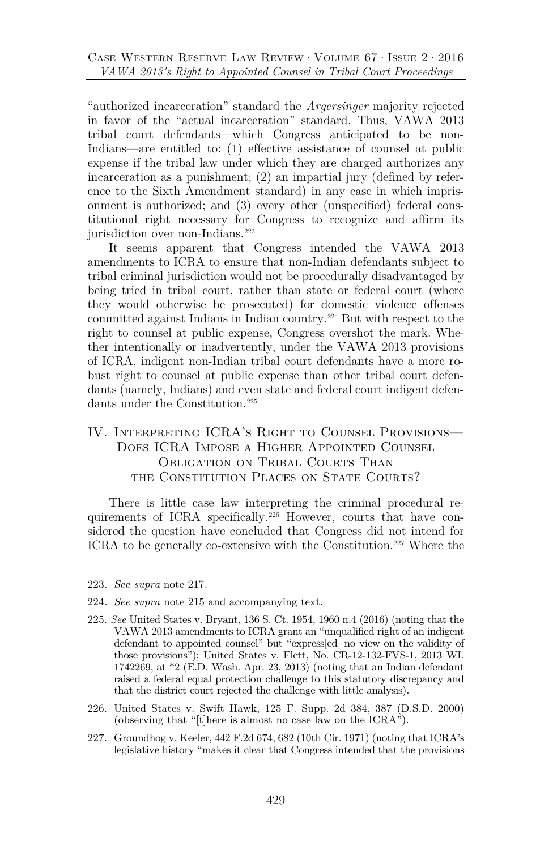"authorized incarceration" standard the *Argersinger* majority rejected in favor of the "actual incarceration" standard. Thus, VAWA 2013 tribal court defendants—which Congress anticipated to be non-Indians—are entitled to: (1) effective assistance of counsel at public expense if the tribal law under which they are charged authorizes any incarceration as a punishment; (2) an impartial jury (defined by reference to the Sixth Amendment standard) in any case in which imprisonment is authorized; and (3) every other (unspecified) federal constitutional right necessary for Congress to recognize and affirm its jurisdiction over non-Indians.<sup>[223](#page-51-1)</sup>

It seems apparent that Congress intended the VAWA 2013 amendments to ICRA to ensure that non-Indian defendants subject to tribal criminal jurisdiction would not be procedurally disadvantaged by being tried in tribal court, rather than state or federal court (where they would otherwise be prosecuted) for domestic violence offenses committed against Indians in Indian country[.224](#page-51-2) But with respect to the right to counsel at public expense, Congress overshot the mark. Whether intentionally or inadvertently, under the VAWA 2013 provisions of ICRA, indigent non-Indian tribal court defendants have a more robust right to counsel at public expense than other tribal court defendants (namely, Indians) and even state and federal court indigent defendants under the Constitution.[225](#page-51-3)

## IV. Interpreting ICRA's Right to Counsel Provisions— Does ICRA Impose a Higher Appointed Counsel Obligation on Tribal Courts Than THE CONSTITUTION PLACES ON STATE COURTS?

There is little case law interpreting the criminal procedural requirements of ICRA specifically.[226](#page-52-0) However, courts that have considered the question have concluded that Congress did not intend for ICRA to be generally co-extensive with the Constitution.<sup>[227](#page-52-1)</sup> Where the

<sup>223</sup>*. See supra* note [217.](#page-48-2)

<sup>224</sup>*. See supra* note [215](#page-47-4) and accompanying text.

<sup>225.</sup> *See* United States v. Bryant, 136 S. Ct. 1954, 1960 n.4 (2016) (noting that the VAWA 2013 amendments to ICRA grant an "unqualified right of an indigent defendant to appointed counsel" but "express[ed] no view on the validity of those provisions"); United States v. Flett, No. CR-12-132-FVS-1, 2013 WL 1742269, at \*2 (E.D. Wash. Apr. 23, 2013) (noting that an Indian defendant raised a federal equal protection challenge to this statutory discrepancy and that the district court rejected the challenge with little analysis).

<span id="page-51-3"></span><span id="page-51-2"></span><span id="page-51-1"></span><span id="page-51-0"></span><sup>226.</sup> United States v. Swift Hawk, 125 F. Supp. 2d 384, 387 (D.S.D. 2000) (observing that "[t]here is almost no case law on the ICRA").

<sup>227.</sup> Groundhog v. Keeler, 442 F.2d 674, 682 (10th Cir. 1971) (noting that ICRA's legislative history "makes it clear that Congress intended that the provisions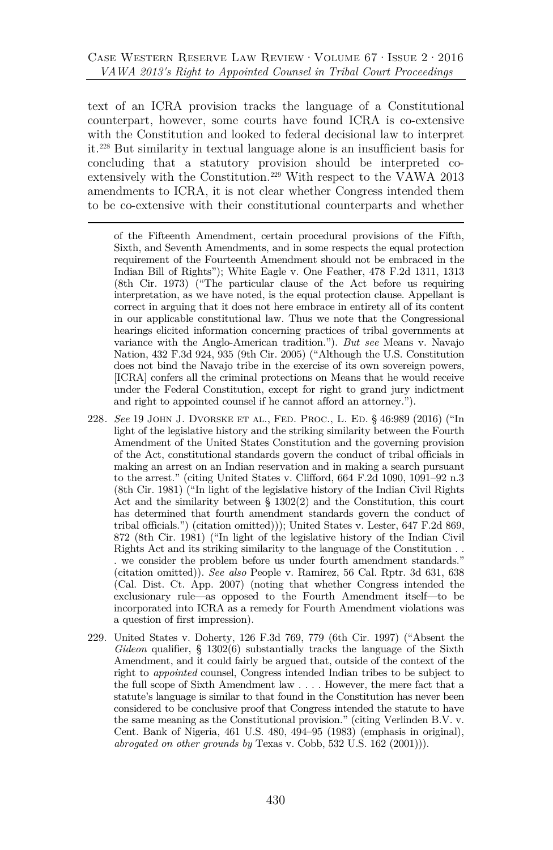text of an ICRA provision tracks the language of a Constitutional counterpart, however, some courts have found ICRA is co-extensive with the Constitution and looked to federal decisional law to interpret it[.228](#page-52-2) But similarity in textual language alone is an insufficient basis for concluding that a statutory provision should be interpreted co-extensively with the Constitution.<sup>[229](#page-53-0)</sup> With respect to the VAWA 2013 amendments to ICRA, it is not clear whether Congress intended them to be co-extensive with their constitutional counterparts and whether

of the Fifteenth Amendment, certain procedural provisions of the Fifth, Sixth, and Seventh Amendments, and in some respects the equal protection requirement of the Fourteenth Amendment should not be embraced in the Indian Bill of Rights"); White Eagle v. One Feather, 478 F.2d 1311, 1313 (8th Cir. 1973) ("The particular clause of the Act before us requiring interpretation, as we have noted, is the equal protection clause. Appellant is correct in arguing that it does not here embrace in entirety all of its content in our applicable constitutional law. Thus we note that the Congressional hearings elicited information concerning practices of tribal governments at variance with the Anglo-American tradition."). *But see* Means v. Navajo Nation, 432 F.3d 924, 935 (9th Cir. 2005) ("Although the U.S. Constitution does not bind the Navajo tribe in the exercise of its own sovereign powers, [ICRA] confers all the criminal protections on Means that he would receive under the Federal Constitution, except for right to grand jury indictment and right to appointed counsel if he cannot afford an attorney.").

- <span id="page-52-1"></span><span id="page-52-0"></span>228*. See* 19 John J. Dvorske et al., Fed. Proc., L. Ed. § 46:989 (2016) ("In light of the legislative history and the striking similarity between the Fourth Amendment of the United States Constitution and the governing provision of the Act, constitutional standards govern the conduct of tribal officials in making an arrest on an Indian reservation and in making a search pursuant to the arrest." (citing United States v. Clifford, 664 F.2d 1090, 1091–92 n.3 (8th Cir. 1981) ("In light of the legislative history of the Indian Civil Rights Act and the similarity between § 1302(2) and the Constitution, this court has determined that fourth amendment standards govern the conduct of tribal officials.") (citation omitted))); United States v. Lester, 647 F.2d 869, 872 (8th Cir. 1981) ("In light of the legislative history of the Indian Civil Rights Act and its striking similarity to the language of the Constitution . . . we consider the problem before us under fourth amendment standards." (citation omitted)). *See also* People v. Ramirez, 56 Cal. Rptr. 3d 631, 638 (Cal. Dist. Ct. App. 2007) (noting that whether Congress intended the exclusionary rule—as opposed to the Fourth Amendment itself—to be incorporated into ICRA as a remedy for Fourth Amendment violations was a question of first impression).
- <span id="page-52-2"></span>229. United States v. Doherty, 126 F.3d 769, 779 (6th Cir. 1997) ("Absent the *Gideon* qualifier, § 1302(6) substantially tracks the language of the Sixth Amendment, and it could fairly be argued that, outside of the context of the right to *appointed* counsel, Congress intended Indian tribes to be subject to the full scope of Sixth Amendment law . . . . However, the mere fact that a statute's language is similar to that found in the Constitution has never been considered to be conclusive proof that Congress intended the statute to have the same meaning as the Constitutional provision." (citing Verlinden B.V. v. Cent. Bank of Nigeria, 461 U.S. 480, 494–95 (1983) (emphasis in original), *abrogated on other grounds by* Texas v. Cobb, 532 U.S. 162 (2001))).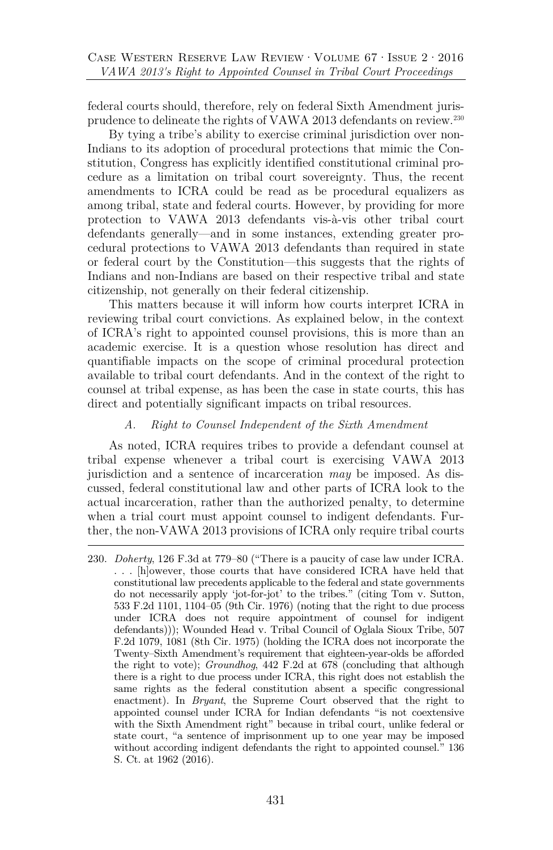federal courts should, therefore, rely on federal Sixth Amendment jurisprudence to delineate the rights of VAWA 2013 defendants on review.[230](#page-53-1)

By tying a tribe's ability to exercise criminal jurisdiction over non-Indians to its adoption of procedural protections that mimic the Constitution, Congress has explicitly identified constitutional criminal procedure as a limitation on tribal court sovereignty. Thus, the recent amendments to ICRA could be read as be procedural equalizers as among tribal, state and federal courts. However, by providing for more protection to VAWA 2013 defendants vis-à-vis other tribal court defendants generally—and in some instances, extending greater procedural protections to VAWA 2013 defendants than required in state or federal court by the Constitution—this suggests that the rights of Indians and non-Indians are based on their respective tribal and state citizenship, not generally on their federal citizenship.

This matters because it will inform how courts interpret ICRA in reviewing tribal court convictions. As explained below, in the context of ICRA's right to appointed counsel provisions, this is more than an academic exercise. It is a question whose resolution has direct and quantifiable impacts on the scope of criminal procedural protection available to tribal court defendants. And in the context of the right to counsel at tribal expense, as has been the case in state courts, this has direct and potentially significant impacts on tribal resources.

## *A. Right to Counsel Independent of the Sixth Amendment*

<span id="page-53-0"></span>As noted, ICRA requires tribes to provide a defendant counsel at tribal expense whenever a tribal court is exercising VAWA 2013 jurisdiction and a sentence of incarceration *may* be imposed. As discussed, federal constitutional law and other parts of ICRA look to the actual incarceration, rather than the authorized penalty, to determine when a trial court must appoint counsel to indigent defendants. Further, the non-VAWA 2013 provisions of ICRA only require tribal courts

<span id="page-53-1"></span><sup>230.</sup> *Doherty*, 126 F.3d at 779–80 ("There is a paucity of case law under ICRA. . . . [h]owever, those courts that have considered ICRA have held that constitutional law precedents applicable to the federal and state governments do not necessarily apply 'jot-for-jot' to the tribes." (citing Tom v. Sutton, 533 F.2d 1101, 1104–05 (9th Cir. 1976) (noting that the right to due process under ICRA does not require appointment of counsel for indigent defendants))); Wounded Head v. Tribal Council of Oglala Sioux Tribe, 507 F.2d 1079, 1081 (8th Cir. 1975) (holding the ICRA does not incorporate the Twenty–Sixth Amendment's requirement that eighteen-year-olds be afforded the right to vote); *Groundhog*, 442 F.2d at 678 (concluding that although there is a right to due process under ICRA, this right does not establish the same rights as the federal constitution absent a specific congressional enactment). In *Bryant*, the Supreme Court observed that the right to appointed counsel under ICRA for Indian defendants "is not coextensive with the Sixth Amendment right" because in tribal court, unlike federal or state court, "a sentence of imprisonment up to one year may be imposed without according indigent defendants the right to appointed counsel." 136 S. Ct. at 1962 (2016).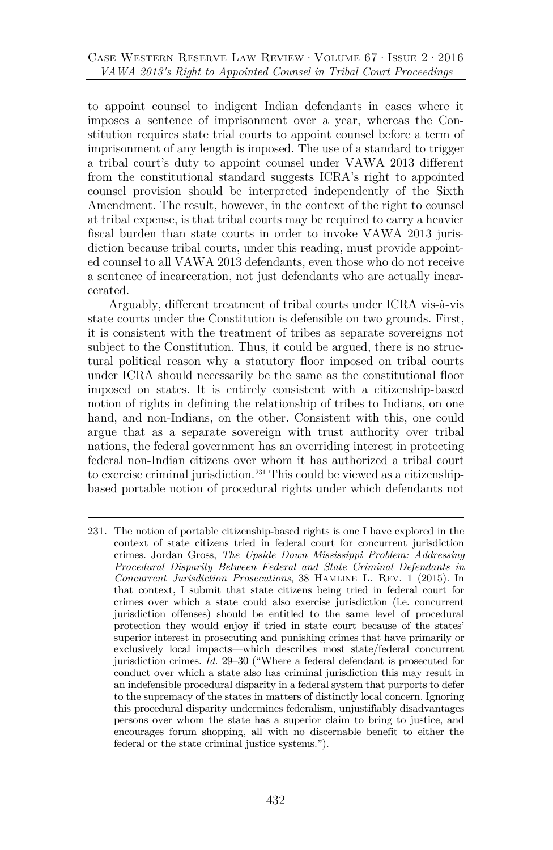to appoint counsel to indigent Indian defendants in cases where it imposes a sentence of imprisonment over a year, whereas the Constitution requires state trial courts to appoint counsel before a term of imprisonment of any length is imposed. The use of a standard to trigger a tribal court's duty to appoint counsel under VAWA 2013 different from the constitutional standard suggests ICRA's right to appointed counsel provision should be interpreted independently of the Sixth Amendment. The result, however, in the context of the right to counsel at tribal expense, is that tribal courts may be required to carry a heavier fiscal burden than state courts in order to invoke VAWA 2013 jurisdiction because tribal courts, under this reading, must provide appointed counsel to all VAWA 2013 defendants, even those who do not receive a sentence of incarceration, not just defendants who are actually incarcerated.

Arguably, different treatment of tribal courts under ICRA vis-à-vis state courts under the Constitution is defensible on two grounds. First, it is consistent with the treatment of tribes as separate sovereigns not subject to the Constitution. Thus, it could be argued, there is no structural political reason why a statutory floor imposed on tribal courts under ICRA should necessarily be the same as the constitutional floor imposed on states. It is entirely consistent with a citizenship-based notion of rights in defining the relationship of tribes to Indians, on one hand, and non-Indians, on the other. Consistent with this, one could argue that as a separate sovereign with trust authority over tribal nations, the federal government has an overriding interest in protecting federal non-Indian citizens over whom it has authorized a tribal court to exercise criminal jurisdiction. [231](#page-55-0) This could be viewed as a citizenshipbased portable notion of procedural rights under which defendants not

<sup>231.</sup> The notion of portable citizenship-based rights is one I have explored in the context of state citizens tried in federal court for concurrent jurisdiction crimes. Jordan Gross, *The Upside Down Mississippi Problem: Addressing Procedural Disparity Between Federal and State Criminal Defendants in Concurrent Jurisdiction Prosecutions*, 38 Hamline L. Rev. 1 (2015). In that context, I submit that state citizens being tried in federal court for crimes over which a state could also exercise jurisdiction (i.e. concurrent jurisdiction offenses) should be entitled to the same level of procedural protection they would enjoy if tried in state court because of the states' superior interest in prosecuting and punishing crimes that have primarily or exclusively local impacts—which describes most state/federal concurrent jurisdiction crimes. *Id.* 29–30 ("Where a federal defendant is prosecuted for conduct over which a state also has criminal jurisdiction this may result in an indefensible procedural disparity in a federal system that purports to defer to the supremacy of the states in matters of distinctly local concern. Ignoring this procedural disparity undermines federalism, unjustifiably disadvantages persons over whom the state has a superior claim to bring to justice, and encourages forum shopping, all with no discernable benefit to either the federal or the state criminal justice systems.").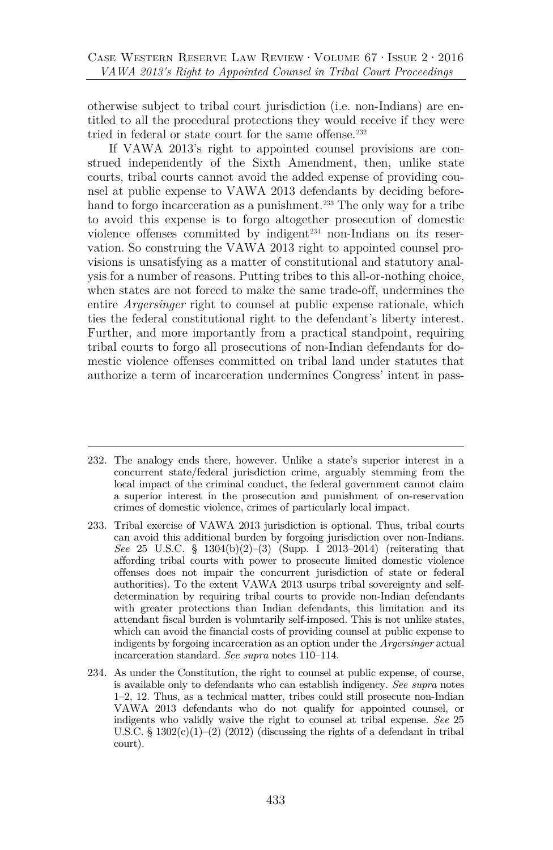otherwise subject to tribal court jurisdiction (i.e. non-Indians) are entitled to all the procedural protections they would receive if they were tried in federal or state court for the same offense.<sup>[232](#page-55-1)</sup>

If VAWA 2013's right to appointed counsel provisions are construed independently of the Sixth Amendment, then, unlike state courts, tribal courts cannot avoid the added expense of providing counsel at public expense to VAWA 2013 defendants by deciding before-hand to forgo incarceration as a punishment.<sup>[233](#page-55-2)</sup> The only way for a tribe to avoid this expense is to forgo altogether prosecution of domestic violence offenses committed by indigent<sup>[234](#page-56-0)</sup> non-Indians on its reservation. So construing the VAWA 2013 right to appointed counsel provisions is unsatisfying as a matter of constitutional and statutory analysis for a number of reasons. Putting tribes to this all-or-nothing choice, when states are not forced to make the same trade-off, undermines the entire *Argersinger* right to counsel at public expense rationale, which ties the federal constitutional right to the defendant's liberty interest. Further, and more importantly from a practical standpoint, requiring tribal courts to forgo all prosecutions of non-Indian defendants for domestic violence offenses committed on tribal land under statutes that authorize a term of incarceration undermines Congress' intent in pass-

<span id="page-55-0"></span><sup>232.</sup> The analogy ends there, however. Unlike a state's superior interest in a concurrent state/federal jurisdiction crime, arguably stemming from the local impact of the criminal conduct, the federal government cannot claim a superior interest in the prosecution and punishment of on-reservation crimes of domestic violence, crimes of particularly local impact.

<span id="page-55-1"></span><sup>233.</sup> Tribal exercise of VAWA 2013 jurisdiction is optional. Thus, tribal courts can avoid this additional burden by forgoing jurisdiction over non-Indians. *See* 25 U.S.C. § 1304(b)(2)–(3) (Supp. I 2013–2014) (reiterating that affording tribal courts with power to prosecute limited domestic violence offenses does not impair the concurrent jurisdiction of state or federal authorities). To the extent VAWA 2013 usurps tribal sovereignty and selfdetermination by requiring tribal courts to provide non-Indian defendants with greater protections than Indian defendants, this limitation and its attendant fiscal burden is voluntarily self-imposed. This is not unlike states, which can avoid the financial costs of providing counsel at public expense to indigents by forgoing incarceration as an option under the *Argersinger* actual incarceration standard. *See supra* notes [110](#page-21-7)[–114.](#page-21-6)

<span id="page-55-2"></span><sup>234.</sup> As under the Constitution, the right to counsel at public expense, of course, is available only to defendants who can establish indigency. *See supra* notes [1](#page-2-4)[–2,](#page-2-5) [12.](#page-4-6) Thus, as a technical matter, tribes could still prosecute non-Indian VAWA 2013 defendants who do not qualify for appointed counsel, or indigents who validly waive the right to counsel at tribal expense. *See* 25 U.S.C. §  $1302(c)(1)-(2)(2012)$  (discussing the rights of a defendant in tribal court).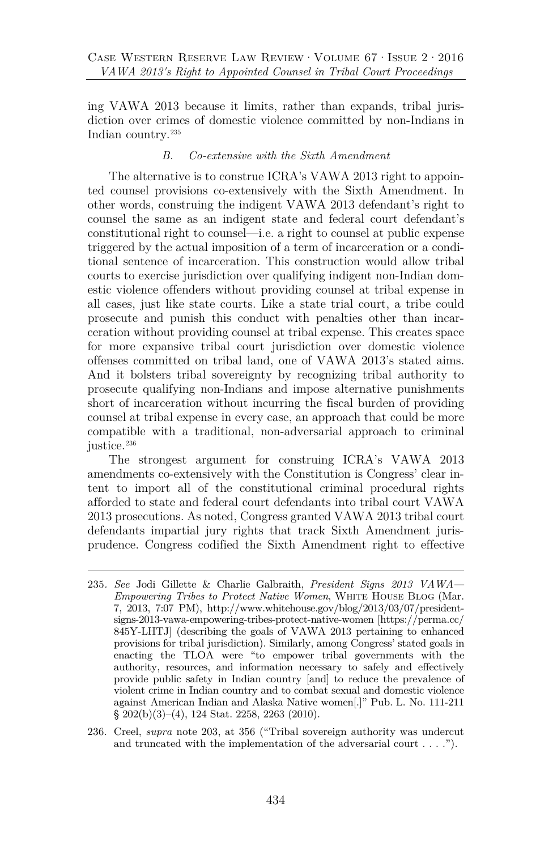ing VAWA 2013 because it limits, rather than expands, tribal jurisdiction over crimes of domestic violence committed by non-Indians in Indian country.[235](#page-56-1)

## *B. Co-extensive with the Sixth Amendment*

The alternative is to construe ICRA's VAWA 2013 right to appointed counsel provisions co-extensively with the Sixth Amendment. In other words, construing the indigent VAWA 2013 defendant's right to counsel the same as an indigent state and federal court defendant's constitutional right to counsel—i.e. a right to counsel at public expense triggered by the actual imposition of a term of incarceration or a conditional sentence of incarceration. This construction would allow tribal courts to exercise jurisdiction over qualifying indigent non-Indian domestic violence offenders without providing counsel at tribal expense in all cases, just like state courts. Like a state trial court, a tribe could prosecute and punish this conduct with penalties other than incarceration without providing counsel at tribal expense. This creates space for more expansive tribal court jurisdiction over domestic violence offenses committed on tribal land, one of VAWA 2013's stated aims. And it bolsters tribal sovereignty by recognizing tribal authority to prosecute qualifying non-Indians and impose alternative punishments short of incarceration without incurring the fiscal burden of providing counsel at tribal expense in every case, an approach that could be more compatible with a traditional, non-adversarial approach to criminal justice.<sup>236</sup>

<span id="page-56-0"></span>The strongest argument for construing ICRA's VAWA 2013 amendments co-extensively with the Constitution is Congress' clear intent to import all of the constitutional criminal procedural rights afforded to state and federal court defendants into tribal court VAWA 2013 prosecutions. As noted, Congress granted VAWA 2013 tribal court defendants impartial jury rights that track Sixth Amendment jurisprudence. Congress codified the Sixth Amendment right to effective

236. Creel, *supra* note [203,](#page-43-4) at 356 ("Tribal sovereign authority was undercut and truncated with the implementation of the adversarial court . . . .").

<span id="page-56-1"></span><sup>235</sup>*. See* Jodi Gillette & Charlie Galbraith, *President Signs 2013 VAWA— Empowering Tribes to Protect Native Women*, WHITE HOUSE BLOG (Mar. 7, 2013, 7:07 PM), http://www.whitehouse.gov/blog/2013/03/07/presidentsigns-2013-vawa-empowering-tribes-protect-native-women [https://perma.cc/ 845Y-LHTJ] (describing the goals of VAWA 2013 pertaining to enhanced provisions for tribal jurisdiction). Similarly, among Congress' stated goals in enacting the TLOA were "to empower tribal governments with the authority, resources, and information necessary to safely and effectively provide public safety in Indian country [and] to reduce the prevalence of violent crime in Indian country and to combat sexual and domestic violence against American Indian and Alaska Native women[.]" Pub. L. No. 111-211 § 202(b)(3)–(4), 124 Stat. 2258, 2263 (2010).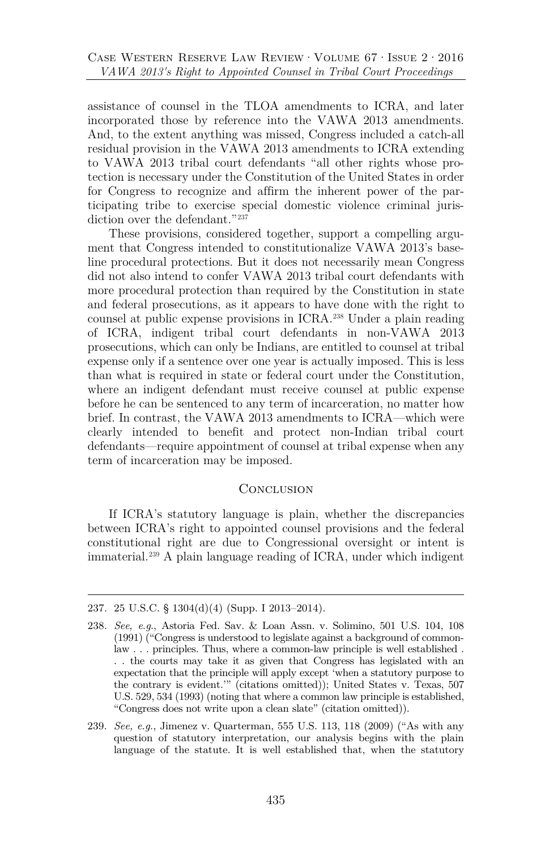assistance of counsel in the TLOA amendments to ICRA, and later incorporated those by reference into the VAWA 2013 amendments. And, to the extent anything was missed, Congress included a catch-all residual provision in the VAWA 2013 amendments to ICRA extending to VAWA 2013 tribal court defendants "all other rights whose protection is necessary under the Constitution of the United States in order for Congress to recognize and affirm the inherent power of the participating tribe to exercise special domestic violence criminal juris-diction over the defendant."<sup>[237](#page-57-1)</sup>

These provisions, considered together, support a compelling argument that Congress intended to constitutionalize VAWA 2013's baseline procedural protections. But it does not necessarily mean Congress did not also intend to confer VAWA 2013 tribal court defendants with more procedural protection than required by the Constitution in state and federal prosecutions, as it appears to have done with the right to counsel at public expense provisions in ICRA.[238](#page-57-2) Under a plain reading of ICRA, indigent tribal court defendants in non-VAWA 2013 prosecutions, which can only be Indians, are entitled to counsel at tribal expense only if a sentence over one year is actually imposed. This is less than what is required in state or federal court under the Constitution, where an indigent defendant must receive counsel at public expense before he can be sentenced to any term of incarceration, no matter how brief. In contrast, the VAWA 2013 amendments to ICRA—which were clearly intended to benefit and protect non-Indian tribal court defendants—require appointment of counsel at tribal expense when any term of incarceration may be imposed.

#### **CONCLUSION**

If ICRA's statutory language is plain, whether the discrepancies between ICRA's right to appointed counsel provisions and the federal constitutional right are due to Congressional oversight or intent is immaterial.[239](#page-58-0) A plain language reading of ICRA, under which indigent

<sup>237.</sup> 25 U.S.C. § 1304(d)(4) (Supp. I 2013–2014).

<span id="page-57-2"></span><span id="page-57-1"></span><span id="page-57-0"></span><sup>238.</sup> *See, e.g.*, Astoria Fed. Sav. & Loan Assn. v. Solimino, 501 U.S. 104, 108 (1991) ("Congress is understood to legislate against a background of commonlaw . . . principles. Thus, where a common-law principle is well established . . . the courts may take it as given that Congress has legislated with an expectation that the principle will apply except 'when a statutory purpose to the contrary is evident.'" (citations omitted)); United States v. Texas, 507 U.S. 529, 534 (1993) (noting that where a common law principle is established, "Congress does not write upon a clean slate" (citation omitted)).

<sup>239.</sup> *See, e.g.*, Jimenez v. Quarterman, 555 U.S. 113, 118 (2009) ("As with any question of statutory interpretation, our analysis begins with the plain language of the statute. It is well established that, when the statutory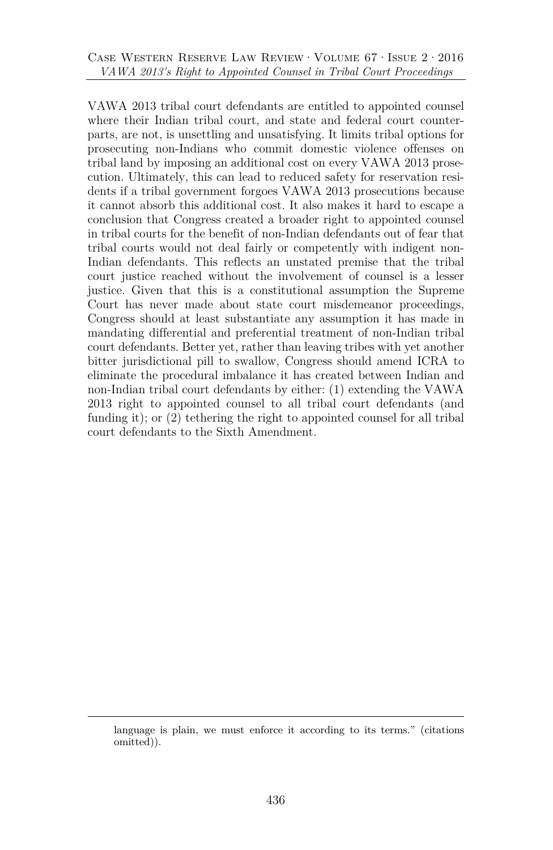VAWA 2013 tribal court defendants are entitled to appointed counsel where their Indian tribal court, and state and federal court counterparts, are not, is unsettling and unsatisfying. It limits tribal options for prosecuting non-Indians who commit domestic violence offenses on tribal land by imposing an additional cost on every VAWA 2013 prosecution. Ultimately, this can lead to reduced safety for reservation residents if a tribal government forgoes VAWA 2013 prosecutions because it cannot absorb this additional cost. It also makes it hard to escape a conclusion that Congress created a broader right to appointed counsel in tribal courts for the benefit of non-Indian defendants out of fear that tribal courts would not deal fairly or competently with indigent non-Indian defendants. This reflects an unstated premise that the tribal court justice reached without the involvement of counsel is a lesser justice. Given that this is a constitutional assumption the Supreme Court has never made about state court misdemeanor proceedings, Congress should at least substantiate any assumption it has made in mandating differential and preferential treatment of non-Indian tribal court defendants. Better yet, rather than leaving tribes with yet another bitter jurisdictional pill to swallow, Congress should amend ICRA to eliminate the procedural imbalance it has created between Indian and non-Indian tribal court defendants by either: (1) extending the VAWA 2013 right to appointed counsel to all tribal court defendants (and funding it); or (2) tethering the right to appointed counsel for all tribal court defendants to the Sixth Amendment.

<span id="page-58-0"></span>language is plain, we must enforce it according to its terms." (citations omitted)).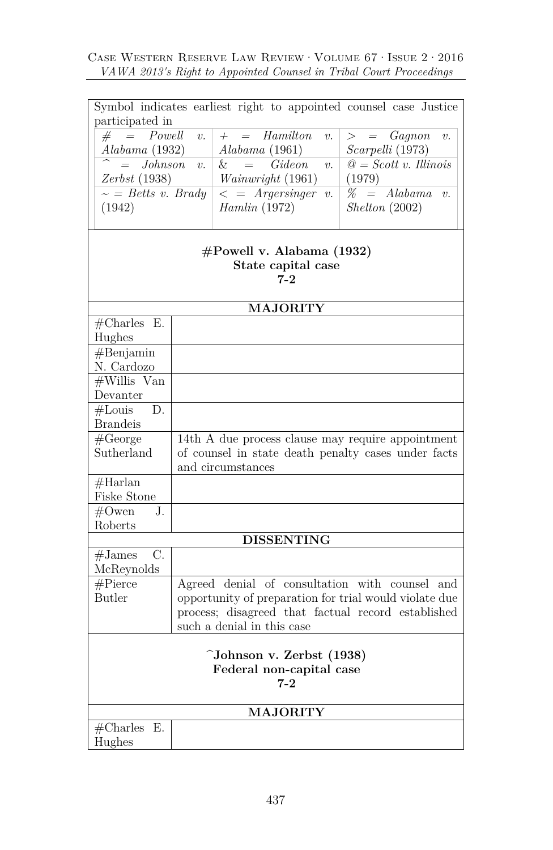| Symbol indicates earliest right to appointed counsel case Justice    |                                                     |                                            |                                                        |  |
|----------------------------------------------------------------------|-----------------------------------------------------|--------------------------------------------|--------------------------------------------------------|--|
| participated in                                                      |                                                     |                                            |                                                        |  |
| $\#$ = Powell                                                        | $\upsilon$ .                                        | Hamilton<br>$+$ $=$<br>$v$ .               | Gagnon<br>$> =$<br>$v$ .                               |  |
| Alabama(1932)                                                        |                                                     | $Alabama$ (1961)                           | Scarpelli (1973)                                       |  |
| $=$<br>Johnson<br>Zerbst $(1938)$                                    | $v_{\cdot}$                                         | Gideon<br>&<br>$=$ $-$<br>$v$ .            | $\mathcal{Q} = Scott$ v. Illinois<br>(1979)            |  |
|                                                                      |                                                     | <i>Wainwright</i> (1961)                   | $\%$ =<br>Alabama                                      |  |
| $\sim$ = Betts v. Brady<br>(1942)                                    |                                                     | $\leq$ = Argersinger v.<br>Hamilton (1972) | $v$ .<br>Shelton(2002)                                 |  |
|                                                                      |                                                     |                                            |                                                        |  |
| $\#\text{Powell v. Alabama (1932)}$<br>State capital case<br>$7 - 2$ |                                                     |                                            |                                                        |  |
|                                                                      |                                                     | <b>MAJORITY</b>                            |                                                        |  |
| $\#$ Charles E.                                                      |                                                     |                                            |                                                        |  |
| Hughes                                                               |                                                     |                                            |                                                        |  |
| #Benjamin                                                            |                                                     |                                            |                                                        |  |
| N. Cardozo                                                           |                                                     |                                            |                                                        |  |
| $#$ Willis Van                                                       |                                                     |                                            |                                                        |  |
| Devanter                                                             |                                                     |                                            |                                                        |  |
| #Louis<br>D.<br><b>Brandeis</b>                                      |                                                     |                                            |                                                        |  |
| #George                                                              | 14th A due process clause may require appointment   |                                            |                                                        |  |
| Sutherland                                                           | of counsel in state death penalty cases under facts |                                            |                                                        |  |
|                                                                      | and circumstances                                   |                                            |                                                        |  |
| #Harlan                                                              |                                                     |                                            |                                                        |  |
| Fiske Stone                                                          |                                                     |                                            |                                                        |  |
| #Owen<br>J.                                                          |                                                     |                                            |                                                        |  |
| Roberts                                                              |                                                     |                                            |                                                        |  |
|                                                                      |                                                     | <b>DISSENTING</b>                          |                                                        |  |
| C.<br>#James                                                         |                                                     |                                            |                                                        |  |
| McReynolds                                                           |                                                     |                                            |                                                        |  |
| $#P$ ierce                                                           |                                                     |                                            | Agreed denial of consultation with counsel and         |  |
| <b>Butler</b>                                                        |                                                     |                                            | opportunity of preparation for trial would violate due |  |
|                                                                      |                                                     |                                            | process; disagreed that factual record established     |  |
|                                                                      |                                                     | such a denial in this case                 |                                                        |  |
| ^Johnson v. Zerbst (1938)<br>Federal non-capital case<br>$7 - 2$     |                                                     |                                            |                                                        |  |
|                                                                      |                                                     | <b>MAJORITY</b>                            |                                                        |  |
| #Charles<br>Е.                                                       |                                                     |                                            |                                                        |  |
| Hughes                                                               |                                                     |                                            |                                                        |  |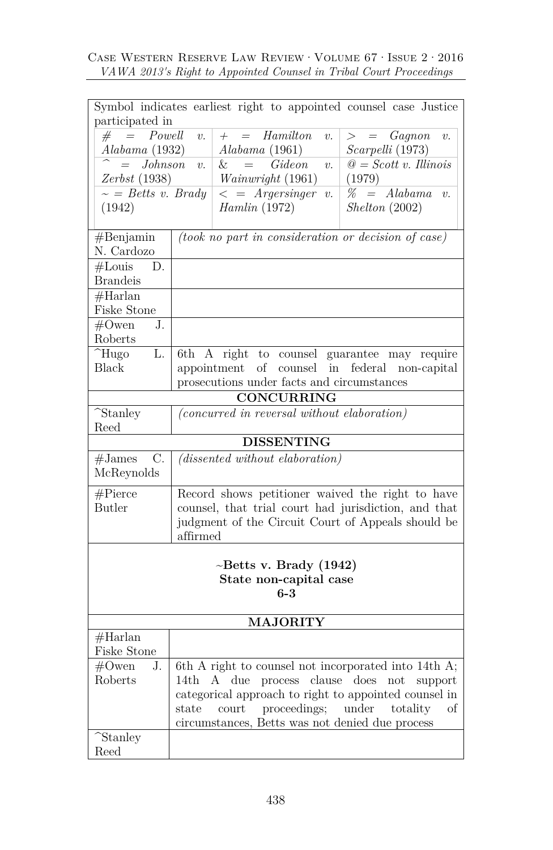| Symbol indicates earliest right to appointed counsel case Justice |                                                                |                                                                  |                                   |  |
|-------------------------------------------------------------------|----------------------------------------------------------------|------------------------------------------------------------------|-----------------------------------|--|
| participated in                                                   |                                                                |                                                                  |                                   |  |
| $#$ =<br>Powell<br>$v$ .                                          |                                                                | $+$ = Hamilton<br>$v$ .                                          | $> = Gagnon$<br>$v$ .             |  |
| Alabama (1932)                                                    |                                                                | Alabama(1961)                                                    | Scarpelli (1973)                  |  |
| $=$<br>Johnson                                                    | $v$ .                                                          | &<br>$\equiv$<br>Gideon<br>$v_{\cdot}$                           | $\mathcal{Q} = Scott$ v. Illinois |  |
| Zerbst $(1938)$                                                   |                                                                | <i>Wainwright</i> (1961)                                         | (1979)                            |  |
| $\sim$ = Betts v. Brady                                           |                                                                | $\leq$ = Argersinger v.                                          | $\% = Alabama$<br>$v$ .           |  |
| (1942)                                                            |                                                                | Hamilton (1972)                                                  | Shelton (2002)                    |  |
|                                                                   |                                                                |                                                                  |                                   |  |
| #Benjamin                                                         |                                                                | (took no part in consideration or decision $\overline{of}$ case) |                                   |  |
| N. Cardozo                                                        |                                                                |                                                                  |                                   |  |
| #Louis<br>D.                                                      |                                                                |                                                                  |                                   |  |
| <b>Brandeis</b>                                                   |                                                                |                                                                  |                                   |  |
| #Harlan                                                           |                                                                |                                                                  |                                   |  |
| Fiske Stone                                                       |                                                                |                                                                  |                                   |  |
| #Owen<br>J.                                                       |                                                                |                                                                  |                                   |  |
| Roberts                                                           |                                                                |                                                                  |                                   |  |
| $\hat{}$ Hugo<br>L.                                               |                                                                | 6th A right to counsel guarantee may require                     |                                   |  |
| <b>Black</b>                                                      | appointment                                                    | $\mathrm{of}$<br>counsel<br>$\operatorname{in}$                  | federal<br>non-capital            |  |
|                                                                   |                                                                | prosecutions under facts and circumstances                       |                                   |  |
|                                                                   |                                                                | <b>CONCURRING</b>                                                |                                   |  |
| <sup>~</sup> Stanley                                              |                                                                | (concurred in reversal without elaboration)                      |                                   |  |
| Reed                                                              |                                                                |                                                                  |                                   |  |
| <b>DISSENTING</b>                                                 |                                                                |                                                                  |                                   |  |
| C.<br>#James                                                      | $(dissented\ without\ elaboration)$                            |                                                                  |                                   |  |
| McReynolds                                                        |                                                                |                                                                  |                                   |  |
|                                                                   |                                                                |                                                                  |                                   |  |
| $#$ Pierce<br><b>Butler</b>                                       | Record shows petitioner waived the right to have               |                                                                  |                                   |  |
|                                                                   | counsel, that trial court had jurisdiction, and that           |                                                                  |                                   |  |
|                                                                   | judgment of the Circuit Court of Appeals should be<br>affirmed |                                                                  |                                   |  |
|                                                                   |                                                                |                                                                  |                                   |  |
|                                                                   |                                                                | $\sim$ Betts v. Brady (1942)                                     |                                   |  |
|                                                                   |                                                                | State non-capital case                                           |                                   |  |
|                                                                   |                                                                | $6 - 3$                                                          |                                   |  |
|                                                                   |                                                                |                                                                  |                                   |  |
| <b>MAJORITY</b>                                                   |                                                                |                                                                  |                                   |  |
| #Harlan                                                           |                                                                |                                                                  |                                   |  |
| Fiske Stone                                                       |                                                                |                                                                  |                                   |  |
| J.<br>#Owen                                                       |                                                                | 6th A right to counsel not incorporated into 14th A;             |                                   |  |
| Roberts                                                           | 14th                                                           | A due process                                                    | clause does not<br>support        |  |
|                                                                   |                                                                | categorical approach to right to appointed counsel in            |                                   |  |
|                                                                   | state                                                          | proceedings;<br>court                                            | under<br>totality<br>οf           |  |
|                                                                   | circumstances, Betts was not denied due process                |                                                                  |                                   |  |
| <sup>1</sup> Stanley                                              |                                                                |                                                                  |                                   |  |
| Reed                                                              |                                                                |                                                                  |                                   |  |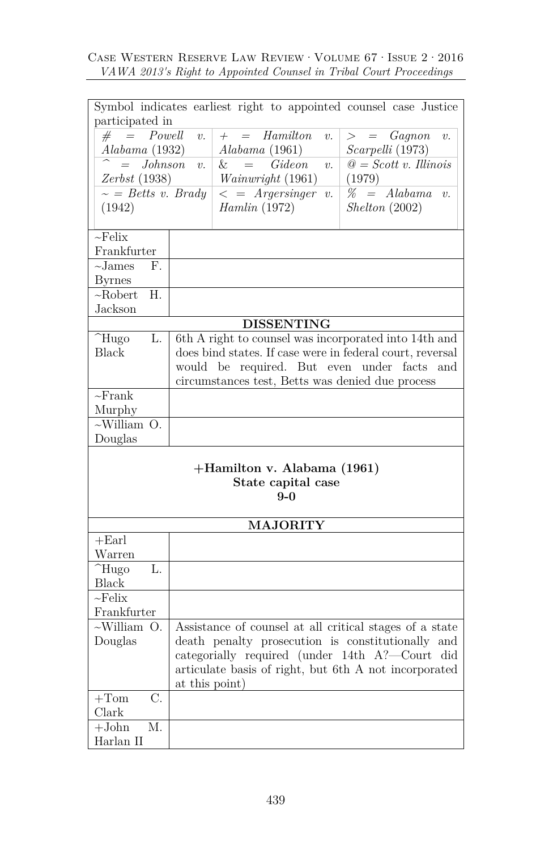| Symbol indicates earliest right to appointed counsel case Justice |                |                                                           |                                   |  |
|-------------------------------------------------------------------|----------------|-----------------------------------------------------------|-----------------------------------|--|
| participated in                                                   |                |                                                           |                                   |  |
| #<br>$\alpha = \alpha$<br>Powell                                  | $\upsilon$ .   | Hamilton<br>$+$<br>$=$<br>$v$ .                           | Gagnon<br>$> =$<br>$v$ .          |  |
| Alabama(1932)                                                     |                | Alabama(1961)                                             | Scarpelli (1973)                  |  |
| $=$<br>Johnson                                                    | v.             | &<br>Gideon<br>$=$<br>$v$ .                               | $\mathcal{Q} = Scott$ v. Illinois |  |
| Zerbst $(1938)$                                                   |                | <i>Wainwright</i> (1961)                                  | (1979)                            |  |
| $\sim$ = Betts v. Brady                                           |                | $\langle$ = Argersinger v.                                | $\%$ =<br>Alabama<br>$v$ .        |  |
| (1942)                                                            |                | Hamilton (1972)                                           | Shelton (2002)                    |  |
| $\sim$ Felix                                                      |                |                                                           |                                   |  |
| Frankfurter                                                       |                |                                                           |                                   |  |
| $\sim$ James<br>F.                                                |                |                                                           |                                   |  |
| <b>Byrnes</b>                                                     |                |                                                           |                                   |  |
| $\sim$ Robert<br>H.                                               |                |                                                           |                                   |  |
| Jackson                                                           |                |                                                           |                                   |  |
|                                                                   |                | <b>DISSENTING</b>                                         |                                   |  |
| ^Hugo<br>L.                                                       |                | 6th A right to counsel was incorporated into 14th and     |                                   |  |
| <b>Black</b>                                                      |                | does bind states. If case were in federal court, reversal |                                   |  |
|                                                                   | would          | be required. But even under                               | facts and                         |  |
|                                                                   |                | circumstances test, Betts was denied due process          |                                   |  |
| $\neg$ Frank                                                      |                |                                                           |                                   |  |
| Murphy                                                            |                |                                                           |                                   |  |
| $\sim$ William O.                                                 |                |                                                           |                                   |  |
| Douglas                                                           |                |                                                           |                                   |  |
|                                                                   |                |                                                           |                                   |  |
| +Hamilton v. Alabama (1961)<br>State capital case                 |                |                                                           |                                   |  |
|                                                                   |                | $9 - 0$                                                   |                                   |  |
|                                                                   |                |                                                           |                                   |  |
|                                                                   |                | <b>MAJORITY</b>                                           |                                   |  |
| $+Ear1$                                                           |                |                                                           |                                   |  |
| Warren                                                            |                |                                                           |                                   |  |
| ^Hugo<br>L.                                                       |                |                                                           |                                   |  |
| <b>Black</b>                                                      |                |                                                           |                                   |  |
| $\sim$ Felix                                                      |                |                                                           |                                   |  |
| Frankfurter                                                       |                |                                                           |                                   |  |
| $\sim$ William O.                                                 |                | Assistance of counsel at all critical stages of a state   |                                   |  |
| Douglas                                                           |                | death penalty prosecution is constitutionally             | and                               |  |
|                                                                   |                | categorially required (under 14th A?—Court                | did                               |  |
|                                                                   |                | articulate basis of right, but 6th A not incorporated     |                                   |  |
|                                                                   | at this point) |                                                           |                                   |  |
| С.<br>$+Tom$                                                      |                |                                                           |                                   |  |
| Clark                                                             |                |                                                           |                                   |  |
| M.<br>$+$ John                                                    |                |                                                           |                                   |  |
| Harlan II                                                         |                |                                                           |                                   |  |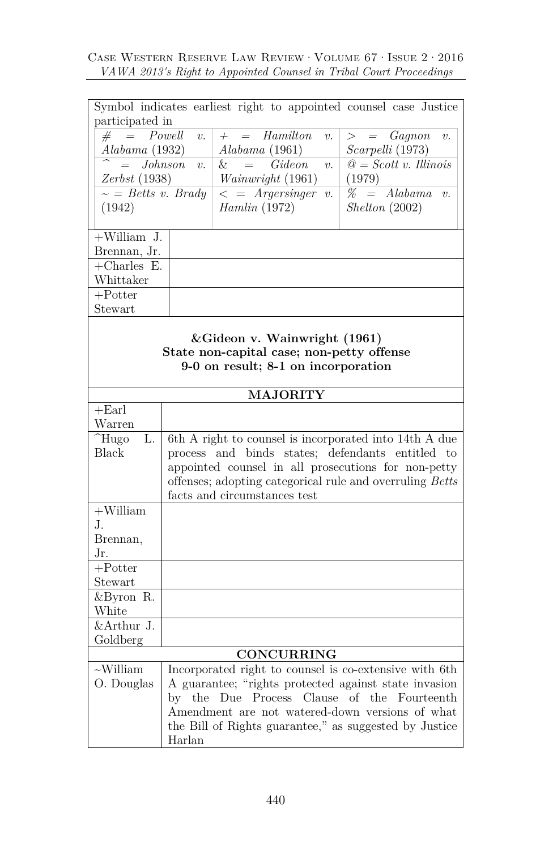| Symbol indicates earliest right to appointed counsel case Justice |                        |                                                                            |                                   |
|-------------------------------------------------------------------|------------------------|----------------------------------------------------------------------------|-----------------------------------|
| participated in                                                   |                        |                                                                            |                                   |
| $\#$ = Powell<br>$v$ .                                            |                        | Hamilton<br>$+$ =<br>$v$ .                                                 | Gagnon<br>$>$ =<br>$v$ .          |
| Alabama(1932)                                                     |                        | Alabama(1961)                                                              | Scarpelli (1973)                  |
| $=$ $-$                                                           | Johnson<br>$v_{\cdot}$ | &<br>Gideon<br>$\equiv$<br>$v_{\cdot}$                                     | $\mathcal{Q} = Scott$ v. Illinois |
| Zerbst $(1938)$                                                   |                        | Wainwright (1961)                                                          | (1979)                            |
| $\sim$ = Betts v. Brady                                           |                        | $\leq$ = Argersinger v.                                                    | $\%$ = Alabama<br>$v_{\cdot}$     |
| (1942)                                                            |                        | Hamilton (1972)                                                            | Shelton (2002)                    |
| $+$ William J.                                                    |                        |                                                                            |                                   |
| Brennan, Jr.                                                      |                        |                                                                            |                                   |
| $+$ Charles E.                                                    |                        |                                                                            |                                   |
| Whittaker                                                         |                        |                                                                            |                                   |
| $+$ Potter                                                        |                        |                                                                            |                                   |
| Stewart                                                           |                        |                                                                            |                                   |
|                                                                   |                        |                                                                            |                                   |
|                                                                   |                        | & Gideon v. Wainwright (1961)<br>State non-capital case; non-petty offense |                                   |
|                                                                   |                        | 9-0 on result; 8-1 on incorporation                                        |                                   |
|                                                                   |                        |                                                                            |                                   |
|                                                                   |                        | <b>MAJORITY</b>                                                            |                                   |
| $+Ex1$                                                            |                        |                                                                            |                                   |
| Warren                                                            |                        |                                                                            |                                   |
| $\hat{}$ Hugo<br>L.                                               |                        | 6th A right to counsel is incorporated into 14th A due                     |                                   |
| Black                                                             |                        | process and binds states; defendants entitled to                           |                                   |
|                                                                   |                        | appointed counsel in all prosecutions for non-petty                        |                                   |
|                                                                   |                        | offenses; adopting categorical rule and overruling Betts                   |                                   |
|                                                                   |                        | facts and circumstances test                                               |                                   |
| $+$ William<br>J.                                                 |                        |                                                                            |                                   |
|                                                                   |                        |                                                                            |                                   |
| Brennan,<br>Jr.                                                   |                        |                                                                            |                                   |
| $+$ Potter                                                        |                        |                                                                            |                                   |
| Stewart                                                           |                        |                                                                            |                                   |
| &Byron R.                                                         |                        |                                                                            |                                   |
| White                                                             |                        |                                                                            |                                   |
| &Arthur J.                                                        |                        |                                                                            |                                   |
| Goldberg                                                          |                        |                                                                            |                                   |
| <b>CONCURRING</b>                                                 |                        |                                                                            |                                   |
| $\sim$ William                                                    |                        | Incorporated right to counsel is co-extensive with 6th                     |                                   |
| O. Douglas                                                        |                        | A guarantee; "rights protected against state invasion                      |                                   |
|                                                                   |                        | by the Due Process                                                         | Clause of the Fourteenth          |
|                                                                   |                        | Amendment are not watered-down versions of what                            |                                   |
|                                                                   |                        | the Bill of Rights guarantee," as suggested by Justice                     |                                   |
|                                                                   | Harlan                 |                                                                            |                                   |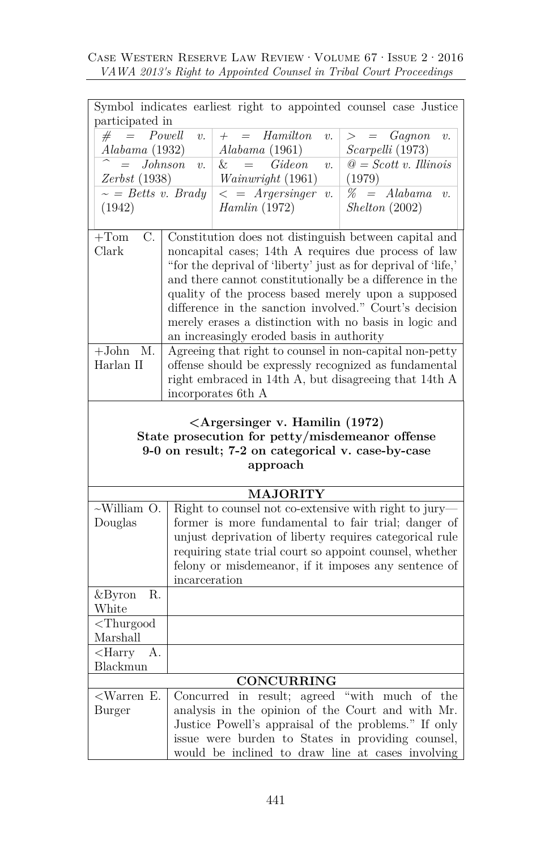| Symbol indicates earliest right to appointed counsel case Justice                                                                                           |                                                                                                                                                                                                                                                                                                                                                                                                                                                                                                                                                                                                                                                  |                                                                                                                                                                                                                     |                                                     |
|-------------------------------------------------------------------------------------------------------------------------------------------------------------|--------------------------------------------------------------------------------------------------------------------------------------------------------------------------------------------------------------------------------------------------------------------------------------------------------------------------------------------------------------------------------------------------------------------------------------------------------------------------------------------------------------------------------------------------------------------------------------------------------------------------------------------------|---------------------------------------------------------------------------------------------------------------------------------------------------------------------------------------------------------------------|-----------------------------------------------------|
| participated in                                                                                                                                             |                                                                                                                                                                                                                                                                                                                                                                                                                                                                                                                                                                                                                                                  |                                                                                                                                                                                                                     |                                                     |
| $#$ =<br>Powell<br>v.<br>Alabama(1932)                                                                                                                      |                                                                                                                                                                                                                                                                                                                                                                                                                                                                                                                                                                                                                                                  | Hamilton<br>$+$ =<br>$v_{\cdot}$<br>Alabama(1961)                                                                                                                                                                   | Gagnon<br>$> =$<br>$\upsilon$ .<br>Scarpelli (1973) |
| Johnson                                                                                                                                                     | $v$ .                                                                                                                                                                                                                                                                                                                                                                                                                                                                                                                                                                                                                                            | &<br>$=$<br>Gideon<br>$v$ .                                                                                                                                                                                         | $\mathcal{Q} = Scott$ v. Illinois                   |
| $Zerbst$ (1938)                                                                                                                                             |                                                                                                                                                                                                                                                                                                                                                                                                                                                                                                                                                                                                                                                  | <i>Wainwright</i> (1961)                                                                                                                                                                                            | (1979)                                              |
| $\sim$ = Betts v. Brady                                                                                                                                     |                                                                                                                                                                                                                                                                                                                                                                                                                                                                                                                                                                                                                                                  | $\leq$ = Argersinger<br>$v$ .                                                                                                                                                                                       | $\%$ =<br>Alabama<br>$v$ .                          |
| (1942)                                                                                                                                                      |                                                                                                                                                                                                                                                                                                                                                                                                                                                                                                                                                                                                                                                  | Hamilton (1972)                                                                                                                                                                                                     | Shelton (2002)                                      |
| C.<br>$+Tom$<br>Clark<br>$+John$<br>М.<br>Harlan II                                                                                                         | Constitution does not distinguish between capital and<br>noncapital cases; 14th A requires due process of law<br>"for the deprival of 'liberty' just as for deprival of 'life,'<br>and there cannot constitutionally be a difference in the<br>quality of the process based merely upon a supposed<br>difference in the sanction involved." Court's decision<br>merely erases a distinction with no basis in logic and<br>an increasingly eroded basis in authority<br>Agreeing that right to counsel in non-capital non-petty<br>offense should be expressly recognized as fundamental<br>right embraced in 14th A, but disagreeing that 14th A |                                                                                                                                                                                                                     |                                                     |
|                                                                                                                                                             |                                                                                                                                                                                                                                                                                                                                                                                                                                                                                                                                                                                                                                                  | incorporates 6th A                                                                                                                                                                                                  |                                                     |
| $\langle$ Argersinger v. Hamilin (1972)<br>State prosecution for petty/misdemeanor offense<br>9-0 on result; 7-2 on categorical v. case-by-case<br>approach |                                                                                                                                                                                                                                                                                                                                                                                                                                                                                                                                                                                                                                                  |                                                                                                                                                                                                                     |                                                     |
|                                                                                                                                                             |                                                                                                                                                                                                                                                                                                                                                                                                                                                                                                                                                                                                                                                  | <b>MAJORITY</b>                                                                                                                                                                                                     |                                                     |
| $\sim$ William O.                                                                                                                                           |                                                                                                                                                                                                                                                                                                                                                                                                                                                                                                                                                                                                                                                  | Right to counsel not co-extensive with right to jury-                                                                                                                                                               |                                                     |
| Douglas                                                                                                                                                     | former is more fundamental to fair trial; danger of<br>unjust deprivation of liberty requires categorical rule<br>requiring state trial court so appoint counsel, whether<br>felony or misdemeanor, if it imposes any sentence of                                                                                                                                                                                                                                                                                                                                                                                                                |                                                                                                                                                                                                                     |                                                     |
|                                                                                                                                                             | incarceration                                                                                                                                                                                                                                                                                                                                                                                                                                                                                                                                                                                                                                    |                                                                                                                                                                                                                     |                                                     |
| $&\text{Byron}$<br>R.<br>White                                                                                                                              |                                                                                                                                                                                                                                                                                                                                                                                                                                                                                                                                                                                                                                                  |                                                                                                                                                                                                                     |                                                     |
| $\langle$ Thurgood                                                                                                                                          |                                                                                                                                                                                                                                                                                                                                                                                                                                                                                                                                                                                                                                                  |                                                                                                                                                                                                                     |                                                     |
| Marshall                                                                                                                                                    |                                                                                                                                                                                                                                                                                                                                                                                                                                                                                                                                                                                                                                                  |                                                                                                                                                                                                                     |                                                     |
| $<$ Harry<br>А.<br>Blackmun                                                                                                                                 |                                                                                                                                                                                                                                                                                                                                                                                                                                                                                                                                                                                                                                                  |                                                                                                                                                                                                                     |                                                     |
|                                                                                                                                                             |                                                                                                                                                                                                                                                                                                                                                                                                                                                                                                                                                                                                                                                  | <b>CONCURRING</b>                                                                                                                                                                                                   |                                                     |
|                                                                                                                                                             |                                                                                                                                                                                                                                                                                                                                                                                                                                                                                                                                                                                                                                                  | Concurred in result; agreed "with much of the                                                                                                                                                                       |                                                     |
| $\langle$ Warren E.<br><b>Burger</b>                                                                                                                        |                                                                                                                                                                                                                                                                                                                                                                                                                                                                                                                                                                                                                                                  | analysis in the opinion of the Court and with Mr.<br>Justice Powell's appraisal of the problems." If only<br>issue were burden to States in providing counsel,<br>would be inclined to draw line at cases involving |                                                     |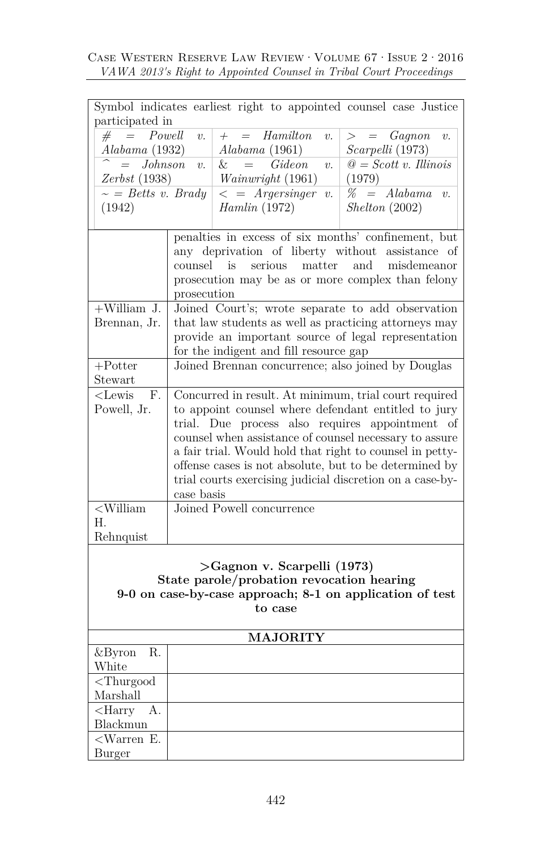|                                |                                                       | Symbol indicates earliest right to appointed counsel case Justice            |  |
|--------------------------------|-------------------------------------------------------|------------------------------------------------------------------------------|--|
| participated in                |                                                       |                                                                              |  |
| $#$ =<br>Powell<br>$v_{\rm}$   |                                                       | Hamilton<br>$+$<br>$=$<br>Gagnon<br>$\overline{v}$ .<br>$> =$<br>$v_{\cdot}$ |  |
| Alabama(1932)                  |                                                       | Alabama(1961)<br>Scarpelli (1973)                                            |  |
| Johnson<br>$=$                 | $v_{\cdot}$                                           | $\mathcal{Q} = Scott$ v. Illinois<br>&.<br>Gideon<br>$=$<br>$\upsilon$ .     |  |
| $Zerbst$ (1938)                |                                                       | (1979)<br>Wainweight(1961)                                                   |  |
| $\sim$ = Betts v. Brady        |                                                       | $\% = \text{Alabama}$<br>$\leq$ = Argersinger<br>$\upsilon$ .<br>$v_{\cdot}$ |  |
| (1942)                         |                                                       | Hamilton (1972)<br>Shelton (2002)                                            |  |
|                                |                                                       |                                                                              |  |
|                                |                                                       | penalties in excess of six months' confinement, but                          |  |
|                                |                                                       | any deprivation of liberty without assistance of                             |  |
|                                | counsel                                               | serious<br>matter<br>and<br>misdemeanor<br>$\frac{1}{1}$                     |  |
|                                |                                                       | prosecution may be as or more complex than felony                            |  |
|                                | prosecution                                           |                                                                              |  |
| $+$ William J.                 |                                                       | Joined Court's; wrote separate to add observation                            |  |
| Brennan, Jr.                   | that law students as well as practicing attorneys may |                                                                              |  |
|                                |                                                       | provide an important source of legal representation                          |  |
|                                |                                                       | for the indigent and fill resource gap                                       |  |
| $+$ Potter                     | Joined Brennan concurrence; also joined by Douglas    |                                                                              |  |
| Stewart                        |                                                       |                                                                              |  |
| $\langle$ Lewis<br>$F_{\perp}$ |                                                       | Concurred in result. At minimum, trial court required                        |  |
| Powell, Jr.                    |                                                       | to appoint counsel where defendant entitled to jury                          |  |
|                                |                                                       | trial. Due process also requires appointment of                              |  |
|                                |                                                       | counsel when assistance of counsel necessary to assure                       |  |
|                                |                                                       | a fair trial. Would hold that right to counsel in petty-                     |  |
|                                |                                                       | offense cases is not absolute, but to be determined by                       |  |
|                                |                                                       | trial courts exercising judicial discretion on a case-by-                    |  |
|                                | case basis                                            |                                                                              |  |
| $\langle$ William              |                                                       | Joined Powell concurrence                                                    |  |
| Η.                             |                                                       |                                                                              |  |
| Rehnquist                      |                                                       |                                                                              |  |
|                                |                                                       |                                                                              |  |
|                                |                                                       |                                                                              |  |

## **>Gagnon v. Scarpelli (1973) State parole/probation revocation hearing 9-0 on case-by-case approach; 8-1 on application of test to case**

| <b>MAJORITY</b>     |  |  |
|---------------------|--|--|
| $\&\text{Byron}$ R. |  |  |
| White               |  |  |
| $\langle$ Thurgood  |  |  |
| Marshall            |  |  |
| $\langle$ Harry A.  |  |  |
| Blackmun            |  |  |
| $\langle$ Warren E. |  |  |
| Burger              |  |  |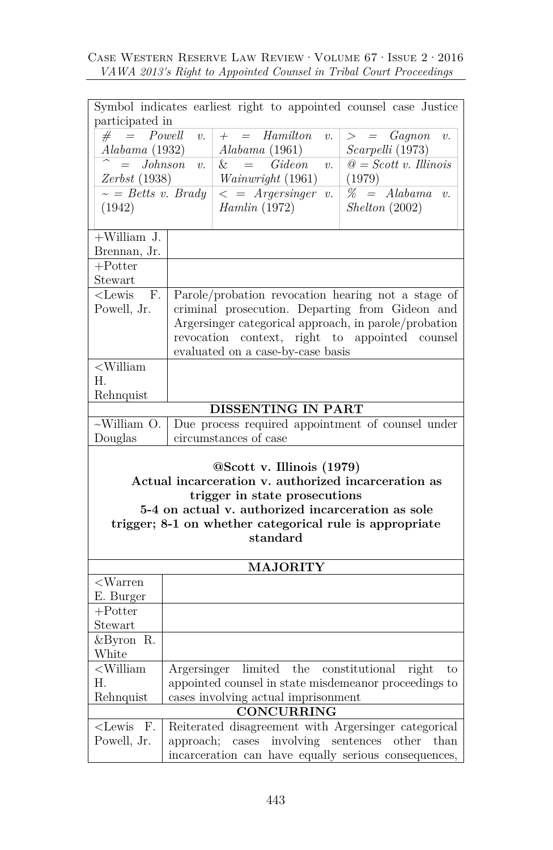| Symbol indicates earliest right to appointed counsel case Justice                                                                                                                                                                             |                       |                                                         |                                    |
|-----------------------------------------------------------------------------------------------------------------------------------------------------------------------------------------------------------------------------------------------|-----------------------|---------------------------------------------------------|------------------------------------|
| participated in                                                                                                                                                                                                                               |                       |                                                         |                                    |
| $\#$ = Powell<br>$\upsilon$ .                                                                                                                                                                                                                 |                       | $+$ = Hamilton<br>$v$ .                                 | $> = Gagnon$<br>$v$ .              |
| Alabama(1932)                                                                                                                                                                                                                                 |                       | Alabama(1961)                                           | Scarpelli (1973)                   |
| $\overline{\phantom{m}}$<br>Johnson                                                                                                                                                                                                           | $v_{\cdot}$           | &<br>$\mathbf{r} = \mathbf{r}$<br>Gideon<br>$v_{\cdot}$ | $@ = Scott v. Illinois$            |
| Zerbst $(1938)$                                                                                                                                                                                                                               |                       | <i>Wainwright</i> (1961)                                | (1979)                             |
| $\sim$ = Betts v. Brady                                                                                                                                                                                                                       |                       | $\langle$ = Argersinger v.                              | $\%$ = Alabama<br>$v$ .            |
| (1942)                                                                                                                                                                                                                                        |                       | Hamilton (1972)                                         | Shelton (2002)                     |
|                                                                                                                                                                                                                                               |                       |                                                         |                                    |
| $+$ William J.                                                                                                                                                                                                                                |                       |                                                         |                                    |
| Brennan, Jr.                                                                                                                                                                                                                                  |                       |                                                         |                                    |
| $+$ Potter                                                                                                                                                                                                                                    |                       |                                                         |                                    |
| Stewart                                                                                                                                                                                                                                       |                       |                                                         |                                    |
| $\langle$ Lewis<br>$\Gamma$ .                                                                                                                                                                                                                 |                       | Parole/probation revocation hearing not a stage of      |                                    |
| Powell, Jr.                                                                                                                                                                                                                                   |                       | criminal prosecution. Departing from Gideon and         |                                    |
|                                                                                                                                                                                                                                               |                       | Argersinger categorical approach, in parole/probation   |                                    |
|                                                                                                                                                                                                                                               |                       | revocation context, right to appointed counsel          |                                    |
|                                                                                                                                                                                                                                               |                       | evaluated on a case-by-case basis                       |                                    |
| $<$ William                                                                                                                                                                                                                                   |                       |                                                         |                                    |
| Н.                                                                                                                                                                                                                                            |                       |                                                         |                                    |
| Rehnquist                                                                                                                                                                                                                                     |                       |                                                         |                                    |
|                                                                                                                                                                                                                                               |                       | DISSENTING IN PART                                      |                                    |
| $\sim$ William O.                                                                                                                                                                                                                             |                       | Due process required appointment of counsel under       |                                    |
| Douglas                                                                                                                                                                                                                                       | circumstances of case |                                                         |                                    |
| @Scott v. Illinois (1979)<br>Actual incarceration v. authorized incarceration as<br>trigger in state prosecutions<br>5-4 on actual v. authorized incarceration as sole<br>trigger; 8-1 on whether categorical rule is appropriate<br>standard |                       |                                                         |                                    |
|                                                                                                                                                                                                                                               |                       | <b>MAJORITY</b>                                         |                                    |
| $<$ Warren                                                                                                                                                                                                                                    |                       |                                                         |                                    |
| E. Burger                                                                                                                                                                                                                                     |                       |                                                         |                                    |
| $+$ Potter                                                                                                                                                                                                                                    |                       |                                                         |                                    |
| Stewart                                                                                                                                                                                                                                       |                       |                                                         |                                    |
| &Byron R.                                                                                                                                                                                                                                     |                       |                                                         |                                    |
| White                                                                                                                                                                                                                                         |                       |                                                         |                                    |
| $\langle$ William                                                                                                                                                                                                                             | Argersinger           | limited<br>the                                          | $\,$ constitutional<br>right<br>to |
| Η.                                                                                                                                                                                                                                            |                       | appointed counsel in state misdemeanor proceedings to   |                                    |
| Rehnquist                                                                                                                                                                                                                                     |                       | cases involving actual imprisonment                     |                                    |
|                                                                                                                                                                                                                                               |                       | <b>CONCURRING</b>                                       |                                    |
| F.<br>$\langle$ Lewis                                                                                                                                                                                                                         |                       | Reiterated disagreement with Argersinger categorical    |                                    |
| Powell, Jr.                                                                                                                                                                                                                                   |                       | involving<br>cases                                      | other<br>than<br>sentences         |
|                                                                                                                                                                                                                                               | approach;             | incarceration can have equally serious consequences,    |                                    |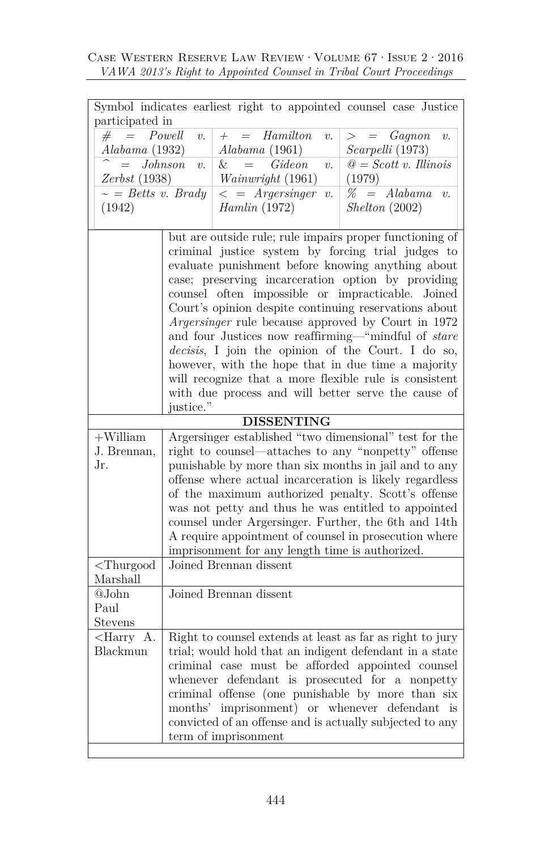|                                           |                                                         | Symbol indicates earliest right to appointed counsel case Justice |                         |
|-------------------------------------------|---------------------------------------------------------|-------------------------------------------------------------------|-------------------------|
| participated in                           |                                                         |                                                                   |                         |
| $\#$ = Powell                             | $v$ .                                                   | $+$ = Hamilton<br>v.                                              | $> = Gagnon$<br>$v$ .   |
| Alabama(1932)                             |                                                         | Alabama(1961)                                                     | Scarpelli (1973)        |
|                                           | Johnson<br>$v_{\cdot}$                                  | &<br>$\equiv$<br>Gideon<br>v.                                     | $@ = Scott v. Illinois$ |
| Zerbst $(1938)$                           |                                                         | <i>Wainwright</i> (1961)                                          | (1979)                  |
| $\overline{\mathcal{L}}$ = Betts v. Brady |                                                         | $\overline{\mathcal{L}} = \text{Argersinger}$<br>$v$ .            | $\%$ = Alabama<br>$v$ . |
| (1942)                                    |                                                         | Hamilton (1972)                                                   | Shelton (2002)          |
|                                           |                                                         |                                                                   |                         |
|                                           |                                                         | but are outside rule; rule impairs proper functioning of          |                         |
|                                           |                                                         | criminal justice system by forcing trial judges to                |                         |
|                                           |                                                         | evaluate punishment before knowing anything about                 |                         |
|                                           |                                                         | case; preserving incarceration option by providing                |                         |
|                                           |                                                         | counsel often impossible or impracticable. Joined                 |                         |
|                                           |                                                         | Court's opinion despite continuing reservations about             |                         |
|                                           |                                                         | Argersinger rule because approved by Court in 1972                |                         |
|                                           |                                                         | and four Justices now reaffirming—"mindful of stare               |                         |
|                                           |                                                         | decisis, I join the opinion of the Court. I do so,                |                         |
|                                           |                                                         | however, with the hope that in due time a majority                |                         |
|                                           |                                                         | will recognize that a more flexible rule is consistent            |                         |
|                                           |                                                         | with due process and will better serve the cause of               |                         |
|                                           | justice."                                               |                                                                   |                         |
|                                           |                                                         |                                                                   |                         |
|                                           |                                                         | <b>DISSENTING</b>                                                 |                         |
| $+William$                                |                                                         | Argersinger established "two dimensional" test for the            |                         |
| J. Brennan,                               |                                                         | right to counsel—attaches to any "nonpetty" offense               |                         |
| Jr.                                       |                                                         | punishable by more than six months in jail and to any             |                         |
|                                           | offense where actual incarceration is likely regardless |                                                                   |                         |
|                                           | of the maximum authorized penalty. Scott's offense      |                                                                   |                         |
|                                           | was not petty and thus he was entitled to appointed     |                                                                   |                         |
|                                           | counsel under Argersinger. Further, the 6th and 14th    |                                                                   |                         |
|                                           |                                                         | A require appointment of counsel in prosecution where             |                         |
|                                           |                                                         | imprisonment for any length time is authorized.                   |                         |
| $\langle$ Thurgood                        |                                                         | Joined Brennan dissent                                            |                         |
| Marshall                                  |                                                         |                                                                   |                         |
| @John                                     |                                                         | Joined Brennan dissent                                            |                         |
| Paul                                      |                                                         |                                                                   |                         |
| Stevens                                   |                                                         |                                                                   |                         |
| $\langle$ Harry A.                        |                                                         | Right to counsel extends at least as far as right to jury         |                         |
| Blackmun                                  |                                                         | trial; would hold that an indigent defendant in a state           |                         |
|                                           |                                                         | criminal case must be afforded appointed counsel                  |                         |
|                                           |                                                         | whenever defendant is prosecuted for a nonpetty                   |                         |
|                                           |                                                         | criminal offense (one punishable by more than six                 |                         |
|                                           |                                                         | months' imprisonment) or whenever defendant is                    |                         |
|                                           |                                                         | convicted of an offense and is actually subjected to any          |                         |
|                                           |                                                         | term of imprisonment                                              |                         |
|                                           |                                                         |                                                                   |                         |
|                                           |                                                         |                                                                   |                         |